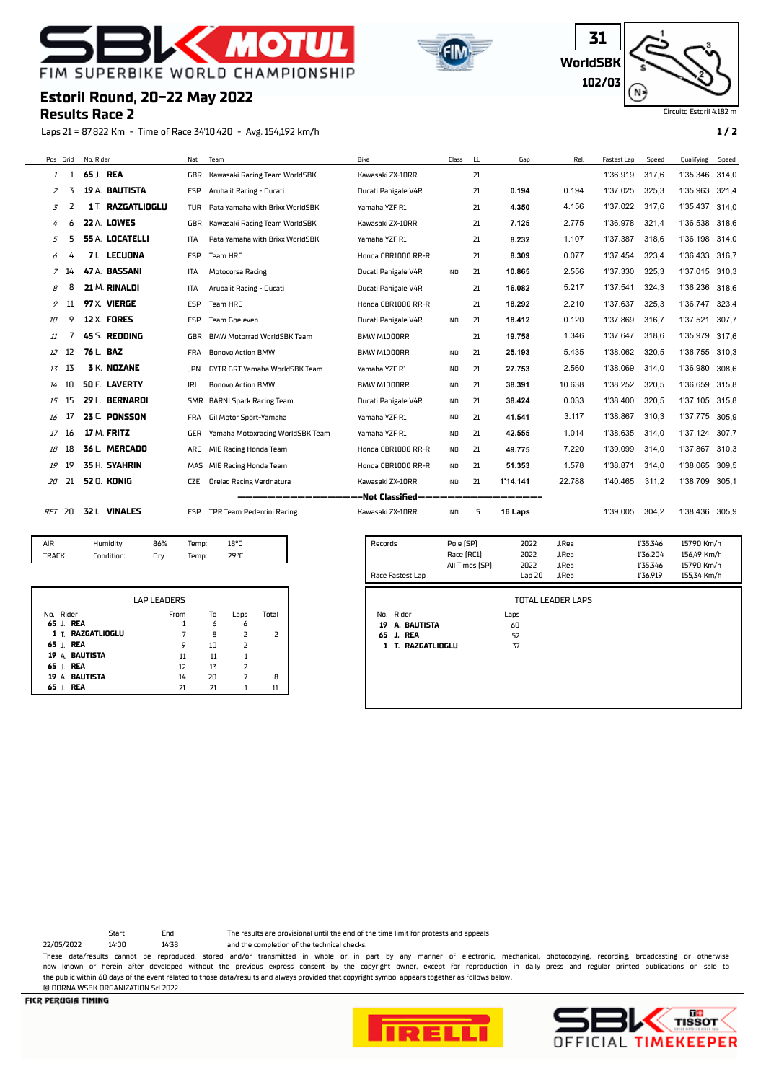





Circuito Estori

### **Estoril Round, 20-22 May 2022**

### **Results Race 2**

Laps 21 = 87,822 Km - Time of Race 34'10.420 - Avg. 154,192 km/h **1 / 2**

|     | Pos Grid | No. Rider              | Nat        | Team                             | Bike                | Class      | LL | Gap      | Rel.   | Fastest Lap | Speed | Qualifying     | Speed |
|-----|----------|------------------------|------------|----------------------------------|---------------------|------------|----|----------|--------|-------------|-------|----------------|-------|
| 1   |          | 65 J. REA              | GBR        | Kawasaki Racing Team WorldSBK    | Kawasaki ZX-10RR    |            | 21 |          |        | 1'36.919    | 317.6 | 1'35.346       | 314,0 |
| 2   | 3        | 19 A. BAUTISTA         | ESP        | Aruba.it Racing - Ducati         | Ducati Panigale V4R |            | 21 | 0.194    | 0.194  | 1'37.025    | 325,3 | 1'35.963       | 321,4 |
| 3   |          | 1 T. RAZGATLIOGLU      | TUR        | Pata Yamaha with Brixx WorldSBK  | Yamaha YZF R1       |            | 21 | 4.350    | 4.156  | 1'37.022    | 317.6 | 1'35.437       | 314.0 |
| 4   | 6        | 22 A. LOWES            | GBR        | Kawasaki Racing Team WorldSBK    | Kawasaki ZX-10RR    |            | 21 | 7.125    | 2.775  | 1'36.978    | 321,4 | 1'36.538       | 318.6 |
| 5   |          | <b>55 A. LOCATELLI</b> | <b>ITA</b> | Pata Yamaha with Brixx WorldSBK  | Yamaha YZF R1       |            | 21 | 8.232    | 1.107  | 1'37.387    | 318,6 | 1'36.198       | 314,0 |
| 6   |          | LECUONA<br>7 I.        | ESP        | Team HRC                         | Honda CBR1000 RR-R  |            | 21 | 8.309    | 0.077  | 1'37.454    | 323,4 | 1'36.433       | 316.7 |
| 7   | 14       | 47 A. BASSANI          | ITA        | Motocorsa Racing                 | Ducati Panigale V4R | <b>IND</b> | 21 | 10.865   | 2.556  | 1'37.330    | 325,3 | 1'37.015       | 310,3 |
| 8   | 8        | 21 M. RINALDI          | <b>ITA</b> | Aruba.it Racing - Ducati         | Ducati Panigale V4R |            | 21 | 16.082   | 5.217  | 1'37.541    | 324,3 | 1'36.236       | 318.6 |
| 9   | 11       | 97 X. VIERGE           | ESP        | Team HRC                         | Honda CBR1000 RR-R  |            | 21 | 18.292   | 2.210  | 1'37.637    | 325,3 | 1'36.747       | 323,4 |
| 10  | 9        | <b>12 X. FORES</b>     | ESP        | Team Goeleven                    | Ducati Panigale V4R | <b>IND</b> | 21 | 18.412   | 0.120  | 1'37.869    | 316.7 | 1'37.521       | 307.7 |
| 11  |          | 45 S. REDDING          | GBR        | BMW Motorrad WorldSBK Team       | BMW M1000RR         |            | 21 | 19.758   | 1.346  | 1'37.647    | 318,6 | 1'35.979       | 317,6 |
| 12  | 12       | 76 L. BAZ              | FRA        | <b>Bonovo Action BMW</b>         | BMW M1000RR         | IND        | 21 | 25.193   | 5.435  | 1'38.062    | 320,5 | 1'36.755       | 310.3 |
| 13  | 13       | <b>3 K. NOZANE</b>     | <b>JPN</b> | GYTR GRT Yamaha WorldSBK Team    | Yamaha YZF R1       | IND        | 21 | 27.753   | 2.560  | 1'38.069    | 314,0 | 1'36.980       | 308,6 |
| 14  | 10       | <b>50 E. LAVERTY</b>   | <b>IRL</b> | <b>Bonovo Action BMW</b>         | BMW M1000RR         | IND        | 21 | 38.391   | 10.638 | 1'38.252    | 320,5 | 1'36.659       | 315.8 |
| 15  | 15       | 29 L. BERNARDI         |            | SMR BARNI Spark Racing Team      | Ducati Panigale V4R | IND        | 21 | 38.424   | 0.033  | 1'38.400    | 320,5 | 1'37.105       | 315,8 |
| 16  | 17       | 23 C. PONSSON          | FRA        | Gil Motor Sport-Yamaha           | Yamaha YZF R1       | IND        | 21 | 41.541   | 3.117  | 1'38.867    | 310,3 | 1'37.775       | 305,9 |
| 17  | 16       | 17 M. FRITZ            | GER        | Yamaha Motoxracing WorldSBK Team | Yamaha YZF R1       | IND        | 21 | 42.555   | 1.014  | 1'38.635    | 314,0 | 1'37.124       | 307,7 |
| 18  | 18       | 36 L. MERCADO          | ARG        | MIE Racing Honda Team            | Honda CBR1000 RR-R  | <b>IND</b> | 21 | 49.775   | 7.220  | 1'39.099    | 314,0 | 1'37.867       | 310.3 |
| 19  | 19       | 35 H. SYAHRIN          | MAS        | MIE Racing Honda Team            | Honda CBR1000 RR-R  | IND        | 21 | 51.353   | 1.578  | 1'38.871    | 314,0 | 1'38.065       | 309,5 |
| 20  | 21       | 52 O. KONIG            | <b>CZE</b> | <b>Orelac Racing Verdnatura</b>  | Kawasaki ZX-10RR    | IND        | 21 | 1'14.141 | 22.788 | 1'40.465    | 311,2 | 1'38.709       | 305,1 |
|     |          |                        |            |                                  | -Not Classified-    |            |    |          |        |             |       |                |       |
| RET | -20      | 32 I. VINALES          | ESP        | TPR Team Pedercini Racing        | Kawasaki ZX-10RR    | <b>IND</b> | 5  | 16 Laps  |        | 1'39.005    | 304.2 | 1'38.436 305,9 |       |

|  | AIR<br><b>TRACK</b> | Humidity:<br>Condition: | 86%<br>Dry | Temp:<br>Temp: | 18°C<br>29°C |  |
|--|---------------------|-------------------------|------------|----------------|--------------|--|
|--|---------------------|-------------------------|------------|----------------|--------------|--|

|                   | <b>LAP LEADERS</b> |    |      |       |
|-------------------|--------------------|----|------|-------|
| No. Rider         | From               | To | Laps | Total |
| 65 J. REA         |                    | 6  | 6    |       |
| 1 T. RAZGATLIOGLU |                    | 8  |      |       |
| 65 J. REA         | 9                  | 10 |      |       |
| 19 A. BAUTISTA    | 11                 | 11 |      |       |
| 65 J. REA         | 12                 | 13 | フ    |       |
| 19 A. BAUTISTA    | 14                 | 20 |      | 8     |
| REA<br>65         |                    | 71 |      |       |

| Records              | Pole [SP]      | 2022  | J.Rea                    | 1'35.346 | 157,90 Km/h |
|----------------------|----------------|-------|--------------------------|----------|-------------|
|                      | Race [RC1]     | 2022  | J.Rea                    | 1'36.204 | 156,49 Km/h |
|                      | All Times [SP] | 2022  | J.Rea                    | 1'35.346 | 157,90 Km/h |
| Race Fastest Lap     |                | Lap20 | J.Rea                    | 1'36.919 | 155,34 Km/h |
|                      |                |       |                          |          |             |
|                      |                |       | <b>TOTAL LEADER LAPS</b> |          |             |
| Rider<br>No.         |                | Laps  |                          |          |             |
| A. BAUTISTA<br>19    |                | 60    |                          |          |             |
| J. REA<br>65         |                | 52    |                          |          |             |
| T. RAZGATLIOGLU<br>1 |                | 37    |                          |          |             |
|                      |                |       |                          |          |             |
|                      |                |       |                          |          |             |
|                      |                |       |                          |          |             |
|                      |                |       |                          |          |             |
|                      |                |       |                          |          |             |

22/05/2022 14:00 14:38 and the completion of the technical checks.

© DORNA WSBK ORGANIZATION Srl 2022

Start End The results are provisional until the end of the time limit for protests and appeals

These data/results cannot be reproduced, stored and/or transmitted in whole or in part by any manner of electronic, mechanical, photocopying, recording, broadcasting or otherwise now known or herein afer developed without the previous express consent by the copyright owner, except for reproduction in daily press and regular printed publications on sale to the public within 60 days of the event related to those data/results and always provided that copyright symbol appears together as follows below.



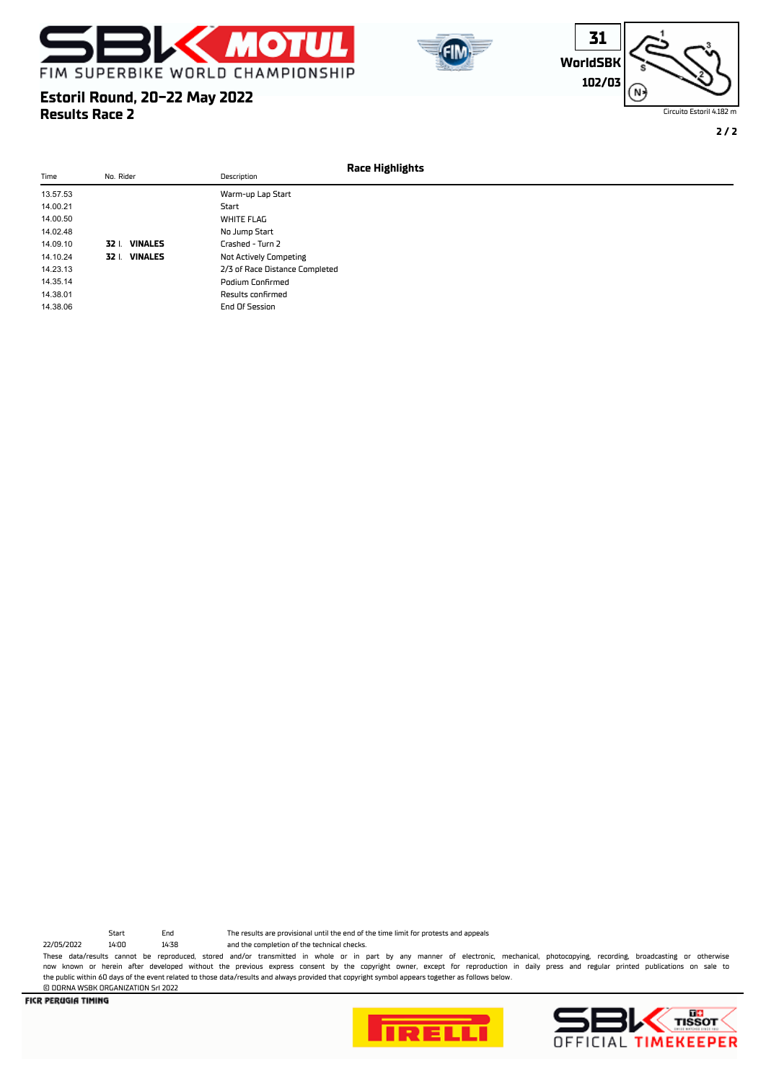

**Estoril Round, 20-22 May 2022**

**Results Race 2**





Circuito Estoril 4.182 m

**2 / 2**

|          |                         |                                | Race Highlights |
|----------|-------------------------|--------------------------------|-----------------|
| Time     | No. Rider               | Description                    |                 |
| 13.57.53 |                         | Warm-up Lap Start              |                 |
| 14.00.21 |                         | Start                          |                 |
| 14.00.50 |                         | <b>WHITE FLAG</b>              |                 |
| 14.02.48 |                         | No Jump Start                  |                 |
| 14.09.10 | 32   VINALES            | Crashed - Turn 2               |                 |
| 14.10.24 | <b>VINALES</b><br>32 I. | <b>Not Actively Competing</b>  |                 |
| 14.23.13 |                         | 2/3 of Race Distance Completed |                 |
| 14.35.14 |                         | Podium Confirmed               |                 |
| 14.38.01 |                         | Results confirmed              |                 |
| 14.38.06 |                         | End Of Session                 |                 |

22/05/2022 14:00 14:38 and the completion of the technical checks.

© DORNA WSBK ORGANIZATION Srl 2022

Start End The results are provisional until the end of the time limit for protests and appeals

These data/results cannot be reproduced, stored and/or transmitted in whole or in part by any manner of electronic, mechanical, photocopying, recording, broadcasting or otherwise now known or herein afer developed without the previous express consent by the copyright owner, except for reproduction in daily press and regular printed publications on sale to the public within 60 days of the event related to those data/results and always provided that copyright symbol appears together as follows below.



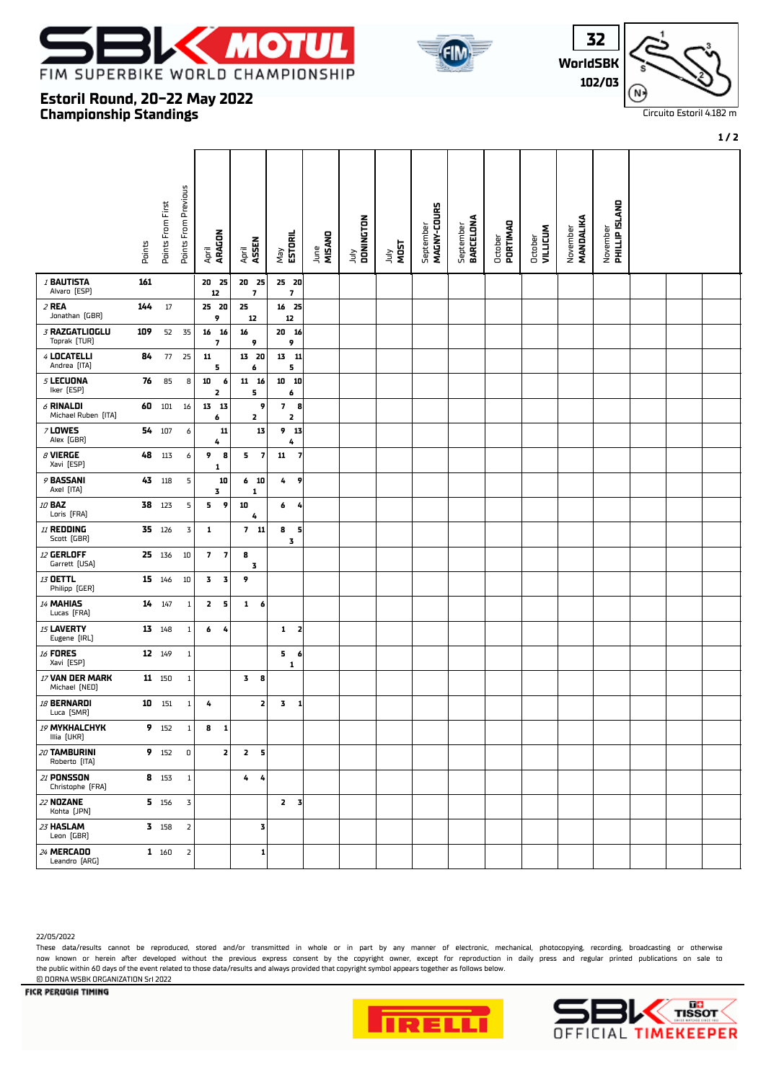

**Championship Standings**

**Estoril Round, 20-22 May 2022**





Circuito Estoril 4.182 m

#### **1 / 2**

|                                    | Points | Points From First | Points From Previous    | April<br><b>ARAGON</b>                              | ASSEN<br>April               | ESTORIL<br>Vay               | June<br>MISANO | July<br>DONINGTON | <b>TADA<br/>NOST</b> | MAGNY-COURS<br>September | BARCELONA<br>September | October<br>PORTIMAO | <b>VILLICUM</b><br>October | MANDALIKA<br>November | November<br><b>PHILLIP ISLAND</b> |  |  |
|------------------------------------|--------|-------------------|-------------------------|-----------------------------------------------------|------------------------------|------------------------------|----------------|-------------------|----------------------|--------------------------|------------------------|---------------------|----------------------------|-----------------------|-----------------------------------|--|--|
| <b>I BAUTISTA</b>                  | 161    |                   |                         | 20 25                                               | 20 25                        | 25 20                        |                |                   |                      |                          |                        |                     |                            |                       |                                   |  |  |
| Alvaro [ESP]                       |        |                   |                         | 12                                                  | $\overline{\phantom{a}}$     | $\overline{\mathbf{z}}$      |                |                   |                      |                          |                        |                     |                            |                       |                                   |  |  |
| 2 REA<br>Jonathan (GBR)            | 144    | 17                |                         | 25 20<br>9                                          | 25<br>12                     | 16 25<br>12                  |                |                   |                      |                          |                        |                     |                            |                       |                                   |  |  |
| 3 RAZGATLIOGLU<br>Toprak (TUR)     | 109    | 52                | 35                      | $16 \quad 16$<br>$\overline{\mathbf{z}}$            | 16<br>9                      | 20 16<br>9                   |                |                   |                      |                          |                        |                     |                            |                       |                                   |  |  |
| 4 LOCATELLI<br>Andrea [ITA]        | 84     | 77                | 25                      | 11<br>5                                             | $13 \quad 20$<br>6           | $13 \qquad 11$<br>5          |                |                   |                      |                          |                        |                     |                            |                       |                                   |  |  |
| 5 LECUONA<br>Iker [ESP]            | 76     | 85                | 8                       | 10<br>6<br>2                                        | $11 \quad 16$<br>5           | 10<br>10<br>6                |                |                   |                      |                          |                        |                     |                            |                       |                                   |  |  |
| $6$ RINALDI<br>Michael Ruben [ITA] | 60     | 101               | 16                      | 13 13<br>6                                          | 9<br>2                       | 7 <sub>8</sub><br>2          |                |                   |                      |                          |                        |                     |                            |                       |                                   |  |  |
| <b>7 LOWES</b><br>Alex (GBR)       |        | 54 107            | 6                       | 11<br>4                                             | 13                           | 9 13<br>4                    |                |                   |                      |                          |                        |                     |                            |                       |                                   |  |  |
| $\beta$ VIERGE<br>Xavi [ESP]       | 48     | 113               | 6                       | 9<br>8<br>1                                         | 5<br>$\overline{\mathbf{z}}$ | 11<br>$\overline{7}$         |                |                   |                      |                          |                        |                     |                            |                       |                                   |  |  |
| 9 BASSANI<br>Axel [ITA]            | 43     | 118               | 5                       | 10<br>3                                             | 6 <sub>10</sub><br>1         | 9<br>4                       |                |                   |                      |                          |                        |                     |                            |                       |                                   |  |  |
| 10 BAZ<br>Loris [FRA]              | 38     | 123               | $\sf 5$                 | 9<br>5                                              | 10<br>4                      | 6<br>4                       |                |                   |                      |                          |                        |                     |                            |                       |                                   |  |  |
| 11 REDDING<br>Scott (GBR)          |        | 35 126            | $\overline{\mathsf{3}}$ | 1                                                   | 711                          | 8<br>5<br>3                  |                |                   |                      |                          |                        |                     |                            |                       |                                   |  |  |
| 12 GERLOFF<br>Garrett (USA)        |        | 25 136            | $10\,$                  | $\overline{\phantom{a}}$<br>$\overline{\mathbf{z}}$ | 8<br>3                       |                              |                |                   |                      |                          |                        |                     |                            |                       |                                   |  |  |
| 13 OETTL<br>Philipp (GER)          |        | 15 146            | $10\,$                  | 3<br>3                                              | 9                            |                              |                |                   |                      |                          |                        |                     |                            |                       |                                   |  |  |
| 14 MAHIAS<br>Lucas [FRA]           | 14     | 147               | $\mathbf{1}$            | $\overline{2}$<br>5                                 | 1<br>6                       |                              |                |                   |                      |                          |                        |                     |                            |                       |                                   |  |  |
| 15 LAVERTY<br>Eugene [IRL]         |        | 13 148            | $\mathbf{1}$            | 6<br>4                                              |                              | 1<br>$\overline{\mathbf{z}}$ |                |                   |                      |                          |                        |                     |                            |                       |                                   |  |  |
| <b>16 FORES</b><br>Xavi [ESP]      |        | 12 149            | $\mathbf{1}$            |                                                     |                              | 5 <sub>6</sub><br>1          |                |                   |                      |                          |                        |                     |                            |                       |                                   |  |  |
| 17 VAN DER MARK<br>Michael [NED]   |        | 11 150            | $\mathbf{1}$            |                                                     | 3<br>8                       |                              |                |                   |                      |                          |                        |                     |                            |                       |                                   |  |  |
| <b>18 BERNARDI</b><br>Luca [SMR]   | 10     | 151               | $\mathbf{1}$            | 4                                                   | 2                            | 3<br>$\mathbf{1}$            |                |                   |                      |                          |                        |                     |                            |                       |                                   |  |  |
| 19 MYKHALCHYK<br>Illia (UKR)       | 9      | 152               | $\mathbf{1}$            | 8<br>$\mathbf{1}$                                   |                              |                              |                |                   |                      |                          |                        |                     |                            |                       |                                   |  |  |
| 20 TAMBURINI<br>Roberto [ITA]      |        | 9 152             | $\mathsf D$             | 2                                                   | 2 <sub>5</sub>               |                              |                |                   |                      |                          |                        |                     |                            |                       |                                   |  |  |
| 21 PONSSON<br>Christophe [FRA]     |        | 8 153             | $\mathbf{1}$            |                                                     | 4<br>4                       |                              |                |                   |                      |                          |                        |                     |                            |                       |                                   |  |  |
| 22 NOZANE<br>Kohta [JPN]           |        | 5 156             | 3                       |                                                     |                              | $2 \quad 3$                  |                |                   |                      |                          |                        |                     |                            |                       |                                   |  |  |
| 23 HASLAM<br>Leon (GBR)            |        | 3 158             | $\overline{\mathbf{2}}$ |                                                     | 3                            |                              |                |                   |                      |                          |                        |                     |                            |                       |                                   |  |  |
| 24 MERCADO<br>Leandro [ARG]        |        | 1 160             | $\mathsf{2}$            |                                                     | 1                            |                              |                |                   |                      |                          |                        |                     |                            |                       |                                   |  |  |

22/05/2022

These data/results cannot be reproduced, stored and/or transmitted in whole or in part by any manner of electronic, mechanical, photocopying, recording, broadcasting or otherwise now known or herein afer developed without the previous express consent by the copyright owner, except for reproduction in daily press and regular printed publications on sale to the public within 60 days of the event related to those data/results and always provided that copyright symbol appears together as follows below. © DORNA WSBK ORGANIZATION Srl 2022



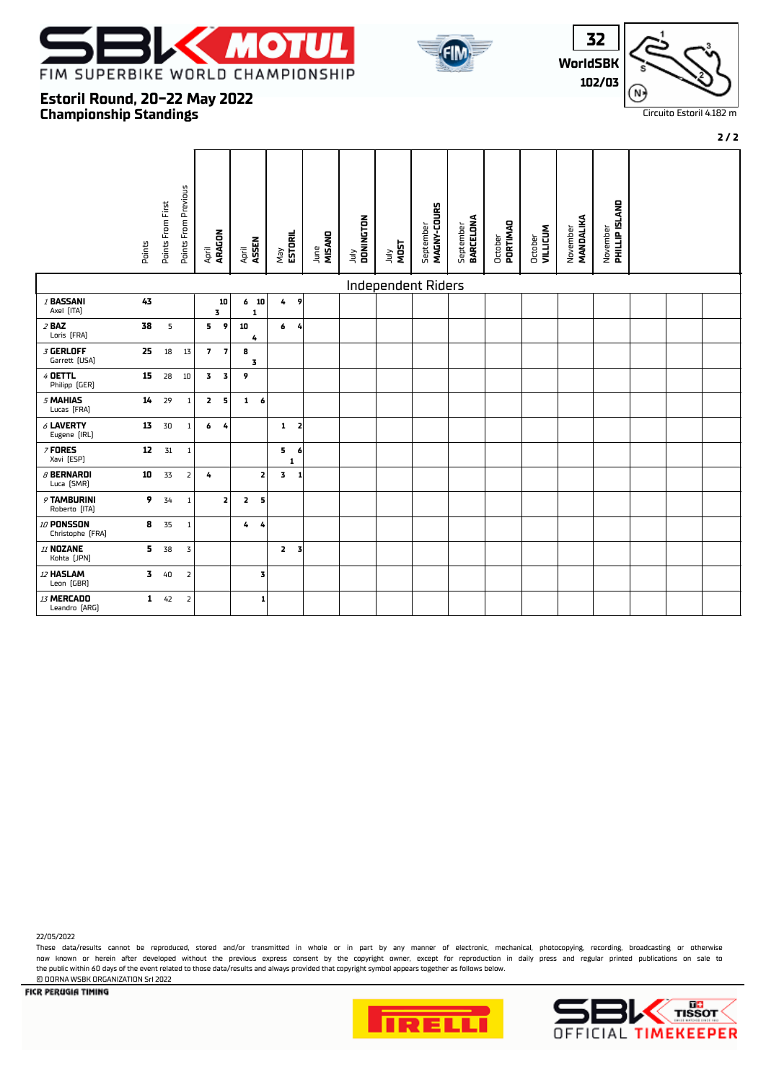





**2 / 2**

### **Championship Standings Estoril Round, 20-22 May 2022**

|                                 | Points                  | Points From First | <b>Points From Previous</b> | April<br><b>ARAGON</b>  |                | ASSEN<br>April          |   | ESTORIL<br>Vay |                | MISAND<br>June | DONINGTON<br>$\frac{1}{2}$ | <b>MOST</b><br>July | MAGNY-COURS<br>September | BARCELONA<br>September | PORTIMAD<br>October | October<br>VILLICUM | MANDALIKA<br>November | November<br><b>PHILLIP ISLAND</b> |  |  |
|---------------------------------|-------------------------|-------------------|-----------------------------|-------------------------|----------------|-------------------------|---|----------------|----------------|----------------|----------------------------|---------------------|--------------------------|------------------------|---------------------|---------------------|-----------------------|-----------------------------------|--|--|
|                                 |                         |                   |                             |                         |                |                         |   |                |                |                |                            | Independent Riders  |                          |                        |                     |                     |                       |                                   |  |  |
| 1 BASSANI<br>Axel [ITA]         | 43                      |                   |                             |                         | 10<br>3        | 6 <sub>10</sub><br>1    |   | 4              | 9              |                |                            |                     |                          |                        |                     |                     |                       |                                   |  |  |
| $2$ BAZ<br>Loris [FRA]          | 38                      | 5                 |                             | 5                       | - 9            | 10<br>4                 |   | 6              | $\overline{4}$ |                |                            |                     |                          |                        |                     |                     |                       |                                   |  |  |
| $3$ GERLOFF<br>Garrett [USA]    | 25                      | $18\,$            | 13                          |                         | 7 <sub>7</sub> | 8<br>3                  |   |                |                |                |                            |                     |                          |                        |                     |                     |                       |                                   |  |  |
| 4 DETTL<br>Philipp (GER)        | 15                      | 28                | $10\,$                      | $\overline{\mathbf{3}}$ | 3              | 9                       |   |                |                |                |                            |                     |                          |                        |                     |                     |                       |                                   |  |  |
| 5 MAHIAS<br>Lucas [FRA]         | 14                      | 29                | $\mathbf{1}$                | $\mathbf{z}$            | 5              | $1 \t6$                 |   |                |                |                |                            |                     |                          |                        |                     |                     |                       |                                   |  |  |
| $6$ LAVERTY<br>Eugene [IRL]     | 13                      | 30                | $\mathbf{1}$                |                         | 6 <sub>4</sub> |                         |   | $1\quad 2$     |                |                |                            |                     |                          |                        |                     |                     |                       |                                   |  |  |
| $7$ FORES<br>Xavi [ESP]         | 12                      | 31                | $\mathbf{1}$                |                         |                |                         |   | 5<br>1         | 6              |                |                            |                     |                          |                        |                     |                     |                       |                                   |  |  |
| $\beta$ BERNARDI<br>Luca [SMR]  | 10                      | 33                | $\overline{2}$              | 4                       |                |                         | 2 | 3              | -1             |                |                            |                     |                          |                        |                     |                     |                       |                                   |  |  |
| 9 TAMBURINI<br>Roberto [ITA]    | 9                       | 34                | $\mathbf{1}$                |                         | $\mathbf{z}$   | $\overline{\mathbf{2}}$ | 5 |                |                |                |                            |                     |                          |                        |                     |                     |                       |                                   |  |  |
| 10 PONSSON<br>Christophe [FRA]  | 8                       | 35                | $\mathbf{1}$                |                         |                | 4                       | 4 |                |                |                |                            |                     |                          |                        |                     |                     |                       |                                   |  |  |
| 11 <b>NOZANE</b><br>Kohta [JPN] | 5.                      | 38                | 3                           |                         |                |                         |   | 2 <sub>3</sub> |                |                |                            |                     |                          |                        |                     |                     |                       |                                   |  |  |
| 12 HASLAM<br>Leon (GBR)         | $\overline{\mathbf{3}}$ | 40                | $\overline{\mathbf{2}}$     |                         |                |                         | 3 |                |                |                |                            |                     |                          |                        |                     |                     |                       |                                   |  |  |
| 13 MERCADO<br>Leandro [ARG]     | $\mathbf{1}$            | 42                | $\overline{\mathbf{2}}$     |                         |                |                         | 1 |                |                |                |                            |                     |                          |                        |                     |                     |                       |                                   |  |  |

22/05/2022

These data/results cannot be reproduced, stored and/or transmitted in whole or in part by any manner of electronic, mechanical, photocopying, recording, broadcasting or otherwise now known or herein afer developed without the previous express consent by the copyright owner, except for reproduction in daily press and regular printed publications on sale to the public within 60 days of the event related to those data/results and always provided that copyright symbol appears together as follows below. © DORNA WSBK ORGANIZATION Srl 2022





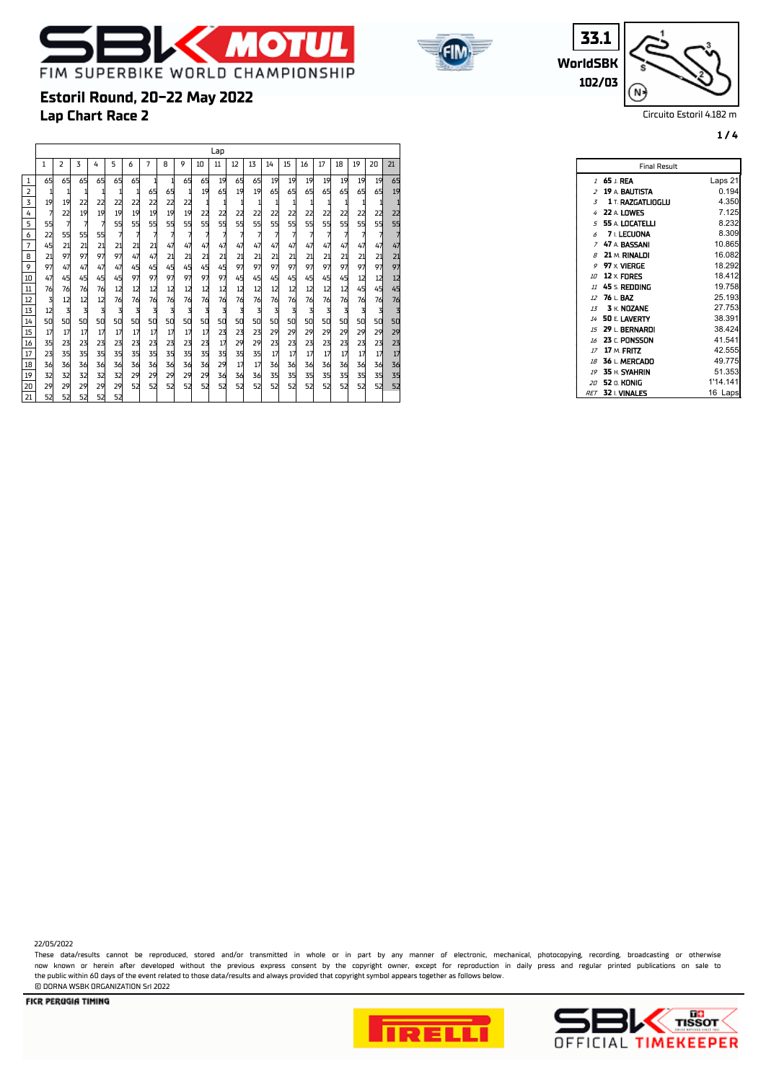



**WorldSBK 33.1 102/03**

 $\blacksquare$ 

N.

Circuito Estoril 4.182 m

**1 / 4**

### **Lap Chart Race 2 Estoril Round, 20-22 May 2022**

|                 |                |                |    |    |    |    |    |    |    |    | Lap |    |    |    |    |    |    |    |    |    |    |
|-----------------|----------------|----------------|----|----|----|----|----|----|----|----|-----|----|----|----|----|----|----|----|----|----|----|
|                 | 1              | $\overline{z}$ | 3  | 4  | 5  | 6  | 7  | 8  | 9  | 10 | 11  | 12 | 13 | 14 | 15 | 16 | 17 | 18 | 19 | 20 | 21 |
| $\mathbf{1}$    | 65             | 65             | 65 | 65 | 65 | 65 | 1  | 1  | 65 | 65 | 19  | 65 | 65 | 19 | 19 | 19 | 19 | 19 | 19 | 19 | 65 |
| $\overline{2}$  | 1              | 1              | 1  | 1  | 1  | 1  | 65 | 65 | 1  | 19 | 65  | 19 | 19 | 65 | 65 | 65 | 65 | 65 | 65 | 65 | 19 |
|                 | 19             | 19             | 22 | 22 | 22 | 22 | 22 | 22 | 22 | 1  |     |    | 1  |    |    | 1  |    |    | 1  |    |    |
| 4               | $\overline{7}$ | 22             | 19 | 19 | 19 | 19 | 19 | 19 | 19 | 22 | 22  | 22 | 22 | 22 | 22 | 22 | 22 | 22 | 22 | 22 | 22 |
| 5               | 55             | 7              | 7  | 7  | 55 | 55 | 55 | 55 | 55 | 55 | 55  | 55 | 55 | 55 | 55 | 55 | 55 | 55 | 55 | 55 | 55 |
| 6               | 22             | 55             | 55 | 55 | 7  | 7  | 7  | 7  | 7  | 7  | 7   | 7  | 7  | 7  | 7  | 7  | 7  | 7  | 7  | 7  |    |
| $\overline{7}$  | 45             | 21             | 21 | 21 | 21 | 21 | 21 | 47 | 47 | 47 | 47  | 47 | 47 | 47 | 47 | 47 | 47 | 47 | 47 | 47 | 47 |
| 8               | 21             | 97             | 97 | 97 | 97 | 47 | 47 | 21 | 21 | 21 | 21  | 21 | 21 | 21 | 21 | 21 | 21 | 21 | 21 | 21 | 21 |
| 9               | 97             | 47             | 47 | 47 | 47 | 45 | 45 | 45 | 45 | 45 | 45  | 97 | 97 | 97 | 97 | 97 | 97 | 97 | 97 | 97 | 97 |
| 10              | 47             | 45             | 45 | 45 | 45 | 97 | 97 | 97 | 97 | 97 | 97  | 45 | 45 | 45 | 45 | 45 | 45 | 45 | 12 | 12 | 12 |
| $11\,$          | 76             | 76             | 76 | 76 | 12 | 12 | 12 | 12 | 12 | 12 | 12  | 12 | 12 | 12 | 12 | 12 | 12 | 12 | 45 | 45 | 45 |
| $\overline{12}$ | 3              | 12             | 12 | 12 | 76 | 76 | 76 | 76 | 76 | 76 | 76  | 76 | 76 | 76 | 76 | 76 | 76 | 76 | 76 | 76 | 76 |
| 13              | 12             | 3              | 3  | 3  | 3  | 3  | 3  | 3  | 3  | 3  | 3   | 3  | 3  | 3  | 3  | 3  | 3  | 3  | 3  | 3  | 3  |
| 14              | 50             | 50             | 50 | 50 | 50 | 50 | 50 | 50 | 50 | 50 | 50  | 50 | 50 | 50 | 50 | 50 | 50 | 50 | 50 | 50 | 50 |
| 15              | 17             | 17             | 17 | 17 | 17 | 17 | 17 | 17 | 17 | 17 | 23  | 23 | 23 | 29 | 29 | 29 | 29 | 29 | 29 | 29 | 29 |
| 16              | 35             | 23             | 23 | 23 | 23 | 23 | 23 | 23 | 23 | 23 | 17  | 29 | 29 | 23 | 23 | 23 | 23 | 23 | 23 | 23 | 23 |
| 17              | 23             | 35             | 35 | 35 | 35 | 35 | 35 | 35 | 35 | 35 | 35  | 35 | 35 | 17 | 17 | 17 | 17 | 17 | 17 | 17 | 17 |
| 18              | 36             | 36             | 36 | 36 | 36 | 36 | 36 | 36 | 36 | 36 | 29  | 17 | 17 | 36 | 36 | 36 | 36 | 36 | 36 | 36 | 36 |
| 19              | 32             | 32             | 32 | 32 | 32 | 29 | 29 | 29 | 29 | 29 | 36  | 36 | 36 | 35 | 35 | 35 | 35 | 35 | 35 | 35 | 35 |
| 20              | 29             | 29             | 29 | 29 | 29 | 52 | 52 | 52 | 52 | 52 | 52  | 52 | 52 | 52 | 52 | 52 | 52 | 52 | 52 | 52 | 52 |
| 21              | 52             | 52             | 52 | 52 | 52 |    |    |    |    |    |     |    |    |    |    |    |    |    |    |    |    |

| <b>Final Result</b>                        |          |
|--------------------------------------------|----------|
| <i>1</i> 65 ⊥ REA                          | Laps 21  |
| $2$ 19 a bautista                          | 0.194    |
| <b>1 T. RAZGATLIOGLU</b><br>$\overline{5}$ | 4.350    |
| 4 22 A LOWES                               | 7.125    |
| $5\,$ 55 a LOCATELLI                       | 8.232    |
| $6$ 7 LECUONA                              | 8.309    |
| 7 47 A BASSANI                             | 10.865   |
| $8$ 21 $M$ , RINALDI                       | 16.082   |
| $9$ 97 x vierge                            | 18.292   |
| 10 12 x FDRES                              | 18.412   |
| $\mu$ 45 s. Redding                        | 19.758   |
| $12$ 76 $\pm$ BAZ                          | 25.193   |
| $13 \times N0ZANE$                         | 27.753   |
| 14 50 F. LAVERTY                           | 38.391   |
| 15 29 L. BERNARDI                          | 38.424   |
| 16 23 C. PONSSON                           | 41.541   |
| 17 17 M. FRITZ                             | 42.555   |
| 18 36 L. MERCADO                           | 49.775   |
| 19 35 H. SYAHRIN                           | 51.353   |
| <i>20</i> 52 n. KONIG                      | 1'14.141 |
| $RET$ 32 I. VINALES                        | 16 Laps  |

22/05/2022

These data/results cannot be reproduced, stored and/or transmitted in whole or in part by any manner of electronic, mechanical, photocopying, recording, broadcasting or otherwise now known or herein afer developed without the previous express consent by the copyright owner, except for reproduction in daily press and regular printed publications on sale to the public within 60 days of the event related to those data/results and always provided that copyright symbol appears together as follows below. © DORNA WSBK ORGANIZATION Srl 2022



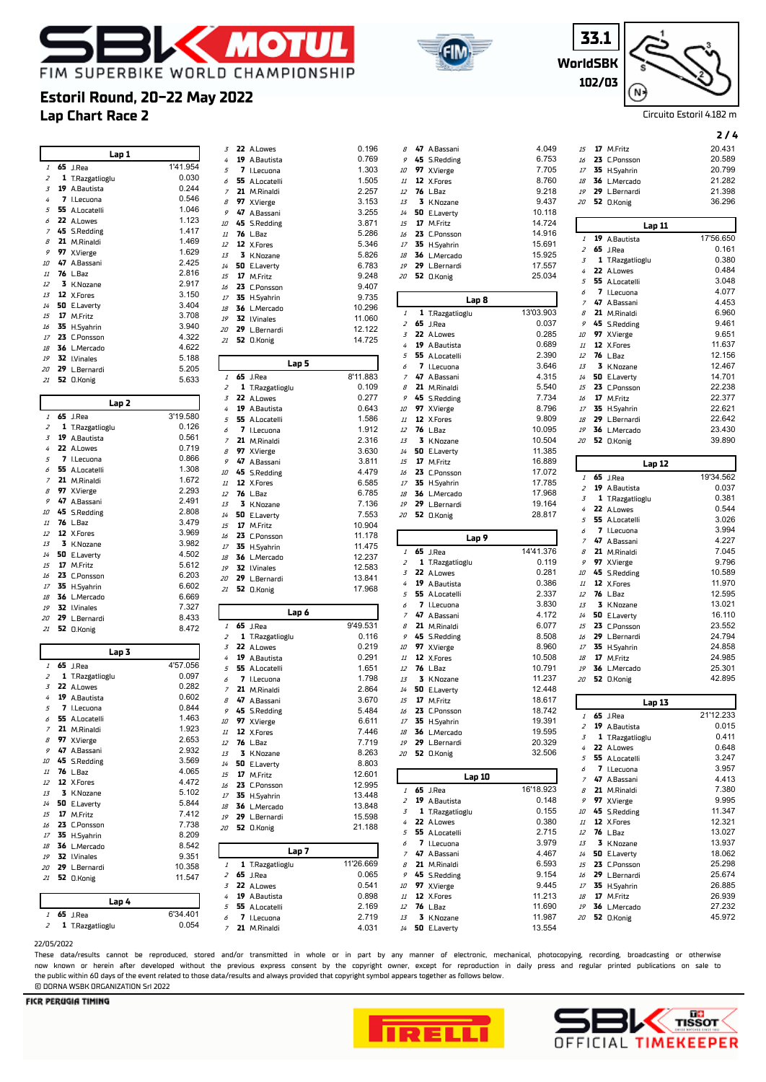





**2 / 4**

 **65** J.Rea 21'12.233 0.015 0.411  $0.648$  **55** A.Locatelli 3.247  $3.957$  **47** A.Bassani 4.413 **21** M.Rinaldi 7.380  $9.995$ 11.347 12.321 **76** L.Baz 13.027 **3** K.Nozane 13.937 18.062 **23** C.Ponsson 25.298 25 674 **35** H.Syahrin 26.885  $26.939$  **36** L.Mercado 27.232 **52** O.Konig 45.972

### **Lap Chart Race 2 Estoril Round, 20-22 May 2022**

|                |    | Lap 1            |          | 3                   |    | 22 A.Lowes                  |
|----------------|----|------------------|----------|---------------------|----|-----------------------------|
| $\it 1$        |    | <b>65</b> J.Rea  | 1'41.954 | 4                   |    | 19 A.Bautista               |
| $\overline{z}$ |    | 1 T.Razgatlioglu | 0.030    | 5                   | 7  | I.Lecuona                   |
| 3              | 19 | A.Bautista       | 0.244    | 6                   | 55 | A.Locatelli                 |
| 4              | 7  |                  | 0.546    | $\overline{z}$      |    | 21 M.Rinaldi                |
|                |    | I.Lecuona        |          | 8                   | 97 | X.Vierge                    |
| 5              | 55 | A.Locatelli      | 1.046    | 9                   | 47 | A.Bassani                   |
| 6              | 22 | A.Lowes          | 1.123    | 10                  | 45 | <b>S.Redding</b>            |
| 7              | 45 | <b>S.Redding</b> | 1.417    | 11                  | 76 | L.Baz                       |
| 8              | 21 | M.Rinaldi        | 1.469    | 12                  |    | 12 X.Fores                  |
| 9              | 97 | X.Vierge         | 1.629    | 13                  | 3  | K.Nozane                    |
| 10             | 47 | A.Bassani        | 2.425    | 14                  | 50 | E.Laverty                   |
| 11             | 76 | L.Baz            | 2.816    | 15                  |    | 17 M.Fritz                  |
| 12             | 3  | K.Nozane         | 2.917    | 16                  |    | 23 C.Ponsson                |
| 13             | 12 | X.Fores          | 3.150    | 17                  |    | 35 H.Syahrin                |
| 14             | 50 | E.Laverty        | 3.404    | 18                  |    | 36 L.Mercado                |
| 15             | 17 | M.Fritz          | 3.708    | 19                  |    | 32 I.Vinales                |
| 16             | 35 | H.Syahrin        | 3.940    | 20                  |    | 29 L.Bernardi               |
| 17             |    | 23 C.Ponsson     | 4.322    | 21                  |    | 52 O.Konig                  |
| 18             | 36 | L.Mercado        | 4.622    |                     |    |                             |
| 19             | 32 | <b>I.Vinales</b> | 5.188    |                     |    |                             |
| 20             | 29 | L.Bernardi       | 5.205    |                     |    |                             |
| 21             |    | 52 O.Konig       | 5.633    | 1                   |    | <b>65</b> J.Rea             |
|                |    |                  |          | 2                   |    | 1 T.Razgatlic               |
|                |    |                  |          | 3                   |    | 22 A.Lowes                  |
|                |    | Lap 2            |          | 4                   |    | 19 A.Bautista               |
| 1              | 65 | J.Rea            | 3'19.580 | 5                   | 55 | A.Locatelli                 |
| 2              |    | 1 T.Razgatlioglu | 0.126    | 6                   |    | 7 I.Lecuona                 |
| 3              |    | 19 A.Bautista    | 0.561    | 7                   | 21 | M.Rinaldi                   |
| 4              | 22 | A.Lowes          | 0.719    | 8                   |    | 97 X.Vierge                 |
| 5              | 7  | I.Lecuona        | 0.866    | 9                   | 47 | A.Bassani                   |
| 6              | 55 | A.Locatelli      | 1.308    |                     |    |                             |
| $\overline{z}$ | 21 | M.Rinaldi        | 1.672    | 10                  |    | 45 S.Redding                |
| 8              | 97 | X.Vierge         | 2.293    | 11                  |    | 12 X.Fores                  |
| 9              | 47 | A.Bassani        | 2.491    | 12                  |    | 76 L.Baz                    |
| 10             | 45 | <b>S.Redding</b> | 2.808    | 13                  |    | 3 K.Nozane                  |
| 11             | 76 | L.Baz            | 3.479    | 14                  |    | 50 E.Laverty                |
| 12             |    | 12 X.Fores       | 3.969    | 15                  |    | 17 M.Fritz                  |
|                | 3  |                  |          | 16                  |    | 23 C.Ponsson                |
| 13             |    | K.Nozane         | 3.982    | 17                  |    | 35 H.Syahrin                |
| 14             | 50 | E.Laverty        | 4.502    | 18                  |    | 36 L.Mercado                |
| 15             | 17 | M.Fritz          | 5.612    | 19                  |    | 32 I.Vinales                |
| 16             | 23 | C.Ponsson        | 6.203    | 20                  |    | 29 L.Bernardi               |
| 17             | 35 | H.Syahrin        | 6.602    | 21                  |    | 52 O.Konig                  |
| 18             | 36 | L.Mercado        | 6.669    |                     |    |                             |
| 19             |    | 32 I.Vinales     | 7.327    |                     |    |                             |
| 20             | 29 | L.Bernardi       | 8.433    |                     |    |                             |
| 21             |    | 52 O.Konig       | 8.472    | 1                   |    | <b>65</b> J.Rea             |
|                |    |                  |          | 2                   |    | 1 T.Razgatlic               |
|                |    | Lap 3            |          | 3                   |    | 22 A.Lowes                  |
| 1              | 65 | J.Rea            | 4'57.056 | 4                   |    | 19 A.Bautista               |
|                |    |                  |          | 5                   |    | 55 A.Locatelli              |
| 2              |    | 1 T.Razgatlioglu | 0.097    | 6                   |    | 7 I.Lecuona                 |
| 3              | 22 | A.Lowes          | 0.282    | 7                   |    | 21 M.Rinaldi                |
| 4              | 19 | A.Bautista       | 0.602    | 8                   |    | 47 A.Bassani                |
| 5              | 7  | I.Lecuona        | 0.844    | 9                   |    | 45 S.Redding                |
| 6              | 55 | A.Locatelli      | 1.463    | 10                  |    | 97 X.Vierge                 |
| 7              |    | 21 M.Rinaldi     | 1.923    | $\it 11$            |    | 12 X.Fores                  |
| 8              |    | 97 X.Vierge      | 2.653    | 12                  |    | <b>76</b> L.Baz             |
| 9              |    |                  |          |                     |    | 3 K.Nozane                  |
| 10             |    | 47 A.Bassani     | 2.932    | 13                  |    |                             |
|                |    | 45 S.Redding     | 3.569    |                     |    |                             |
| $\it 11$       |    | 76 L.Baz         | 4.065    | $14\,$              |    | 50 E.Laverty                |
| 12             |    | 12 X.Fores       | 4.472    | 15                  |    | 17 M.Fritz                  |
| 13             |    |                  | 5.102    | 16                  |    | 23 C.Ponsson                |
| 14             |    | 3 K.Nozane       | 5.844    | $17\,$              |    | 35 H.Syahrin                |
| 15             |    | 50 E.Laverty     | 7.412    | 18                  |    | 36 L.Mercado                |
|                |    | 17 M.Fritz       |          | 19                  |    | 29 L.Bernardi               |
| 16             |    | 23 C.Ponsson     | 7.738    | 20                  |    | 52 O.Konig                  |
| $17\,$         |    | 35 H.Syahrin     | 8.209    |                     |    |                             |
| 18             |    | 36 L.Mercado     | 8.542    |                     |    |                             |
| 19             |    | 32 I.Vinales     | 9.351    | $\cal{I}$           |    |                             |
| 20             |    | 29 L.Bernardi    | 10.358   |                     |    | 1 T.Razgatlic               |
| 21             |    | 52 O.Konig       | 11.547   | 2<br>3              |    | <b>65</b> J.Rea             |
|                |    |                  |          |                     |    | 22 A.Lowes                  |
|                |    | Lap 4            |          | 4                   |    | 19 A.Bautista               |
| 1              |    | <b>65</b> J.Rea  | 6'34.401 | 5                   |    | 55 A.Locatelli              |
| 2              |    | 1 T.Razgatlioglu | 0.054    | 6<br>$\overline{z}$ |    | 7 I.Lecuona<br>21 M.Rinaldi |

| 3                        | 22      | A.Lowes               |       | 0.196             |  |
|--------------------------|---------|-----------------------|-------|-------------------|--|
| 4                        | 19      | A.Bautista            |       | 0.769             |  |
| 5                        | 7       | I.Lecuona             |       | 1.303             |  |
| 6                        | 55      | A.Locatelli           |       | 1.505             |  |
| 7                        | 21      | M.Rinaldi             |       | 2.257             |  |
| 8                        | 97      | X.Vierge              |       | 3.153             |  |
| 9                        | 47      | A.Bassani             |       | 3.255             |  |
| 10                       | 45      | S.Redding             |       | 3.871             |  |
| 11                       | 76      | L.Baz                 |       | 5.286             |  |
| 12                       | 12      | X.Fores               |       | 5.346             |  |
| 13                       | 3       | K.Nozane              |       | 5.826             |  |
| 14                       | 50      | E.Laverty             |       | 6.783             |  |
| 15                       | 17      | M.Fritz               |       | 9.248             |  |
| 16                       | 23      | C.Ponsson             |       | 9.407             |  |
| 17                       | 35      | H.Syahrin             |       | 9.735             |  |
| 18                       | 36      | L.Mercado             |       | 10.296            |  |
| 19                       | 32      | <b>I.Vinales</b>      |       | 11.060            |  |
| 20                       | 29      | L.Bernardi            |       | 12.122            |  |
| 21                       | 52      | 0.Konig               |       | 14.725            |  |
|                          |         |                       |       |                   |  |
|                          |         |                       | Lap 5 |                   |  |
| 1                        | 65      | J.Rea                 |       | 8'11.883          |  |
| $\overline{\mathcal{L}}$ | 1       | T.Razgatlioglu        |       | 0.109             |  |
| 3                        | 22      | A.Lowes               |       | 0.277             |  |
| 4                        | 19      | A.Bautista            |       | 0.643             |  |
| 5                        | 55<br>7 | A.Locatelli           |       | 1.586<br>1.912    |  |
| 6<br>$\boldsymbol{7}$    | 21      | I.Lecuona             |       | 2.316             |  |
| 8                        | 97      | M.Rinaldi<br>X.Vierge |       | 3.630             |  |
| 9                        | 47      | A.Bassani             |       | 3.811             |  |
| 10                       | 45      | <b>S.Redding</b>      |       | 4.479             |  |
| 11                       | 12      | X.Fores               |       | 6.585             |  |
| 12                       | 76      | L.Baz                 |       | 6.785             |  |
| 13                       | 3       | K.Nozane              |       | 7.136             |  |
| 14                       | 50      | E.Laverty             |       | 7.553             |  |
| 15                       | 17      | M.Fritz               |       | 10.904            |  |
| 16                       | 23      | <b>C.Ponsson</b>      |       | 11.178            |  |
| 17                       | 35      | H.Syahrin             |       | 11.475            |  |
| 18                       | 36      | L.Mercado             |       | 12.237            |  |
| 19                       | 32      | <b>I.Vinales</b>      |       | 12.583            |  |
| 20                       | 29      | L.Bernardi            |       | 13.841            |  |
| 21                       | 52      | 0.Konig               |       | 17.968            |  |
|                          |         |                       |       |                   |  |
|                          |         |                       | Lap 6 |                   |  |
| 1                        | 65      | J.Rea                 |       | 9'49.531<br>0.116 |  |
| $\overline{z}$<br>3      | 1<br>22 | T.Razgatlioglu        |       | 0.219             |  |
| 4                        | 19      | A.Lowes<br>A.Bautista |       | 0.291             |  |
| 5                        | 55      | A.Locatelli           |       | 1.651             |  |
| 6                        | 7       | I.Lecuona             |       | 1.798             |  |
| 7                        | 21      | M.Rinaldi             |       | 2.864             |  |
| 8                        | 47      | A.Bassani             |       | 3.670             |  |
| 9                        | 45      | S.Redding             |       | 5.484             |  |
| 10                       | 97      | X.Vierge              |       | 6.611             |  |
| $\it 11$                 |         | 12 X.Fores            |       | 7.446             |  |
| 12                       | 76      | L.Baz                 |       | 7.719             |  |
| 13                       | 3       | K.Nozane              |       | 8.263             |  |
| 14                       | 50      | E.Laverty             |       | 8.803             |  |
| 15                       | 17      | M.Fritz               |       | 12.601            |  |
| 16                       | 23      | C.Ponsson             |       | 12.995            |  |
| $17\,$                   | 35      | H.Syahrin             |       | 13.448            |  |
| 18                       | 36      | L.Mercado             |       | 13.848            |  |
| 19                       | 29      | L.Bernardi            |       | 15.598            |  |
| 20                       | 52      | 0.Konig               |       | 21.188            |  |
|                          |         |                       | Lap 7 |                   |  |
| 1                        | 1       | T.Razgatlioglu        |       | 11'26.669         |  |
| 2                        | 65      | J.Rea                 |       | 0.065             |  |
| 3                        | 22      | A.Lowes               |       | 0.541             |  |
| 4                        | 19      | A.Bautista            |       | 0.898             |  |
| 5                        | 55      | A Locatelli           |       | 2.169             |  |

|                            |                               |                    |                |                             | 2/4              |
|----------------------------|-------------------------------|--------------------|----------------|-----------------------------|------------------|
| 8                          |                               | 4.049              | 15             |                             | 20.431           |
| 9                          | 47 A.Bassani<br>45 S.Redding  | 6.753              | 16             | 17 M.Fritz<br>23 C.Ponsson  | 20.589           |
| 10                         | 97 X.Vierge                   | 7.705              | 17             | 35 H.Syahrin                | 20.799           |
| 11                         | 12 X.Fores                    | 8.760              | 18             | 36 L.Mercado                | 21.282           |
| 12                         | <b>76</b> L.Baz               | 9.218              | 19             | 29 L.Bernardi               | 21.398           |
| 13                         | 3 K.Nozane                    | 9.437              | 20             | 52 O.Konig                  | 36.296           |
| 14                         | 50 E.Laverty                  | 10.118             |                |                             |                  |
| 15                         | 17 M.Fritz                    | 14.724             |                |                             |                  |
| 16                         | 23 C.Ponsson                  | 14.916             |                | Lap 11                      |                  |
| 17                         | 35 H.Syahrin                  | 15.691             | 1              | 19 A.Bautista               | 17'56.650        |
| 18                         | 36 L.Mercado                  | 15.925             | $\overline{z}$ | <b>65</b> J.Rea             | 0.161            |
| 19                         | 29 L.Bernardi                 | 17.557             | 3              | 1 T.Razgatlioglu            | 0.380            |
| 20                         | 52 O.Konig                    | 25.034             | 4              | 22 A.Lowes                  | 0.484            |
|                            |                               |                    | 5              | 55 A.Locatelli              | 3.048            |
|                            | Lap 8                         |                    | 6              | 7 I.Lecuona                 | 4.077            |
|                            |                               |                    | 7              | 47 A.Bassani                | 4.453            |
| $\cal I$<br>$\overline{z}$ | 1 T.Razgatlioglu              | 13'03.903<br>0.037 | 8<br>9         | 21 M.Rinaldi                | 6.960<br>9.461   |
| 3                          | <b>65</b> J.Rea<br>22 A.Lowes | 0.285              | 10             | 45 S.Redding<br>97 X.Vierge | 9.651            |
| 4                          | 19 A.Bautista                 | 0.689              | 11             | 12 X.Fores                  | 11.637           |
| 5                          | 55 A.Locatelli                | 2.390              | 12             | <b>76</b> L.Baz             | 12.156           |
| 6                          | 7 I.Lecuona                   | 3.646              | 13             | 3 K.Nozane                  | 12.467           |
| $\overline{z}$             | 47 A.Bassani                  | 4.315              | 14             | 50 E.Laverty                | 14.701           |
| 8                          | 21 M.Rinaldi                  | 5.540              | 15             | 23 C.Ponsson                | 22.238           |
| 9                          | 45 S.Redding                  | 7.734              | 16             | 17 M.Fritz                  | 22.377           |
| 10                         | 97 X.Vierge                   | 8.796              | 17             | 35 H.Syahrin                | 22.621           |
| 11                         | 12 X.Fores                    | 9.809              | 18             | 29 L.Bernardi               | 22.642           |
| 12                         | <b>76</b> L.Baz               | 10.095             | 19             | 36 L.Mercado                | 23.430           |
| 13                         | 3 K.Nozane                    | 10.504             | 20             | 52 O.Konig                  | 39.890           |
| 14                         | 50 E.Laverty                  | 11.385             |                |                             |                  |
| 15                         | 17 M.Fritz                    | 16.889             |                | Lap 12                      |                  |
| 16                         | 23 C.Ponsson                  | 17.072             | 1              | <b>65</b> J.Rea             | 19'34.562        |
| 17                         | 35 H.Syahrin                  | 17.785             | 2              | 19 A.Bautista               | 0.037            |
| 18                         | 36 L.Mercado                  | 17.968             | 3              | 1 T.Razgatlioglu            | 0.381            |
| 19                         | 29 L.Bernardi                 | 19.164             | 4              | 22 A.Lowes                  | 0.544            |
| 20                         | 52 O.Konig                    | 28.817             | 5              | 55 A.Locatelli              | 3.026            |
|                            |                               |                    | 6              | 7 I.Lecuona                 | 3.994            |
|                            | Lap 9                         |                    | 7              | 47 A.Bassani                | 4.227            |
| 1                          | <b>65</b> J.Rea               | 14'41.376          | 8              | 21 M.Rinaldi                | 7.045            |
| 2                          | 1 T.Razgatlioglu              | 0.119              | 9              | 97 X.Vierge                 | 9.796            |
| 3                          | 22 A.Lowes                    | 0.281              | 10             | 45 S.Redding                | 10.589           |
| 4                          | 19 A.Bautista                 | 0.386              | 11             | 12 X.Fores                  | 11.970           |
| 5                          | 55 A.Locatelli                | 2.337              | 12             | <b>76</b> L.Baz             | 12.595           |
| 6                          | 7 I.Lecuona                   | 3.830              | 13             | 3 K.Nozane                  | 13.021           |
| $\overline{z}$             | 47 A.Bassani                  | 4.172              | 14             | 50 E.Laverty                | 16.110           |
| 8                          | 21 M.Rinaldi                  | 6.077              | 15             | 23 C.Ponsson                | 23.552           |
| 9                          | 45 S.Redding                  | 8.508              | 16             | 29 L.Bernardi               | 24.794           |
| 10                         | 97 X.Vierge                   | 8.960              | $17\,$         | 35 H.Syahrin                | 24.858           |
| 11                         | 12 X.Fores                    | 10.508             | 18             | 17 M.Fritz                  | 24.985           |
| 12                         | <b>76</b> L.Baz               | 10.791             | 19             | 36 L.Mercado                | 25.301           |
| 13                         | 3 K.Nozane                    | 11.237             | 20             | 52 O.Konig                  | 42.895           |
| 14                         | 50 E.Laverty                  | 12.448             |                |                             |                  |
| 15                         | 17 M.Fritz                    | 18.617             |                | Lap 13                      |                  |
| 16                         | 23 C.Ponsson                  | 18.742<br>19.391   |                | 1 <b>65</b> J.Rea           | 21'12.233        |
| 17<br>18                   | 35 H.Syahrin<br>36 L.Mercado  | 19.595             | 2              | 19 A.Bautista               | 0.015            |
| 19                         | 29 L.Bernardi                 | 20.329             | 3              | 1 T.Razgatlioglu            | 0.411            |
| 20                         | 52 O.Konig                    | 32.506             | 4              | 22 A.Lowes                  | 0.648            |
|                            |                               |                    | 5              | 55 A.Locatelli              | 3.247            |
|                            |                               |                    | 6              | 7 I.Lecuona                 | 3.957            |
|                            | Lap 10                        |                    |                | 7 47 A.Bassani              | 4.413            |
| 1                          | <b>65</b> J.Rea               | 16'18.923          | 8              | 21 M.Rinaldi                | 7.380            |
| $\overline{z}$             | 19 A.Bautista                 | 0.148              | 9              | 97 X.Vierge                 | 9.995            |
| 3                          | 1 T.Razgatlioglu              | 0.155              | 10             | 45 S.Redding                | 11.347           |
| 4                          | 22 A.Lowes                    | 0.380<br>2.715     | 11             | 12 X.Fores                  | 12.321           |
| 5<br>6                     |                               |                    | 12             | <b>76</b> L.Baz             | 13.027           |
| 7                          | 55 A.Locatelli                |                    |                |                             |                  |
|                            | 7 I.Lecuona                   | 3.979              | 13             | 3 K.Nozane                  | 13.937           |
|                            | 47 A.Bassani                  | 4.467              | 14             | 50 E.Laverty                | 18.062           |
| 8                          | 21 M.Rinaldi                  | 6.593              | 15             | 23 C.Ponsson                | 25.298           |
| 9                          | 45 S.Redding                  | 9.154              | 16             | 29 L.Bernardi               | 25.674           |
| 10                         | 97 X.Vierge                   | 9.445              | 17             | 35 H.Syahrin                | 26.885           |
| 11                         | 12 X.Fores                    | 11.213             | 18             | 17 M.Fritz                  | 26.939           |
| 12<br>13                   | <b>76</b> L.Baz<br>3 K.Nozane | 11.690<br>11.987   | 19<br>20       | 36 L.Mercado                | 27.232<br>45.972 |
| 14                         | 50 E.Laverty                  | 13.554             |                | 52 O.Konig                  |                  |

#### 22/05/2022

These data/results cannot be reproduced, stored and/or transmitted in whole or in part by any manner of electronic, mechanical, photocopying, recording, broadcasting or otherwise now known or herein afer developed without the previous express consent by the copyright owner, except for reproduction in daily press and regular printed publications on sale to the public within 60 days of the event related to those data/results and always provided that copyright symbol appears together as follows below. © DORNA WSBK ORGANIZATION Srl 2022

 $2.719$ **21** M.Rinaldi 4.031



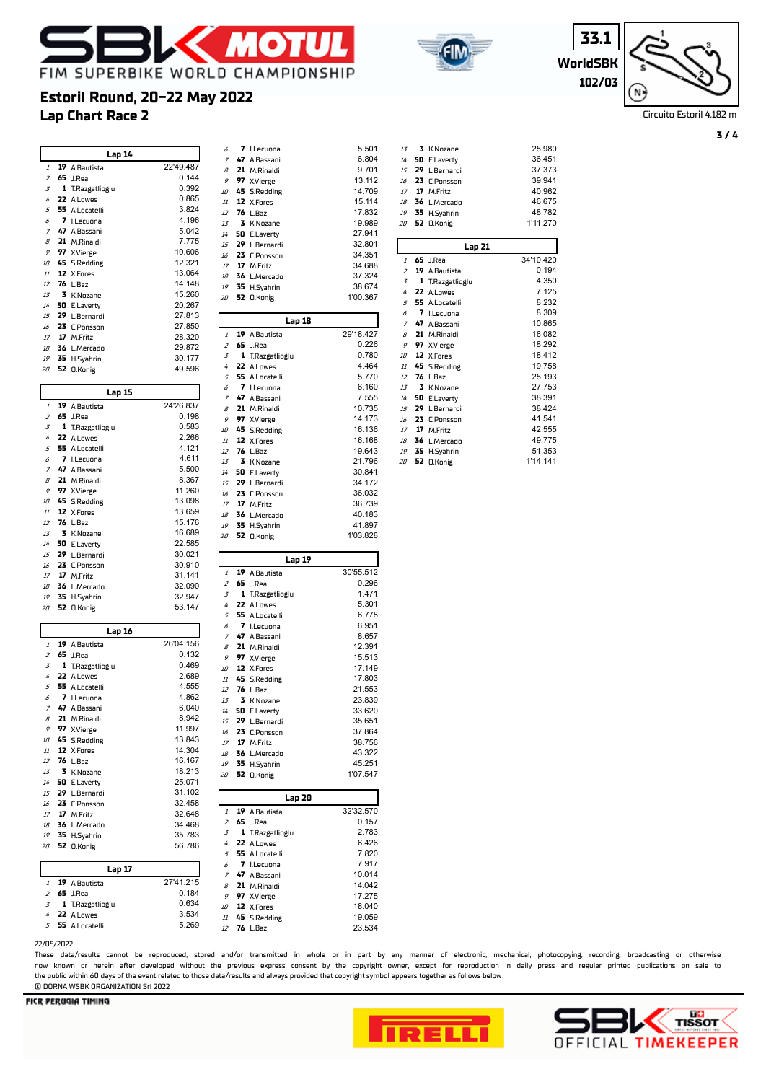



**WorldS 33.1 102/03**

| ВK  |  |
|-----|--|
| 703 |  |

Circuito Estoril 4.182 m

#### **Lap Chart Race 2 Estoril Round, 20-22 May 2022 Lap 14 19** A.Bautista 22'49.487 **65** J.Rea 0.144<br>3 **1** T.Razgatlioglu 0.392 **1** T.Razgatlioglu 0.392 **22** A.Lowes 0.865 **55** A.Locatelli 3.824 **7** I.Lecuona 4.196 **47** A.Bassani 5.042 **21** M.Rinaldi 7.775 **97** X.Vierge 10.606<br>**45** S.Pedding 12.321 10 **45** S.Redding 12.321<br>
11 **12** X.Fores 13.064 11 **12** X.Fores 13.064<br>12 **76** L.Baz 14.148 L.Baz 13 **3** K.Nozane 15.260<br>14 **50** Eleventy 20.267 14 **50** E.Laverty 20.267<br>15 **29** I Bernardi 27 813 15 **29** L.Bernardi 27.813<br>16 **23** C.Ponsson 27.850 16 **23** C.Ponsson 27.850<br>17 **17** M Fritz 28.320 17 **17** M.Fritz 28.320<br>18 **36** L.Mercado 29.872 **36** L.Mercado 29.872 19 **35** H.Syahrin 30.177<br>20 **52** O.Konig 49.596 **52** O.Konig **Lap 15 19** A.Bautista 24'26.837 **65** J.Rea 0.198 **1** T.Razgatlioglu 0.583 **22** A.Lowes **55** A.Locatelli 4.121 **7** I.Lecuona 4.611 **47** A.Bassani 5.500 8 **21** M.Rinaldi 8.367<br>**9 97** X.Vierge 11.260 **97** X.Vierge 11.260<br>**45** S.Redding 13.098 10 **45** S.Redding 13.098<br>11 **12** X.Fores 13.659 11 **12** X.Fores 13.659<br>12 **76** L.Baz 15.176 12 **76** L.Baz 15.176<br>13 **3** K.Nozane 16.689 K.Nozane **50** E.Laverty 22.585 **29** L.Bernardi 30.021 **23** C.Ponsson 30.910 **17** M.Fritz 31.141 **36** L.Mercado 32.090 **35** H.Syahrin 32.947 **52** O.Konig 53.147 **Lap 16 19** A.Bautista 26'04.156 **65** J.Rea 0.132 **1** T.Razgatlioglu 0.469 4 **22** A.Lowes 2.689<br>5 **55** A.Locatelli 4.555 **55** A.Locatelli (1.555)<br>**7** I.Lecuona (1.862) **7** I.Lecuona 4.862 **47** A.Bassani 6.040 8 **21** M.Rinaldi 8.942<br> **8.942**<br> **8.997** X.Vierge 11.997 9 **97** X.Vierge 11.997<br>10 **45** S.Redding 13.843 10 **45** S.Redding 13.843<br>
11 **12** X.Fores 14.304 11 **12** X.Fores 14.304<br>12 **76** L.Baz 16.167 12 **76** L.Baz 16.167<br>13 **3** K.Nozane 18.213 **3** K.Nozane 18.213<br>**50** E.Laverty 25.071 **50** E.Laverty 25.071 **29** L.Bernardi 31.102 16 **23** C.Ponsson 32.458<br>17 **17** M.Fritz 32.648 **17** M.Fritz 32.648<br>**36** L.Mercado 34.468 18 36 L.Mercado **35** H.Syahrin 35.783 **52** O.Konig **Lap 17 19** A.Bautista 27'41.215 **65** J.Rea **1** T.Razgatlioglu 0.634 4 **22** A.Lowes 3.534<br>5 **55** A.Locatelli 5.269

| 6                | 7  | I.Lecuona                    | 5.501            |
|------------------|----|------------------------------|------------------|
| $\overline{z}$   | 47 | A.Bassani                    | 6.804            |
| 8                | 21 | M.Rinaldi                    | 9.701            |
| 9                | 97 |                              | 13.112           |
|                  |    | X.Vierge                     |                  |
| 10               | 45 | <b>S.Redding</b>             | 14.709           |
| 11               | 12 | X.Fores                      | 15.114           |
| 12               | 76 | L.Baz                        | 17.832           |
| 13               | 3  |                              | 19.989           |
|                  |    | K.Nozane                     |                  |
| 14               | 50 | E.Laverty                    | 27.941           |
| 15               | 29 | L.Bernardi                   | 32.801           |
| 16               | 23 | C.Ponsson                    | 34.351           |
| 17               | 17 | M.Fritz                      | 34.688           |
|                  |    |                              |                  |
| 18               | 36 | L.Mercado                    | 37.324           |
| 19               | 35 | H.Syahrin                    | 38.674           |
| 20               | 52 | <b>O.Konig</b>               | 1'00.367         |
|                  |    |                              |                  |
|                  |    | Lap 18                       |                  |
|                  |    |                              |                  |
| 1                | 19 | A.Bautista                   | 29'18.427        |
| 2                | 65 | J.Rea                        | 0.226            |
| 3                | 1  | T.Razgatlioglu               | 0.780            |
| 4                | 22 | A.Lowes                      | 4.464            |
| 5                | 55 | A.Locatelli                  | 5.770            |
|                  |    |                              |                  |
| 6                | 7  | I.Lecuona                    | 6.160            |
| 7                | 47 | A.Bassani                    | 7.555            |
| 8                | 21 | M.Rinaldi                    | 10.735           |
| 9                | 97 | X.Vierge                     | 14.173           |
| 10               | 45 | <b>S.Redding</b>             | 16.136           |
|                  |    |                              |                  |
| 11               | 12 | X.Fores                      | 16.168           |
| 12               | 76 | L.Baz                        | 19.643           |
| 13               | 3  | K.Nozane                     | 21.796           |
| 14               | 50 | E.Laverty                    | 30.841           |
| 15               | 29 | L.Bernardi                   | 34.172           |
|                  |    |                              |                  |
| 16               | 23 | C.Ponsson                    | 36.032           |
| 17               | 17 | M.Fritz                      | 36.739           |
| 18               | 36 | L.Mercado                    | 40.183           |
| 19               | 35 | H.Syahrin                    | 41.897           |
| 20               | 52 | <b>O.Konig</b>               | 1'03.828         |
|                  |    |                              |                  |
|                  |    |                              |                  |
|                  |    |                              |                  |
|                  |    | Lap 19                       |                  |
| $\overline{1}$   | 19 | A.Bautista                   | 30'55.512        |
| $\overline{z}$   | 65 | J.Rea                        | 0.296            |
| 3                | 1  | T.Razgatlioglu               | 1.471            |
| 4                | 22 | A.Lowes                      | 5.301            |
|                  |    |                              |                  |
| 5                | 55 | A.Locatelli                  | 6.778            |
| 6                | 7  | I.Lecuona                    | 6.951            |
| 7                | 47 | A.Bassani                    | 8.657            |
| 8                | 21 | M.Rinaldi                    | 12.391           |
| 9                | 97 | X.Vierge                     | 15.513           |
| 10               | 12 |                              | 17.149           |
|                  |    | X.Fores                      |                  |
| 11               | 45 | <b>S.Redding</b>             | 17.803           |
| 12               | 76 | L.Baz                        | 21.553           |
| 13               | 3  | K.Nozane                     | 23.839           |
| 14               | 50 | E.Laverty                    | 33.620           |
| 15               |    | 29 L.Bernardi                | 35.651           |
|                  |    |                              |                  |
| 16               |    | 23 C.Ponsson                 | 37.864           |
| 17               | 17 | M.Fritz                      | 38.756           |
| 18               | 36 | L.Mercado                    | 43.322           |
| 19               | 35 | H.Syahrin                    | 45.251           |
| 20               | 52 | <b>O.Konig</b>               | 1'07.547         |
|                  |    |                              |                  |
|                  |    | Lap 20                       |                  |
| $\boldsymbol{1}$ | 19 | A.Bautista                   | 32'32.570        |
| $\overline{z}$   | 65 | J.Rea                        | 0.157            |
|                  |    |                              |                  |
| 3                | 1  | T.Razgatlioglu               | 2.783            |
| 4                | 22 | A.Lowes                      | 6.426            |
| 5                | 55 | A.Locatelli                  | 7.820            |
| 6                | 7  | I.Lecuona                    | 7.917            |
| $\boldsymbol{7}$ | 47 | A.Bassani                    | 10.014           |
| 8                | 21 | M.Rinaldi                    | 14.042           |
| 9                | 97 |                              |                  |
|                  |    | X.Vierge                     | 17.275           |
| 10               | 12 | X.Fores                      | 18.040           |
| 11<br>12         | 45 | <b>S.Redding</b><br>76 L.Baz | 19.059<br>23.534 |

| 13             | 3              | K.Nozane         | 25.980    |
|----------------|----------------|------------------|-----------|
| 14             | 50             | E.Laverty        | 36.451    |
| 15             | 29             | L.Bernardi       | 37.373    |
| 16             | 23             | C.Ponsson        | 39.941    |
| 17             |                | 17 M.Fritz       | 40.962    |
| 18             | 36             | L.Mercado        | 46.675    |
| 19             | 35             | H.Syahrin        | 48.782    |
| 20             | 52             | 0.Konig          | 1'11.270  |
|                |                |                  |           |
|                |                | Lap 21           |           |
| $\mathcal{I}$  | 65             | J.Rea            | 34'10.420 |
| $\overline{z}$ | 19             | A.Bautista       | 0.194     |
| 3              | 1              | T.Razgatlioglu   | 4.350     |
| 4              | 22             | A.Lowes          | 7.125     |
| 5              | 55.            | A.Locatelli      | 8.232     |
| 6              | $\overline{ }$ | I.Lecuona        | 8.309     |
| $\overline{z}$ | 47             | A.Bassani        | 10.865    |
| $\overline{B}$ | 21             | M.Rinaldi        | 16.082    |
| 9              |                | 97 X.Vierge      | 18.292    |
| 10             |                | 12 X.Fores       | 18.412    |
| 11             |                | 45 S.Redding     | 19.758    |
| 12             | 76             | L.Baz            | 25.193    |
| 13             | 3              | K.Nozane         | 27.753    |
| 14             | 50             | E.Laverty        | 38.391    |
| 15             | 29             | L.Bernardi       | 38.424    |
| 16             | 23             | <b>C.Ponsson</b> | 41.541    |
| 17             | 17             | M.Fritz          | 42.555    |
| 18             | 36             | L.Mercado        | 49.775    |
| 19             | 35             | H.Syahrin        | 51.353    |
| 20             | 52             | 0.Konig          | 1'14.141  |

#### 22/05/2022

**55** A.Locatelli

These data/results cannot be reproduced, stored and/or transmitted in whole or in part by any manner of electronic, mechanical, photocopying, recording, broadcasting or otherwise now known or herein afer developed without the previous express consent by the copyright owner, except for reproduction in daily press and regular printed publications on sale to the public within 60 days of the event related to those data/results and always provided that copyright symbol appears together as follows below. © DORNA WSBK ORGANIZATION Srl 2022



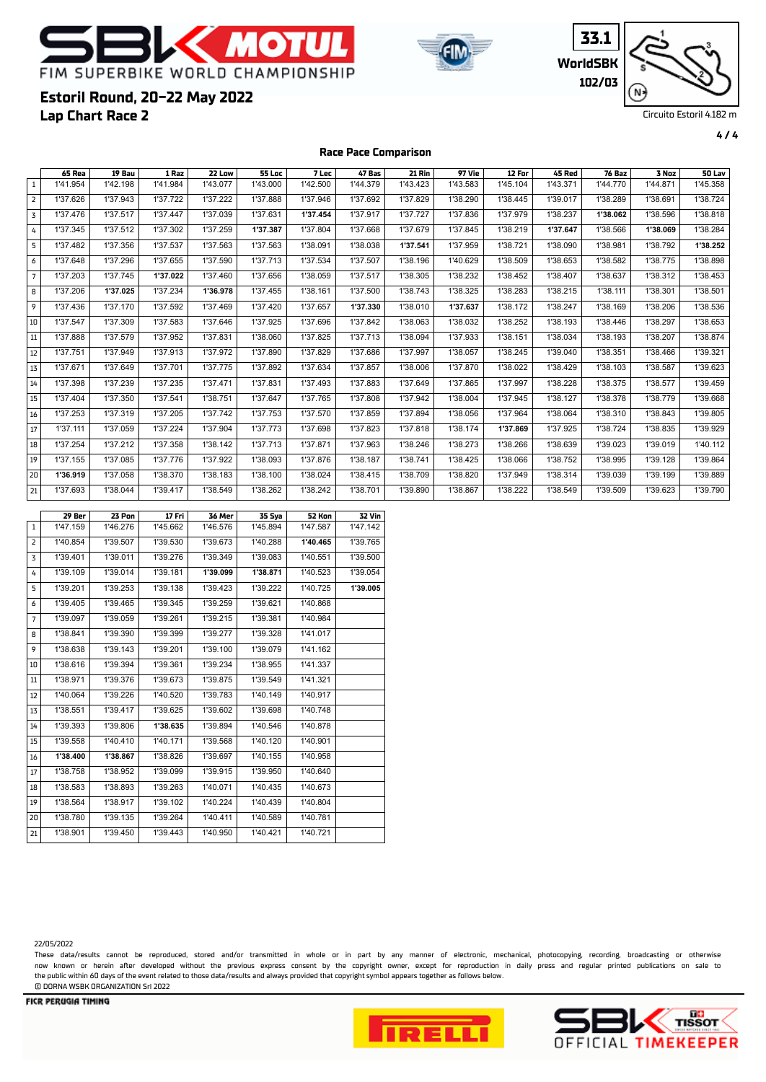



**33.1 WorldSBK 102/03** N

Circuito Estoril 4.182 m

**4 / 4**

### **Lap Chart Race 2 Estoril Round, 20-22 May 2022**

**Race Pace Comparison**

| $\mathbf{1}$   | 65 Rea<br>1'41.954 | 19 Bau<br>1'42.198 | 1 Raz<br>1'41.984  | 22 Low<br>1'43.077 | <b>55 Loc</b><br>1'43.000 | 7 Lec<br>1'42.500  | 47 Bas<br>1'44.379 | <b>21 Rin</b><br>1'43.423 | 97 Vie<br>1'43.583 | 12 For<br>1'45.104 | <b>45 Red</b><br>1'43.371 | 76 Baz<br>1'44.770 | 3 Noz<br>1'44.871 | 50 Lav<br>1'45.358 |
|----------------|--------------------|--------------------|--------------------|--------------------|---------------------------|--------------------|--------------------|---------------------------|--------------------|--------------------|---------------------------|--------------------|-------------------|--------------------|
| $\overline{2}$ | 1'37.626           | 1'37.943           | 1'37.722           | 1'37.222           | 1'37.888                  | 1'37.946           | 1'37.692           | 1'37.829                  | 1'38.290           | 1'38.445           | 1'39.017                  | 1'38.289           | 1'38.691          | 1'38.724           |
| 3              | 1'37.476           | 1'37.517           | 1'37.447           | 1'37.039           | 1'37.631                  | 1'37.454           | 1'37.917           | 1'37.727                  | 1'37.836           | 1'37.979           | 1'38.237                  | 1'38.062           | 1'38.596          | 1'38.818           |
| 4              | 1'37.345           | 1'37.512           | 1'37.302           | 1'37.259           | 1'37.387                  | 1'37.804           | 1'37.668           | 1'37.679                  | 1'37.845           | 1'38.219           | 1'37.647                  | 1'38.566           | 1'38.069          | 1'38.284           |
| 5              | 1'37.482           | 1'37.356           | 1'37.537           | 1'37.563           | 1'37.563                  | 1'38.091           | 1'38.038           | 1'37.541                  | 1'37.959           | 1'38.721           | 1'38.090                  | 1'38.981           | 1'38.792          | 1'38.252           |
| 6              | 1'37.648           | 1'37.296           | 1'37.655           | 1'37.590           | 1'37.713                  | 1'37.534           | 1'37.507           | 1'38.196                  | 1'40.629           | 1'38.509           | 1'38.653                  | 1'38.582           | 1'38.775          | 1'38.898           |
| $\overline{7}$ | 1'37.203           | 1'37.745           | 1'37.022           | 1'37.460           | 1'37.656                  | 1'38.059           | 1'37.517           | 1'38.305                  | 1'38.232           | 1'38.452           | 1'38.407                  | 1'38.637           | 1'38.312          | 1'38.453           |
| 8              | 1'37.206           | 1'37.025           | 1'37.234           | 1'36.978           | 1'37.455                  | 1'38.161           | 1'37.500           | 1'38.743                  | 1'38.325           | 1'38.283           | 1'38.215                  | 1'38.111           | 1'38.301          | 1'38.501           |
| 9              | 1'37.436           | 1'37.170           | 1'37.592           | 1'37.469           | 1'37.420                  | 1'37.657           | 1'37.330           | 1'38.010                  | 1'37.637           | 1'38.172           | 1'38.247                  | 1'38.169           | 1'38.206          | 1'38.536           |
| 10             | 1'37.547           | 1'37.309           | 1'37.583           | 1'37.646           | 1'37.925                  | 1'37.696           | 1'37.842           | 1'38.063                  | 1'38.032           | 1'38.252           | 1'38.193                  | 1'38.446           | 1'38.297          | 1'38.653           |
| 11             | 1'37.888           | 1'37.579           | 1'37.952           | 1'37.831           | 1'38.060                  | 1'37.825           | 1'37.713           | 1'38.094                  | 1'37.933           | 1'38.151           | 1'38.034                  | 1'38.193           | 1'38.207          | 1'38.874           |
| 12             | 1'37.751           | 1'37.949           | 1'37.913           | 1'37.972           | 1'37.890                  | 1'37.829           | 1'37.686           | 1'37.997                  | 1'38.057           | 1'38.245           | 1'39.040                  | 1'38.351           | 1'38.466          | 1'39.321           |
| 13             | 1'37.671           | 1'37.649           | 1'37.701           | 1'37.775           | 1'37.892                  | 1'37.634           | 1'37.857           | 1'38.006                  | 1'37.870           | 1'38.022           | 1'38.429                  | 1'38.103           | 1'38.587          | 1'39.623           |
| 14             | 1'37.398           | 1'37.239           | 1'37.235           | 1'37.471           | 1'37.831                  | 1'37.493           | 1'37.883           | 1'37.649                  | 1'37.865           | 1'37.997           | 1'38.228                  | 1'38.375           | 1'38.577          | 1'39.459           |
| 15             | 1'37.404           | 1'37.350           | 1'37.541           | 1'38.751           | 1'37.647                  | 1'37.765           | 1'37.808           | 1'37.942                  | 1'38.004           | 1'37.945           | 1'38.127                  | 1'38.378           | 1'38.779          | 1'39.668           |
| 16             | 1'37.253           | 1'37.319           | 1'37.205           | 1'37.742           | 1'37.753                  | 1'37.570           | 1'37.859           | 1'37.894                  | 1'38.056           | 1'37.964           | 1'38.064                  | 1'38.310           | 1'38.843          | 1'39.805           |
| $17\,$         | 1'37.111           | 1'37.059           | 1'37.224           | 1'37.904           | 1'37.773                  | 1'37.698           | 1'37.823           | 1'37.818                  | 1'38.174           | 1'37.869           | 1'37.925                  | 1'38.724           | 1'38.835          | 1'39.929           |
| 18             | 1'37.254           | 1'37.212           | 1'37.358           | 1'38.142           | 1'37.713                  | 1'37.871           | 1'37.963           | 1'38.246                  | 1'38.273           | 1'38.266           | 1'38.639                  | 1'39.023           | 1'39.019          | 1'40.112           |
| $19\,$         | 1'37.155           | 1'37.085           | 1'37.776           | 1'37.922           | 1'38.093                  | 1'37.876           | 1'38.187           | 1'38.741                  | 1'38.425           | 1'38.066           | 1'38.752                  | 1'38.995           | 1'39.128          | 1'39.864           |
| 20             | 1'36.919           | 1'37.058           | 1'38.370           | 1'38.183           | 1'38.100                  | 1'38.024           | 1'38.415           | 1'38.709                  | 1'38.820           | 1'37.949           | 1'38.314                  | 1'39.039           | 1'39.199          | 1'39.889           |
| 21             | 1'37.693           | 1'38.044           | 1'39.417           | 1'38.549           | 1'38.262                  | 1'38.242           | 1'38.701           | 1'39.890                  | 1'38.867           | 1'38.222           | 1'38.549                  | 1'39.509           | 1'39.623          | 1'39.790           |
|                |                    |                    |                    |                    |                           |                    |                    |                           |                    |                    |                           |                    |                   |                    |
| $\mathbf{1}$   | 29 Ber<br>1'47.159 | 23 Pon<br>1'46.276 | 17 Fri<br>1'45.662 | 36 Mer<br>1'46.576 | 35 Sya<br>1'45.894        | 52 Kon<br>1'47.587 | 32 Vin<br>1'47.142 |                           |                    |                    |                           |                    |                   |                    |
| $\overline{2}$ | 1'40.854           | 1'39.507           | 1'39.530           | 1'39.673           | 1'40.288                  | 1'40.465           | 1'39.765           |                           |                    |                    |                           |                    |                   |                    |
| 3              | 1'39.401           | 1'39.011           | 1'39.276           | 1'39.349           | 1'39.083                  | 1'40.551           | 1'39.500           |                           |                    |                    |                           |                    |                   |                    |
| 4              | 1'39.109           | 1'39.014           | 1'39.181           | 1'39.099           | 1'38.871                  | 1'40.523           | 1'39.054           |                           |                    |                    |                           |                    |                   |                    |
| 5              | 1'39.201           | 1'39.253           | 1'39.138           | 1'39.423           | 1'39.222                  | 1'40.725           | 1'39.005           |                           |                    |                    |                           |                    |                   |                    |
| 6              | 1'39.405           | 1'39.465           | 1'39.345           | 1'39.259           | 1'39.621                  | 1'40.868           |                    |                           |                    |                    |                           |                    |                   |                    |
| $\overline{7}$ | 1'39.097           | 1'39.059           | 1'39.261           | 1'39.215           | 1'39.381                  | 1'40.984           |                    |                           |                    |                    |                           |                    |                   |                    |
| 8              | 1'38.841           | 1'39.390           | 1'39.399           | 1'39.277           | 1'39.328                  | 1'41.017           |                    |                           |                    |                    |                           |                    |                   |                    |
| 9              | 1'38.638           | 1'39.143           | 1'39.201           | 1'39.100           | 1'39.079                  | 1'41.162           |                    |                           |                    |                    |                           |                    |                   |                    |
| 10             | 1'38.616           | 1'39.394           | 1'39.361           | 1'39.234           | 1'38.955                  | 1'41.337           |                    |                           |                    |                    |                           |                    |                   |                    |
| $11\,$         | 1'38.971           | 1'39.376           | 1'39.673           | 1'39.875           | 1'39.549                  | 1'41.321           |                    |                           |                    |                    |                           |                    |                   |                    |
| 12             | 1'40.064           | 1'39.226           | 1'40.520           | 1'39.783           | 1'40.149                  | 1'40.917           |                    |                           |                    |                    |                           |                    |                   |                    |
| 13             | 1'38.551           | 1'39.417           | 1'39.625           | 1'39.602           | 1'39.698                  | 1'40.748           |                    |                           |                    |                    |                           |                    |                   |                    |
| 14             | 1'39.393           | 1'39.806           | 1'38.635           | 1'39.894           | 1'40.546                  | 1'40.878           |                    |                           |                    |                    |                           |                    |                   |                    |
| 15             | 1'39.558           | 1'40.410           | 1'40.171           | 1'39.568           | 1'40.120                  | 1'40.901           |                    |                           |                    |                    |                           |                    |                   |                    |
| 16             | 1'38.400           | 1'38.867           | 1'38.826           | 1'39.697           | 1'40.155                  | 1'40.958           |                    |                           |                    |                    |                           |                    |                   |                    |
| 17             | 1'38.758           | 1'38.952           | 1'39.099           | 1'39.915           | 1'39.950                  | 1'40.640           |                    |                           |                    |                    |                           |                    |                   |                    |
| 18             | 1'38.583           | 1'38.893           | 1'39.263           | 1'40.071           | 1'40.435                  | 1'40.673           |                    |                           |                    |                    |                           |                    |                   |                    |
| 19             |                    |                    |                    |                    |                           |                    |                    |                           |                    |                    |                           |                    |                   |                    |
|                | 1'38.564           | 1'38.917           | 1'39.102           | 1'40.224           | 1'40.439                  | 1'40.804           |                    |                           |                    |                    |                           |                    |                   |                    |

These data/results cannot be reproduced, stored and/or transmitted in whole or in part by any manner of electronic, mechanical, photocopying, recording, broadcasting or otherwise now known or herein afer developed without the previous express consent by the copyright owner, except for reproduction in daily press and regular printed publications on sale to the public within 60 days of the event related to those data/results and always provided that copyright symbol appears together as follows below. © DORNA WSBK ORGANIZATION Srl 2022



1'38.901 1'39.450 1'39.443 1'40.950 1'40.421 1'40.721



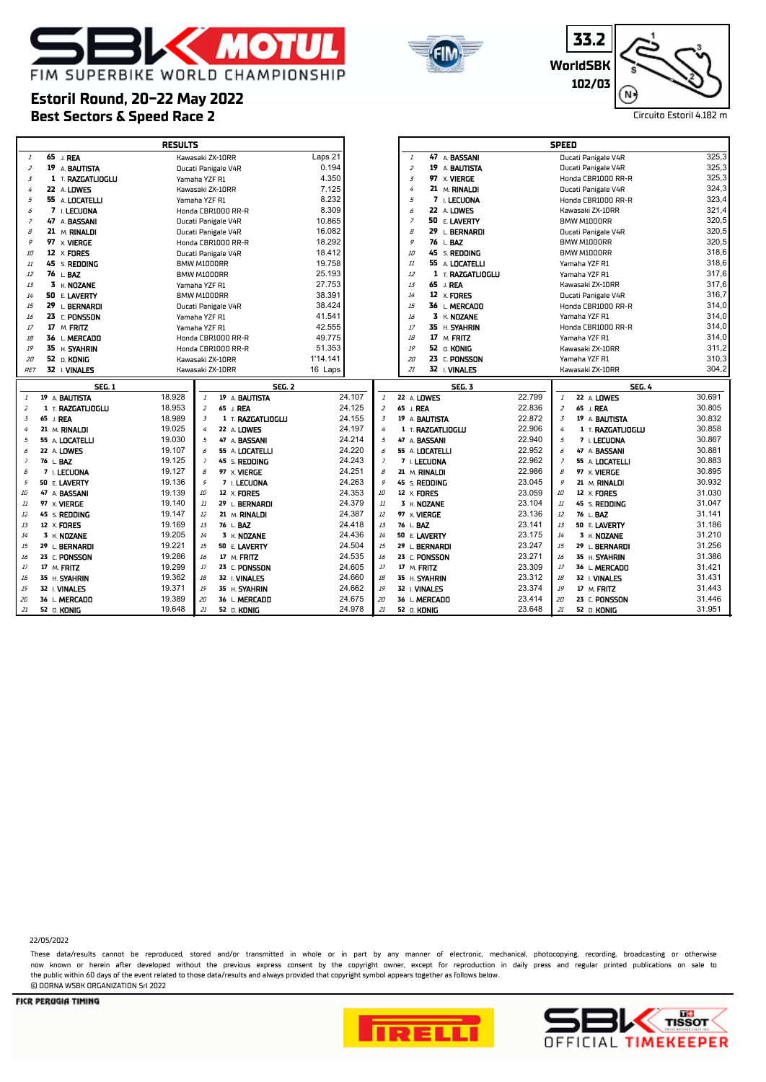



**33.2 WorldSBK 102/03** 'N ·

### **Best Sectors & Speed Race 2** Circuito Estoril 4.182 m **Estoril Round, 20-22 May 2022**

|                |                              | <b>RESULTS</b>                                               |                              |                                 |                  | <b>SPEED</b>                                                                                                                                            |                  |
|----------------|------------------------------|--------------------------------------------------------------|------------------------------|---------------------------------|------------------|---------------------------------------------------------------------------------------------------------------------------------------------------------|------------------|
| $\mathcal{I}$  | 65 J. REA                    | Kawasaki ZX-10RR                                             | Laps 21                      | 47 A BASSANI<br>$\mathbf{1}$    |                  | Ducati Panigale V4R                                                                                                                                     | 325,3            |
| $\overline{z}$ | 19 A BAUTISTA                | Ducati Panigale V4R                                          | 0.194                        | 19 A BAUTISTA<br>$\overline{z}$ |                  | Ducati Panigale V4R                                                                                                                                     | 325,3            |
| 3              | $1$ T. RAZGATLIOGLU          | Yamaha YZF R1                                                | 4.350                        | $\overline{3}$<br>97 x VIERGE   |                  | Honda CBR1000 RR-R                                                                                                                                      | 325,3            |
| 4              | 22 A LOWES                   | Kawasaki ZX-10RR                                             | 7.125                        | 21 M. RINALDI<br>4              |                  | Ducati Panigale V4R                                                                                                                                     | 324,3            |
| 5              | 55 A LOCATELLI               | Yamaha YZF R1                                                | 8.232                        | 5<br>7 L LECUONA                |                  | Honda CBR1000 RR-R                                                                                                                                      | 323,4            |
| 6              | 7 I. LECUONA                 | Honda CBR1000 RR-R                                           | 8.309                        | 22 A LOWES<br>6                 |                  | Kawasaki ZX-10RR                                                                                                                                        | 321,4            |
| $\overline{z}$ | 47 A BASSANI                 | Ducati Panigale V4R                                          | 10.865                       | $\overline{z}$<br>50 E. LAVERTY |                  | BMW M1000RR                                                                                                                                             | 320,5            |
| 8              | 21 M. RINALDI                | Ducati Panigale V4R                                          | 16.082                       | $\beta$<br>29 L. BERNARDI       |                  | Ducati Panigale V4R                                                                                                                                     | 320,5            |
| 9              | 97 x VIERGE                  | Honda CBR1000 RR-R                                           | 18.292                       | 76 L.BAZ<br>9                   |                  | BMW M1000RR                                                                                                                                             | 320,5            |
| 10             | 12<br><b>x. FORES</b>        | Ducati Panigale V4R                                          | 18.412                       | 45 s. <b>Redding</b><br>10      |                  | BMW M1000RR                                                                                                                                             | 318,6            |
| 11             | 45 s. <b>Redding</b>         | BMW M1000RR                                                  | 19.758                       | 55 A LOCATELLI<br>11            |                  | Yamaha YZF R1                                                                                                                                           | 318,6            |
| 12             | 76 L. BAZ                    | BMW M1000RR                                                  | 25.193                       | 12<br>1 T. RAZGATLIOGLU         |                  | Yamaha YZF R1                                                                                                                                           | 317,6            |
| 13             | $3 K$ NOZANE                 | Yamaha YZF R1                                                | 27.753                       | 65 J. REA<br>13                 |                  | Kawasaki ZX-10RR                                                                                                                                        | 317,6            |
| 14             | 50 E. LAVERTY                | BMW M1000RR                                                  | 38.391                       | 12 x FORES<br>14                |                  | Ducati Panigale V4R                                                                                                                                     | 316,7            |
| 15             | 29 L. BERNARDI               | Ducati Panigale V4R                                          | 38.424                       | 15<br>36 L. MERCADO             |                  | Honda CBR1000 RR-R                                                                                                                                      | 314,0            |
| 16             | 23 C. PONSSON                | Yamaha YZF R1                                                | 41.541                       | 3 K. NOZANE<br>16               |                  | Yamaha YZF R1                                                                                                                                           | 314,0            |
| 17             | 17 M. FRITZ                  | Yamaha YZF R1                                                | 42.555                       | 17<br>35 H. SYAHRIN             |                  | Honda CBR1000 RR-R                                                                                                                                      | 314,0            |
| 18             | 36 L. MERCADO                | Honda CBR1000 RR-R                                           | 49.775                       | 17 M. FRITZ<br>18               |                  | Yamaha YZF R1                                                                                                                                           | 314,0            |
| 19             | 35 H. SYAHRIN                | Honda CBR1000 RR-R                                           | 51.353                       | 52 O. KONIG<br>19               |                  | Kawasaki ZX-10RR                                                                                                                                        | 311,2            |
| 20             | 52 O. KONIG                  | Kawasaki ZX-10RR                                             | 1'14.141                     | 23 C. PONSSON<br>20             |                  | Yamaha YZF R1                                                                                                                                           | 310,3            |
| <b>RET</b>     | 32 I. VINALES                | Kawasaki ZX-10RR                                             | 16 Laps                      | 32 I. VINALES<br>21             |                  | Kawasaki ZX-10RR                                                                                                                                        | 304,2            |
|                |                              |                                                              |                              |                                 |                  |                                                                                                                                                         |                  |
|                |                              |                                                              |                              |                                 |                  |                                                                                                                                                         |                  |
|                | <b>SEG. 1</b>                | <b>SEG. 2</b>                                                |                              | <b>SEG. 3</b>                   |                  | <b>SEG. 4</b>                                                                                                                                           |                  |
| $\mathbf{1}$   | 19 A. BAUTISTA               | 18.928<br>19 A BAUTISTA                                      | 24.107<br>$\mathbf{1}$       | 22 A. LOWES                     | 22.799           | $\it 1$<br>22 A LOWES                                                                                                                                   | 30.691           |
| 2              | 1 T. RAZGATLIOGLU            | 18.953<br>65 J. REA<br>2                                     | 24.125<br>2                  | 65 J. REA                       | 22.836           | $\overline{z}$<br>65 J. REA                                                                                                                             | 30.805           |
| 3              | 65 J. REA                    | 18.989<br>$\overline{3}$<br>1 T. RAZGATLIOGLU                | 24.155<br>$\overline{3}$     | 19 A. BAUTISTA                  | 22.872           | $\overline{3}$<br>19 A BAUTISTA                                                                                                                         | 30.832           |
| 4              | 21 M. RINALDI                | 19.025<br>22 A LOWES<br>4<br>5                               | 24.197<br>4                  | 1 T. RAZGATLIOGLU               | 22.906           | 4<br>1 T. RAZGATLIOGLU                                                                                                                                  | 30.858           |
| 5              | 55 A. LOCATELLI              | 19.030<br>47 A BASSANI<br>6                                  | 24.214<br>$\overline{5}$     | 47 A. BASSANI                   | 22.940           | 5<br>7 I. LECUONA                                                                                                                                       | 30.867           |
| 6              | 22 A. LOWES                  | 19.107<br>55 A LOCATELLI                                     | 24.220<br>6                  | 55 A. LOCATELLI                 | 22.952           | 6<br>47 A BASSANI<br>$\overline{z}$                                                                                                                     | 30.881           |
| -7             | 76 L. BAZ                    | 19.125<br>45 S. REDDING                                      | 24.243<br>$\bar{z}$          | 7 I. LECUONA                    | 22.962           | 55 A LOCATELLI                                                                                                                                          | 30.883           |
| 8              | 7 I. LECUONA                 | 19.127<br>97 X. VIERGE<br>8<br>9                             | 24.251<br>$\mathcal S$       | 21 M. RINALDI                   | 22.986           | $\mathcal{B}% _{0}=\mathcal{A}_{\mathrm{CL}}^{\mathrm{op}}(\mathcal{A})\simeq\mathcal{A}_{\mathrm{CL}}^{\mathrm{op}}(\mathcal{A})$<br>97 X. VIERGE<br>9 | 30.895           |
| 9              | 50 E. LAVERTY                | 19.136<br>7 I. LECUONA                                       | 24.263<br>$\mathcal{G}$      | 45 S. REDDING                   | 23.045           | 21 M. RINALDI                                                                                                                                           | 30.932           |
| 10             | 47 A. BASSANI                | 19.139<br>12 X FORES<br>10                                   | 24.353<br>10                 | 12 X FORES                      | 23.059           | 10<br>12 X FORES                                                                                                                                        | 31.030           |
| $11\,$         | 97 X VIERGE                  | 19.140<br>11<br>29 L. BERNARDI                               | 24.379<br>$11\,$             | 3 K. NOZANE                     | 23.104           | 11<br>45 S. REDDING                                                                                                                                     | 31.047           |
| 12             | 45 S. <b>REDDING</b>         | 19.147<br>12<br>21 M. RINALDI                                | 24.387<br>$12$               | 97 X. VIERGE                    | 23.136           | 12<br>76 L. BAZ                                                                                                                                         | 31.141           |
| 13             | 12 X FORES                   | 19.169<br>13<br>76 L. BAZ                                    | 24.418<br>13                 | 76 L. BAZ                       | 23.141           | 13<br>50 E. LAVERTY                                                                                                                                     | 31.186           |
| 14             | 3 K. NOZANE                  | 19.205<br>14<br>3 K. NOZANE                                  | 24.436<br>14                 | 50 E. LAVERTY                   | 23.175           | 14<br>3 K. NOZANE                                                                                                                                       | 31.210           |
| 15             | 29 L BERNARDI                | 19.221<br>15<br>50 E. LAVERTY                                | 24.504<br>15                 | 29 L. BERNARDI                  | 23.247           | 15<br>29 L. BERNARDI                                                                                                                                    | 31.256           |
| 16             | 23 C. PONSSON                | 19.286<br>17 M. FRITZ<br>16                                  | 24.535<br>16                 | 23 C. PONSSON                   | 23.271           | 16<br>35 H. SYAHRIN                                                                                                                                     | 31.386           |
| $17$           | 17 M. FRITZ                  | 19.299<br>17<br>23 C. PONSSON                                | 24.605<br>$17\,$             | 17 M. FRITZ                     | 23.309           | $17$<br>36 L. MERCADO                                                                                                                                   | 31.421           |
| 18             | 35 H. SYAHRIN                | 19.362<br>18<br>32 I. VINALES                                | 24.660<br>18                 | 35 H. SYAHRIN                   | 23.312           | 18<br>32 I. VINALES                                                                                                                                     | 31.431           |
| 19             | 32   VINALES                 | 19.371<br>19<br>35 H. SYAHRIN                                | 24.662<br>$19\,$             | 32 I. VINALES                   | 23.374           | 19<br>17 M. FRITZ                                                                                                                                       | 31.443           |
| 20<br>21       | 36 L. MERCADO<br>52 O. KONIG | 19.389<br>20<br>36 L. MERCADO<br>19.648<br>21<br>52 0. KONIG | 24.675<br>20<br>24.978<br>21 | 36 L. MERCADO<br>52 O. KONIG    | 23.414<br>23.648 | 20<br>23 C. PONSSON<br>21<br>52 O. KONIG                                                                                                                | 31.446<br>31.951 |

22/05/2022

These data/results cannot be reproduced, stored and/or transmitted in whole or in part by any manner of electronic, mechanical, photocopying, recording, broadcasting or otherwise now known or herein afer developed without the previous express consent by the copyright owner, except for reproduction in daily press and regular printed publications on sale to the public within 60 days of the event related to those data/results and always provided that copyright symbol appears together as follows below. © DORNA WSBK ORGANIZATION Srl 2022



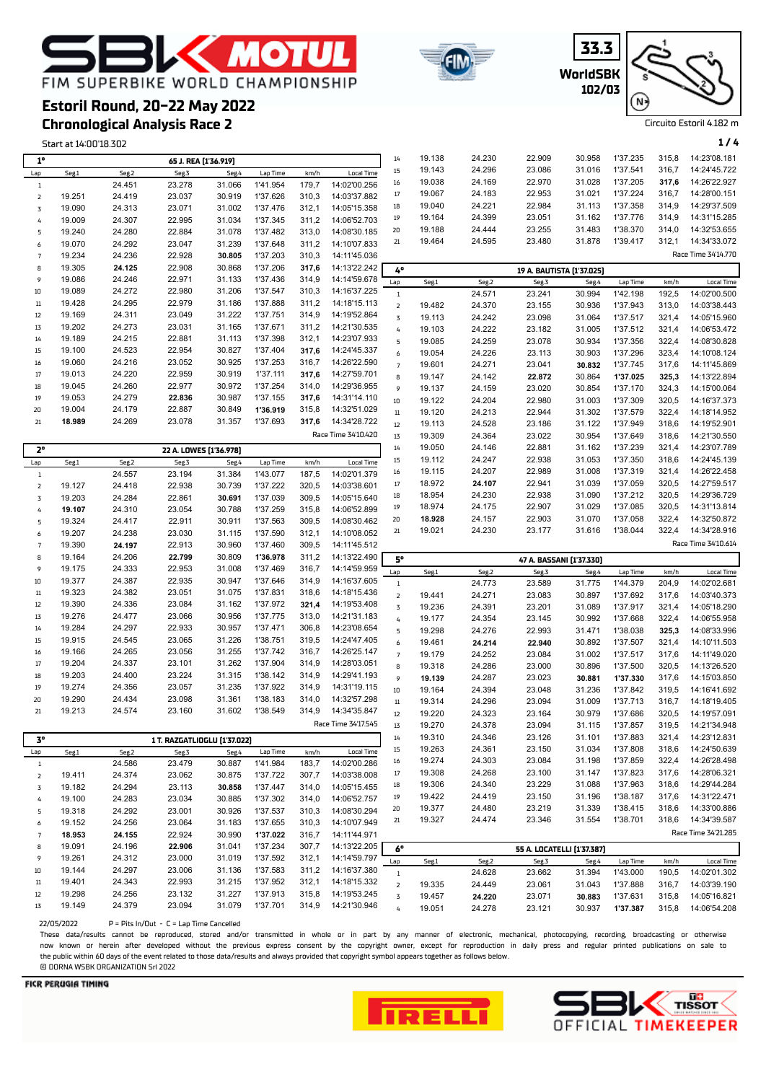

### **Chronological Analysis Race 2 Estoril Round, 20-22 May 2022**



**WorldSBK**

**33.3**

| 6                | 19.152 | 24.256 | 23.064 | 31.183 | 1'37.655 | 310.3 | 14:10'07.949 | 21  | 19.327 | 24.474 | 23.346                     | 31.554 | 1'38.701 | 318.6 | 14:34'39.587        |
|------------------|--------|--------|--------|--------|----------|-------|--------------|-----|--------|--------|----------------------------|--------|----------|-------|---------------------|
|                  | 18.953 | 24.155 | 22.924 | 30.990 | 1'37.022 | 316.7 | 14:11'44.971 |     |        |        |                            |        |          |       | Race Time 34'21.285 |
| 8                | 19.091 | 24.196 | 22.906 | 31.041 | 1'37.234 | 307,7 | 14:13'22.205 | 6°  |        |        | 55 A. LOCATELLI [1'37.387] |        |          |       |                     |
| 9                | 19.261 | 24.312 | 23,000 | 31.019 | 1'37.592 | 312.1 | 14:14'59.797 | Lap | Seg.1  | Seg.2  | Seg.3                      | Seg.4  | Lap Time | km/h  | <b>Local Time</b>   |
| 10 <sup>10</sup> | 19.144 | 24.297 | 23,006 | 31.136 | 1'37.583 | 311.2 | 14:16'37.380 |     |        | 24.628 | 23.662                     | 31.394 | 1'43.000 | 190.5 | 14:02'01.302        |
| 11               | 19.401 | 24.343 | 22.993 | 31.215 | 1'37.952 | 312.1 | 14:18'15.332 |     | 19.335 | 24.449 | 23.061                     | 31.043 | 1'37.888 | 316.7 | 14:03'39.190        |
| 12               | 19.298 | 24.256 | 23.132 | 31.227 | 1'37.913 | 315.8 | 14:19'53.245 |     | 19.457 | 24.220 | 23.071                     | 30.883 | 1'37.631 | 315.8 | 14:05'16.821        |
| 13               | 19.149 | 24.379 | 23.094 | 31.079 | 1'37.701 | 314.9 | 14:21'30.946 |     | 19.051 | 24.278 | 23.121                     | 30.937 | 1'37.387 | 315.8 | 14:06'54.208        |

 $22/05/2022$  P = Pits In/Out - C = Lap Time Cancelled

19.318 24.292 23.001 30.926 1'37.537 310,3 14:08'30.294

These data/results cannot be reproduced, stored and/or transmitted in whole or in part by any manner of electronic, mechanical, photocopying, recording, broadcasting or otherwise now known or herein afer developed without the previous express consent by the copyright owner, except for reproduction in daily press and regular printed publications on sale to the public within 60 days of the event related to those data/results and always provided that copyright symbol appears together as follows below. © DORNA WSBK ORGANIZATION Srl 2022

#### **FICR PERUGIA TIMING**





 19.377 24.480 23.219 31.339 1'38.415 318,6 14:33'00.886 19.327 24.474 23.346 31.554 1'38.701 318,6 14:34'39.587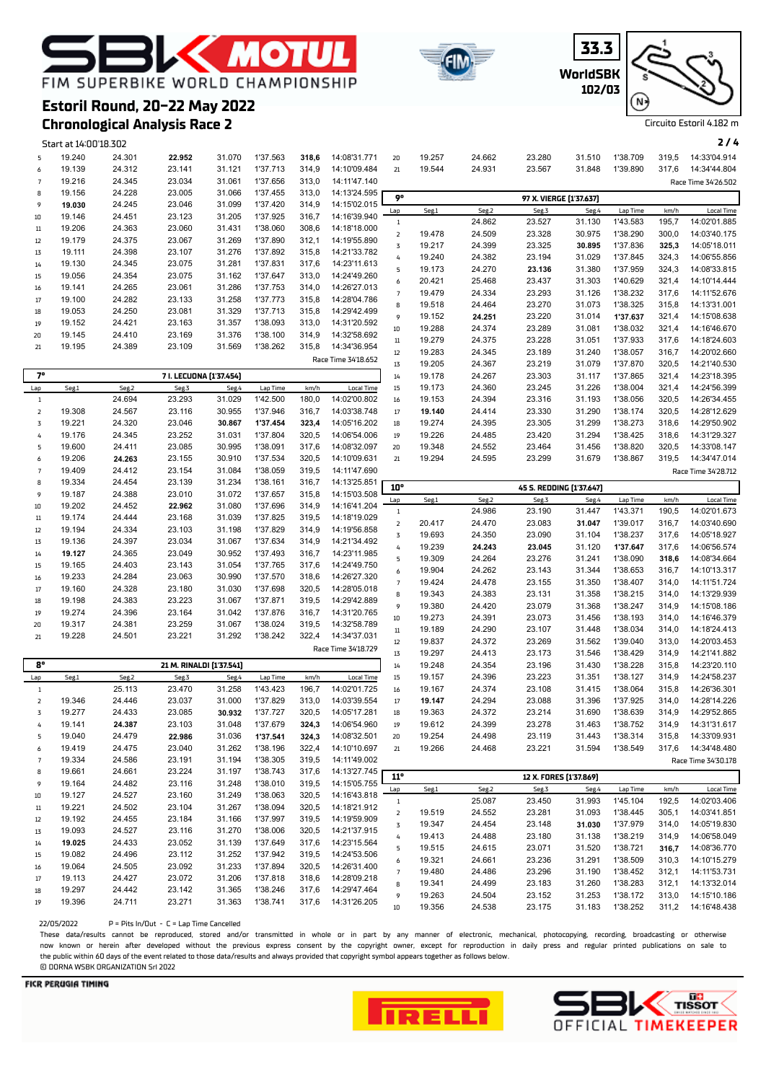# **EXAMPLE** FIM SUPERBIKE WORLD CHAMPIONSHIP

**Estoril Round, 20-22 May 2022**







Circuito Estoril 4.182 m

## **Chronological Analysis Race 2**

|                          | Start at 14:00'18.302 |        |                          |        |          |       |                     |                         |        |        |                          |        |          |       | 2/4                 |
|--------------------------|-----------------------|--------|--------------------------|--------|----------|-------|---------------------|-------------------------|--------|--------|--------------------------|--------|----------|-------|---------------------|
| 5                        | 19.240                | 24.301 | 22.952                   | 31.070 | 1'37.563 | 318,6 | 14:08'31.771        | 20                      | 19.257 | 24.662 | 23.280                   | 31.510 | 1'38.709 | 319,5 | 14:33'04.914        |
| 6                        | 19.139                | 24.312 | 23.141                   | 31.121 | 1'37.713 | 314,9 | 14:10'09.484        | 21                      | 19.544 | 24.931 | 23.567                   | 31.848 | 1'39.890 | 317,6 | 14:34'44.804        |
| $\overline{7}$           | 19.216                | 24.345 | 23.034                   | 31.061 | 1'37.656 | 313,0 | 14:11'47.140        |                         |        |        |                          |        |          |       | Race Time 34'26.502 |
| 8                        | 19.156                | 24.228 | 23.005                   | 31.066 | 1'37.455 | 313,0 | 14:13'24.595        |                         |        |        |                          |        |          |       |                     |
| 9                        | 19.030                | 24.245 | 23.046                   | 31.099 | 1'37.420 | 314,9 | 14:15'02.015        | 90                      |        |        | 97 X. VIERGE [1'37.637]  |        |          |       |                     |
| $10\,$                   | 19.146                | 24.451 | 23.123                   | 31.205 | 1'37.925 | 316,7 | 14:16'39.940        | Lap                     | Seg.1  | Seg.2  | Seg.3                    | Seg.4  | Lap Time | km/h  | <b>Local Time</b>   |
|                          | 19.206                | 24.363 | 23.060                   | 31.431 | 1'38.060 | 308,6 | 14:18'18.000        | $1\,$                   |        | 24.862 | 23.527                   | 31.130 | 1'43.583 | 195,7 | 14:02'01.885        |
| $11\,$                   | 19.179                | 24.375 | 23.067                   | 31.269 | 1'37.890 | 312,1 | 14:19'55.890        | $\mathsf{2}$            | 19.478 | 24.509 | 23.328                   | 30.975 | 1'38.290 | 300,0 | 14:03'40.175        |
| 12                       |                       |        |                          |        |          |       |                     | $\overline{\mathbf{3}}$ | 19.217 | 24.399 | 23.325                   | 30.895 | 1'37.836 | 325,3 | 14:05'18.011        |
| $1\overline{3}$          | 19.111                | 24.398 | 23.107                   | 31.276 | 1'37.892 | 315,8 | 14:21'33.782        | $\pmb{4}$               | 19.240 | 24.382 | 23.194                   | 31.029 | 1'37.845 | 324,3 | 14:06'55.856        |
| 14                       | 19.130                | 24.345 | 23.075                   | 31.281 | 1'37.831 | 317,6 | 14:23'11.613        | 5                       | 19.173 | 24.270 | 23.136                   | 31.380 | 1'37.959 | 324,3 | 14:08'33.815        |
| 15                       | 19.056                | 24.354 | 23.075                   | 31.162 | 1'37.647 | 313,0 | 14:24'49.260        | 6                       | 20.421 | 25.468 | 23.437                   | 31.303 | 1'40.629 | 321,4 | 14:10'14.444        |
| 16                       | 19.141                | 24.265 | 23.061                   | 31.286 | 1'37.753 | 314,0 | 14:26'27.013        | $\overline{7}$          | 19.479 | 24.334 | 23.293                   | 31.126 | 1'38.232 | 317,6 | 14:11'52.676        |
| $17\,$                   | 19.100                | 24.282 | 23.133                   | 31.258 | 1'37.773 | 315,8 | 14:28'04.786        | 8                       | 19.518 | 24.464 | 23.270                   | 31.073 | 1'38.325 | 315,8 | 14:13'31.001        |
| 18                       | 19.053                | 24.250 | 23.081                   | 31.329 | 1'37.713 | 315,8 | 14:29'42.499        | 9                       | 19.152 | 24.251 | 23.220                   | 31.014 | 1'37.637 | 321,4 | 14:15'08.638        |
| 19                       | 19.152                | 24.421 | 23.163                   | 31.357 | 1'38.093 | 313,0 | 14:31'20.592        | $10\,$                  | 19.288 | 24.374 | 23.289                   | 31.081 | 1'38.032 | 321,4 | 14:16'46.670        |
| 20                       | 19.145                | 24.410 | 23.169                   | 31.376 | 1'38.100 | 314,9 | 14:32'58.692        | $11\,$                  | 19.279 | 24.375 | 23.228                   | 31.051 | 1'37.933 | 317,6 | 14:18'24.603        |
| 21                       | 19.195                | 24.389 | 23.109                   | 31.569 | 1'38.262 | 315,8 | 14:34'36.954        | $12\,$                  | 19.283 | 24.345 | 23.189                   | 31.240 | 1'38.057 | 316,7 | 14:20'02.660        |
|                          |                       |        |                          |        |          |       | Race Time 34'18.652 | $1\overline{3}$         | 19.205 | 24.367 | 23.219                   | 31.079 | 1'37.870 | 320,5 | 14:21'40.530        |
| 7°                       |                       |        | 7 I. LECUONA [1'37.454]  |        |          |       |                     | $14\,$                  | 19.178 | 24.267 | 23.303                   | 31.117 | 1'37.865 | 321,4 | 14:23'18.395        |
| Lap                      | Seg.1                 | Seg.2  | Seg.3                    | Seg.4  | Lap Time | km/h  | Local Time          | 15                      | 19.173 | 24.360 | 23.245                   | 31.226 | 1'38.004 | 321,4 | 14:24'56.399        |
| $\,1\,$                  |                       | 24.694 | 23.293                   | 31.029 | 1'42.500 | 180,0 | 14:02'00.802        | $16\,$                  | 19.153 | 24.394 | 23.316                   | 31.193 | 1'38.056 | 320,5 | 14:26'34.455        |
| $\mathsf{Z}$             | 19.308                | 24.567 | 23.116                   | 30.955 | 1'37.946 | 316,7 | 14:03'38.748        | $17\,$                  | 19.140 | 24.414 | 23.330                   | 31.290 | 1'38.174 | 320,5 | 14:28'12.629        |
| 3                        | 19.221                | 24.320 | 23.046                   | 30.867 | 1'37.454 | 323,4 | 14:05'16.202        | 18                      | 19.274 | 24.395 | 23.305                   | 31.299 | 1'38.273 | 318,6 | 14:29'50.902        |
| 4                        | 19.176                | 24.345 | 23.252                   | 31.031 | 1'37.804 | 320,5 | 14:06'54.006        | 19                      | 19.226 | 24.485 | 23.420                   | 31.294 | 1'38.425 | 318,6 | 14:31'29.327        |
| 5                        | 19.600                | 24.411 | 23.085                   | 30.995 | 1'38.091 | 317,6 | 14:08'32.097        | 20                      | 19.348 | 24.552 | 23.464                   | 31.456 | 1'38.820 | 320,5 | 14:33'08.147        |
| 6                        | 19.206                | 24.263 | 23.155                   | 30.910 | 1'37.534 | 320,5 | 14:10'09.631        | 21                      | 19.294 | 24.595 | 23.299                   | 31.679 | 1'38.867 | 319,5 | 14:34'47.014        |
| $\overline{7}$           | 19.409                | 24.412 | 23.154                   | 31.084 | 1'38.059 | 319,5 | 14:11'47.690        |                         |        |        |                          |        |          |       | Race Time 34'28.712 |
| 8                        | 19.334                | 24.454 | 23.139                   | 31.234 | 1'38.161 | 316,7 | 14:13'25.851        |                         |        |        |                          |        |          |       |                     |
| 9                        | 19.187                | 24.388 | 23.010                   | 31.072 | 1'37.657 | 315,8 | 14:15'03.508        | 10°                     |        |        | 45 S. REDDING [1'37.647] |        |          |       |                     |
| $10\,$                   | 19.202                | 24.452 | 22.962                   | 31.080 | 1'37.696 | 314,9 | 14:16'41.204        | Lap                     | Seg.1  | Seg.2  | Seg.3                    | Seg.4  | Lap Time | km/h  | <b>Local Time</b>   |
| $11\,$                   | 19.174                | 24.444 | 23.168                   | 31.039 | 1'37.825 | 319,5 | 14:18'19.029        | $\,1\,$                 |        | 24.986 | 23.190                   | 31.447 | 1'43.371 | 190,5 | 14:02'01.673        |
| 12                       | 19.194                | 24.334 | 23.103                   | 31.198 | 1'37.829 | 314,9 | 14:19'56.858        | $\overline{\mathbf{2}}$ | 20.417 | 24.470 | 23.083                   | 31.047 | 1'39.017 | 316,7 | 14:03'40.690        |
| 13                       | 19.136                | 24.397 | 23.034                   | 31.067 | 1'37.634 | 314,9 | 14:21'34.492        | 3                       | 19.693 | 24.350 | 23.090                   | 31.104 | 1'38.237 | 317,6 | 14:05'18.927        |
| 14                       | 19.127                | 24.365 | 23.049                   | 30.952 | 1'37.493 | 316,7 | 14:23'11.985        | $\pmb{4}$               | 19.239 | 24.243 | 23.045                   | 31.120 | 1'37.647 | 317,6 | 14:06'56.574        |
| 15                       | 19.165                | 24.403 | 23.143                   | 31.054 | 1'37.765 | 317,6 | 14:24'49.750        | 5                       | 19.309 | 24.264 | 23.276                   | 31.241 | 1'38.090 | 318,6 | 14:08'34.664        |
| 16                       | 19.233                | 24.284 | 23.063                   | 30.990 | 1'37.570 | 318,6 | 14:26'27.320        | 6                       | 19.904 | 24.262 | 23.143                   | 31.344 | 1'38.653 | 316,7 | 14:10'13.317        |
| $17\,$                   | 19.160                | 24.328 | 23.180                   | 31.030 | 1'37.698 | 320,5 | 14:28'05.018        | $\overline{7}$          | 19.424 | 24.478 | 23.155                   | 31.350 | 1'38.407 | 314,0 | 14:11'51.724        |
| $18\,$                   | 19.198                | 24.383 | 23.223                   | 31.067 | 1'37.871 | 319,5 | 14:29'42.889        | 8                       | 19.343 | 24.383 | 23.131                   | 31.358 | 1'38.215 | 314,0 | 14:13'29.939        |
| 19                       | 19.274                | 24.396 | 23.164                   | 31.042 | 1'37.876 | 316,7 | 14:31'20.765        | 9                       | 19.380 | 24.420 | 23.079                   | 31.368 | 1'38.247 | 314,9 | 14:15'08.186        |
| 20                       | 19.317                | 24.381 | 23.259                   | 31.067 | 1'38.024 | 319,5 | 14:32'58.789        | $10\,$                  | 19.273 | 24.391 | 23.073                   | 31.456 | 1'38.193 | 314,0 | 14:16'46.379        |
| 21                       | 19.228                | 24.501 | 23.221                   | 31.292 | 1'38.242 | 322,4 | 14:34'37.031        | $11\,$                  | 19.189 | 24.290 | 23.107                   | 31.448 | 1'38.034 | 314,0 | 14:18'24.413        |
|                          |                       |        |                          |        |          |       | Race Time 34'18.729 | $12\,$                  | 19.837 | 24.372 | 23.269                   | 31.562 | 1'39.040 | 313,0 | 14:20'03.453        |
|                          |                       |        |                          |        |          |       |                     | $1\overline{3}$         | 19.297 | 24.413 | 23.173                   | 31.546 | 1'38.429 | 314,9 | 14:21'41.882        |
| $8^{\circ}$              |                       |        | 21 M. RINALDI [1'37.541] |        |          |       |                     | $14\,$                  | 19.248 | 24.354 | 23.196                   | 31.430 | 1'38.228 | 315,8 | 14:23'20.110        |
| Lap                      | Seg.1                 | Seg.2  | Seg.3                    | Seg.4  | Lap Time | km/h  | <b>Local Time</b>   | 15                      | 19.157 | 24.396 | 23.223                   | 31.351 | 1'38.127 | 314,9 | 14:24'58.237        |
| $\,1\,$                  |                       | 25.113 | 23.470                   | 31.258 | 1'43.423 | 196,7 | 14:02'01.725        | $16\,$                  | 19.167 | 24.374 | 23.108                   | 31.415 | 1'38.064 | 315,8 | 14:26'36.301        |
| $\mathsf{Z}$             | 19.346                | 24.446 | 23.037                   | 31.000 | 1'37.829 | 313,0 | 14:03'39.554        | $17\,$                  | 19.147 | 24.294 | 23.088                   | 31.396 | 1'37.925 | 314,0 | 14:28'14.226        |
| 3                        | 19.277                | 24.433 | 23.085                   | 30.932 | 1'37.727 | 320,5 | 14:05'17.281        | 18                      | 19.363 | 24.372 | 23.214                   | 31.690 | 1'38.639 | 314,9 | 14:29'52.865        |
| 4                        | 19.141                | 24.387 | 23.103                   | 31.048 | 1'37.679 | 324,3 | 14:06'54.960        | 19                      | 19.612 | 24.399 | 23.278                   | 31.463 | 1'38.752 | 314,9 | 14:31'31.617        |
| 5                        | 19.040                | 24.479 | 22.986                   | 31.036 | 1'37.541 | 324,3 | 14:08'32.501        | 20                      | 19.254 | 24.498 | 23.119                   | 31.443 | 1'38.314 | 315,8 | 14:33'09.931        |
| 6                        | 19.419                | 24.475 | 23.040                   | 31.262 | 1'38.196 | 322,4 | 14:10'10.697        | $21\,$                  | 19.266 | 24.468 | 23.221                   | 31.594 | 1'38.549 | 317,6 | 14:34'48.480        |
| $\overline{\phantom{a}}$ | 19.334                | 24.586 | 23.191                   | 31.194 | 1'38.305 | 319,5 | 14:11'49.002        |                         |        |        |                          |        |          |       | Race Time 34'30.178 |
| 8                        | 19.661                | 24.661 | 23.224                   | 31.197 | 1'38.743 | 317,6 | 14:13'27.745        | $11^{\circ}$            |        |        | 12 X. FORES [1'37.869]   |        |          |       |                     |
| 9                        | 19.164                | 24.482 | 23.116                   | 31.248 | 1'38.010 | 319,5 | 14:15'05.755        | Lap                     | Seg.1  | Seg.2  | Seg.3                    | Seg.4  | Lap Time | km/h  | <b>Local Time</b>   |
| $10\,$                   | 19.127                | 24.527 | 23.160                   | 31.249 | 1'38.063 | 320,5 | 14:16'43.818        | $\mathbf{1}$            |        | 25.087 | 23.450                   | 31.993 | 1'45.104 | 192,5 | 14:02'03.406        |
| $11\,$                   | 19.221                | 24.502 | 23.104                   | 31.267 | 1'38.094 | 320,5 | 14:18'21.912        | $\mathsf{Z}$            | 19.519 | 24.552 | 23.281                   | 31.093 | 1'38.445 | 305,1 | 14:03'41.851        |
| 12                       | 19.192                | 24.455 | 23.184                   | 31.166 | 1'37.997 | 319,5 | 14:19'59.909        | 3                       | 19.347 | 24.454 | 23.148                   | 31.030 | 1'37.979 | 314,0 | 14:05'19.830        |
| $1\overline{3}$          | 19.093                | 24.527 | 23.116                   | 31.270 | 1'38.006 | 320,5 | 14:21'37.915        | 4                       | 19.413 | 24.488 | 23.180                   | 31.138 | 1'38.219 | 314,9 | 14:06'58.049        |
| 14                       | 19.025                | 24.433 | 23.052                   | 31.139 | 1'37.649 | 317,6 | 14:23'15.564        | 5                       | 19.515 | 24.615 | 23.071                   | 31.520 | 1'38.721 | 316,7 | 14:08'36.770        |
| $15\,$                   | 19.082                | 24.496 | 23.112                   | 31.252 | 1'37.942 | 319,5 | 14:24'53.506        | 6                       | 19.321 | 24.661 | 23.236                   | 31.291 | 1'38.509 | 310,3 | 14:10'15.279        |
| 16                       | 19.064                | 24.505 | 23.092                   | 31.233 | 1'37.894 | 320,5 | 14:26'31.400        | $\overline{7}$          | 19.480 | 24.486 | 23.296                   | 31.190 | 1'38.452 | 312,1 | 14:11'53.731        |
| $17\,$                   | 19.113                | 24.427 | 23.072                   | 31.206 | 1'37.818 | 318,6 | 14:28'09.218        | 8                       | 19.341 | 24.499 | 23.183                   | 31.260 | 1'38.283 | 312,1 | 14:13'32.014        |
| 18                       | 19.297                | 24.442 | 23.142                   | 31.365 | 1'38.246 | 317,6 | 14:29'47.464        | 9                       | 19.263 | 24.504 | 23.152                   | 31.253 | 1'38.172 | 313,0 | 14:15'10.186        |
| 19                       | 19.396                | 24.711 | 23.271                   | 31.363 | 1'38.741 | 317,6 | 14:31'26.205        |                         |        |        |                          |        |          |       |                     |
|                          |                       |        |                          |        |          |       |                     | $10\,$                  | 19.356 | 24.538 | 23.175                   | 31.183 | 1'38.252 |       | 311,2 14:16'48.438  |

 $22/05/2022$  P = Pits In/Out - C = Lap Time Cancelled

These data/results cannot be reproduced, stored and/or transmitted in whole or in part by any manner of electronic, mechanical, photocopying, recording, broadcasting or otherwise now known or herein afer developed without the previous express consent by the copyright owner, except for reproduction in daily press and regular printed publications on sale to the public within 60 days of the event related to those data/results and always provided that copyright symbol appears together as follows below. © DORNA WSBK ORGANIZATION Srl 2022



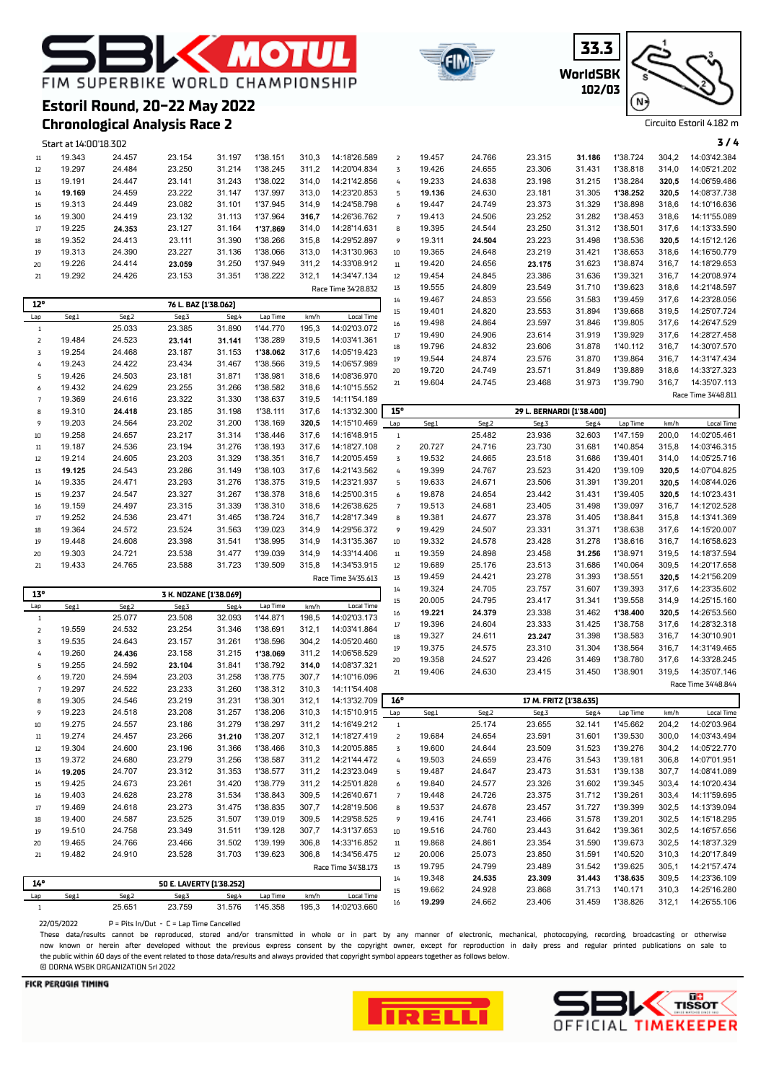## **MOTU** FIM SUPERBIKE WORLD CHAMPIONSHIP



**Chronological Analysis Race 2**



**WorldSBK 33.3 102/03**



Circuito Estoril 4.182 m

|                | Start at 14:00'18.302 |        |                          |        |          |       |                     |                              |        |        |                           |        |          |       | 3/4                 |
|----------------|-----------------------|--------|--------------------------|--------|----------|-------|---------------------|------------------------------|--------|--------|---------------------------|--------|----------|-------|---------------------|
| $11\,$         | 19.343                | 24.457 | 23.154                   | 31.197 | 1'38.151 | 310,3 | 14:18'26.589        | $\overline{2}$               | 19.457 | 24.766 | 23.315                    | 31.186 | 1'38.724 | 304,2 | 14:03'42.384        |
| 12             | 19.297                | 24.484 | 23.250                   | 31.214 | 1'38.245 | 311,2 | 14:20'04.834        | 3                            | 19.426 | 24.655 | 23.306                    | 31.431 | 1'38.818 | 314,0 | 14:05'21.202        |
| 13             | 19.191                | 24.447 | 23.141                   | 31.243 | 1'38.022 | 314,0 | 14:21'42.856        | 4                            | 19.233 | 24.638 | 23.198                    | 31.215 | 1'38.284 | 320,5 | 14:06'59.486        |
| 14             | 19.169                | 24.459 | 23.222                   | 31.147 | 1'37.997 | 313,0 | 14:23'20.853        | 5                            | 19.136 | 24.630 | 23.181                    | 31.305 | 1'38.252 | 320,5 | 14:08'37.738        |
| 15             | 19.313                | 24.449 | 23.082                   | 31.101 | 1'37.945 | 314,9 | 14:24'58.798        | 6                            | 19.447 | 24.749 | 23.373                    | 31.329 | 1'38.898 | 318,6 | 14:10'16.636        |
| 16             | 19.300                | 24.419 | 23.132                   | 31.113 | 1'37.964 | 316,7 | 14:26'36.762        | $\overline{7}$               | 19.413 | 24.506 | 23.252                    | 31.282 | 1'38.453 | 318,6 | 14:11'55.089        |
| 17             | 19.225                | 24.353 | 23.127                   | 31.164 | 1'37.869 | 314,0 | 14:28'14.631        | 8                            | 19.395 | 24.544 | 23.250                    | 31.312 | 1'38.501 | 317,6 | 14:13'33.590        |
| 18             | 19.352                | 24.413 | 23.111                   | 31.390 | 1'38.266 | 315,8 | 14:29'52.897        | 9                            | 19.311 | 24.504 | 23.223                    | 31.498 | 1'38.536 | 320,5 | 14:15'12.126        |
| 19             | 19.313                | 24.390 | 23.227                   | 31.136 | 1'38.066 | 313,0 | 14:31'30.963        | 10                           | 19.365 | 24.648 | 23.219                    | 31.421 | 1'38.653 | 318,6 | 14:16'50.779        |
|                | 19.226                | 24.414 |                          | 31.250 | 1'37.949 | 311,2 | 14:33'08.912        | $11\,$                       |        | 24.656 |                           |        | 1'38.874 |       | 14:18'29.653        |
| 20             |                       |        | 23.059                   |        |          |       |                     |                              | 19.420 |        | 23.175                    | 31.623 |          | 316,7 |                     |
| 21             | 19.292                | 24.426 | 23.153                   | 31.351 | 1'38.222 | 312,1 | 14:34'47.134        | $12\,$                       | 19.454 | 24.845 | 23.386                    | 31.636 | 1'39.321 | 316,7 | 14:20'08.974        |
|                |                       |        |                          |        |          |       | Race Time 34'28.832 | 13                           | 19.555 | 24.809 | 23.549                    | 31.710 | 1'39.623 | 318,6 | 14:21'48.597        |
| 12°            |                       |        | 76 L. BAZ [1'38.062]     |        |          |       |                     | 14                           | 19.467 | 24.853 | 23.556                    | 31.583 | 1'39.459 | 317,6 | 14:23'28.056        |
| Lap            | Seg.1                 | Seg.2  | Seg.3                    | Seg.4  | Lap Time | km/h  | <b>Local Time</b>   | 15                           | 19.401 | 24.820 | 23.553                    | 31.894 | 1'39.668 | 319,5 | 14:25'07.724        |
| $\mathbf{1}$   |                       | 25.033 | 23.385                   | 31.890 | 1'44.770 | 195,3 | 14:02'03.072        | 16                           | 19.498 | 24.864 | 23.597                    | 31.846 | 1'39.805 | 317,6 | 14:26'47.529        |
| $\mathsf{2}$   | 19.484                | 24.523 | 23.141                   | 31.141 | 1'38.289 | 319,5 | 14:03'41.361        | 17                           | 19.490 | 24.906 | 23.614                    | 31.919 | 1'39.929 | 317,6 | 14:28'27.458        |
| $\overline{3}$ | 19.254                | 24.468 | 23.187                   | 31.153 | 1'38.062 | 317,6 | 14:05'19.423        | 18                           | 19.796 | 24.832 | 23.606                    | 31.878 | 1'40.112 | 316,7 | 14:30'07.570        |
| 4              | 19.243                | 24.422 | 23.434                   | 31.467 | 1'38.566 | 319,5 | 14:06'57.989        | 19                           | 19.544 | 24.874 | 23.576                    | 31.870 | 1'39.864 | 316,7 | 14:31'47.434        |
| 5              | 19.426                | 24.503 | 23.181                   | 31.871 | 1'38.981 | 318,6 | 14:08'36.970        | 20                           | 19.720 | 24.749 | 23.571                    | 31.849 | 1'39.889 | 318,6 | 14:33'27.323        |
| 6              | 19.432                | 24.629 | 23.255                   | 31.266 | 1'38.582 | 318,6 | 14:10'15.552        | 21                           | 19.604 | 24.745 | 23.468                    | 31.973 | 1'39.790 | 316,7 | 14:35'07.113        |
| $\overline{7}$ | 19.369                | 24.616 | 23.322                   | 31.330 | 1'38.637 | 319,5 | 14:11'54.189        |                              |        |        |                           |        |          |       | Race Time 34'48.811 |
| 8              | 19.310                | 24.418 | 23.185                   | 31.198 | 1'38.111 | 317,6 | 14:13'32.300        | 15°                          |        |        | 29 L. BERNARDI [1'38.400] |        |          |       |                     |
| 9              | 19.203                | 24.564 | 23.202                   | 31.200 | 1'38.169 | 320,5 | 14:15'10.469        | Lap                          | Seg.1  | Seg.2  | Seg.3                     | Seg.4  | Lap Time | km/h  | Local Time          |
| 10             | 19.258                | 24.657 | 23.217                   | 31.314 | 1'38.446 | 317,6 | 14:16'48.915        | $\mathbf{1}$                 |        | 25.482 | 23.936                    | 32.603 | 1'47.159 | 200,0 | 14:02'05.461        |
| $11\,$         | 19.187                | 24.536 | 23.194                   | 31.276 | 1'38.193 | 317,6 | 14:18'27.108        | $\mathsf{Z}$                 | 20.727 | 24.716 | 23.730                    | 31.681 | 1'40.854 | 315,8 | 14:03'46.315        |
| 12             | 19.214                | 24.605 | 23.203                   | 31.329 | 1'38.351 | 316,7 | 14:20'05.459        | 3                            | 19.532 | 24.665 | 23.518                    | 31.686 | 1'39.401 | 314,0 | 14:05'25.716        |
| 13             | 19.125                | 24.543 | 23.286                   | 31.149 | 1'38.103 | 317,6 | 14:21'43.562        | 4                            | 19.399 | 24.767 | 23.523                    | 31.420 | 1'39.109 | 320,5 | 14:07'04.825        |
| 14             | 19.335                | 24.471 | 23.293                   | 31.276 | 1'38.375 | 319,5 | 14:23'21.937        | 5                            | 19.633 | 24.671 | 23.506                    | 31.391 | 1'39.201 | 320,5 | 14:08'44.026        |
|                | 19.237                | 24.547 | 23.327                   | 31.267 | 1'38.378 | 318,6 | 14:25'00.315        |                              | 19.878 | 24.654 | 23.442                    | 31.431 | 1'39.405 | 320,5 | 14:10'23.431        |
| 15             |                       |        |                          |        |          |       | 14:26'38.625        | 6                            |        |        |                           |        |          |       |                     |
| 16             | 19.159                | 24.497 | 23.315                   | 31.339 | 1'38.310 | 318,6 |                     | $\overline{7}$               | 19.513 | 24.681 | 23.405                    | 31.498 | 1'39.097 | 316,7 | 14:12'02.528        |
| 17             | 19.252                | 24.536 | 23.471                   | 31.465 | 1'38.724 | 316,7 | 14:28'17.349        | 8                            | 19.381 | 24.677 | 23.378                    | 31.405 | 1'38.841 | 315,8 | 14:13'41.369        |
| 18             | 19.364                | 24.572 | 23.524                   | 31.563 | 1'39.023 | 314,9 | 14:29'56.372        | 9                            | 19.429 | 24.507 | 23.331                    | 31.371 | 1'38.638 | 317,6 | 14:15'20.007        |
| 19             | 19.448                | 24.608 | 23.398                   | 31.541 | 1'38.995 | 314,9 | 14:31'35.367        | 10                           | 19.332 | 24.578 | 23.428                    | 31.278 | 1'38.616 | 316,7 | 14:16'58.623        |
| 20             | 19.303                | 24.721 | 23.538                   | 31.477 | 1'39.039 | 314,9 | 14:33'14.406        | $11\,$                       | 19.359 | 24.898 | 23.458                    | 31.256 | 1'38.971 | 319,5 | 14:18'37.594        |
| 21             | 19.433                | 24.765 | 23.588                   | 31.723 | 1'39.509 | 315,8 | 14:34'53.915        | $12\,$                       | 19.689 | 25.176 | 23.513                    | 31.686 | 1'40.064 | 309,5 | 14:20'17.658        |
|                |                       |        |                          |        |          |       | Race Time 34'35.613 | $1\overline{3}$              | 19.459 | 24.421 | 23.278                    | 31.393 | 1'38.551 | 320,5 | 14:21'56.209        |
| 13°            |                       |        | 3 K. NOZANE [1'38.069]   |        |          |       |                     | 14                           | 19.324 | 24.705 | 23.757                    | 31.607 | 1'39.393 | 317,6 | 14:23'35.602        |
| Lap            | Seg.1                 | Seg.2  | Seg.3                    | Seg.4  | Lap Time | km/h  | <b>Local Time</b>   | 15                           | 20.005 | 24.795 | 23.417                    | 31.341 | 1'39.558 | 314,9 | 14:25'15.160        |
| $\mathbf{1}$   |                       | 25.077 | 23.508                   | 32.093 | 1'44.871 | 198,5 | 14:02'03.173        | 16                           | 19.221 | 24.379 | 23.338                    | 31.462 | 1'38.400 | 320,5 | 14:26'53.560        |
| $\overline{2}$ | 19.559                | 24.532 | 23.254                   | 31.346 | 1'38.691 | 312,1 | 14:03'41.864        | 17                           | 19.396 | 24.604 | 23.333                    | 31.425 | 1'38.758 | 317,6 | 14:28'32.318        |
| $\overline{3}$ | 19.535                | 24.643 | 23.157                   | 31.261 | 1'38.596 | 304,2 | 14:05'20.460        | 18                           | 19.327 | 24.611 | 23.247                    | 31.398 | 1'38.583 | 316,7 | 14:30'10.901        |
| 4              | 19.260                | 24.436 | 23.158                   | 31.215 | 1'38.069 | 311,2 | 14:06'58.529        | 19                           | 19.375 | 24.575 | 23.310                    | 31.304 | 1'38.564 | 316,7 | 14:31'49.465        |
| 5              | 19.255                | 24.592 | 23.104                   | 31.841 | 1'38.792 | 314,0 | 14:08'37.321        | 20                           | 19.358 | 24.527 | 23.426                    | 31.469 | 1'38.780 | 317,6 | 14:33'28.245        |
| 6              | 19.720                | 24.594 | 23.203                   | 31.258 | 1'38.775 | 307,7 | 14:10'16.096        | 21                           | 19.406 | 24.630 | 23.415                    | 31.450 | 1'38.901 | 319,5 | 14:35'07.146        |
| $\overline{7}$ | 19.297                | 24.522 | 23.233                   | 31.260 | 1'38.312 | 310,3 | 14:11'54.408        |                              |        |        |                           |        |          |       | Race Time 34'48.844 |
| 8              | 19.305                | 24.546 | 23.219                   | 31.231 | 1'38.301 | 312,1 | 14:13'32.709        | 16°                          |        |        | 17 M. FRITZ [1'38.635]    |        |          |       |                     |
| 9              | 19.223                | 24.518 | 23.208                   | 31.257 | 1'38.206 | 310,3 | 14:15'10.915        | Lap                          | Seg.1  | Seg.2  | Seg.3                     | Seg.4  | Lap Time | km/h  | Local Time          |
| 10             | 19.275                | 24.557 | 23.186                   | 31.279 | 1'38.297 | 311,2 | 14:16'49.212        |                              |        | 25.174 | 23.655                    | 32.141 | 1'45.662 | 204,2 | 14:02'03.964        |
|                | 19.274                | 24.457 | 23.266                   | 31.210 | 1'38.207 | 312,1 | 14:18'27.419        | $\mathbf{1}$<br>$\mathsf{Z}$ | 19.684 | 24.654 | 23.591                    | 31.601 | 1'39.530 | 300,0 | 14:03'43.494        |
| $11\,$         | 19.304                | 24.600 | 23.196                   | 31.366 | 1'38.466 | 310,3 | 14:20'05.885        | 3                            | 19.600 | 24.644 | 23.509                    | 31.523 | 1'39.276 | 304,2 | 14:05'22.770        |
| 12             | 19.372                | 24.680 | 23.279                   | 31.256 | 1'38.587 |       | 14:21'44.472        | 4                            | 19.503 | 24.659 | 23.476                    | 31.543 | 1'39.181 | 306,8 | 14:07'01.951        |
| 13             |                       |        |                          |        |          | 311,2 |                     |                              |        |        |                           |        |          |       |                     |
| 14             | 19.205                | 24.707 | 23.312                   | 31.353 | 1'38.577 | 311,2 | 14:23'23.049        | 5                            | 19.487 | 24.647 | 23.473                    | 31.531 | 1'39.138 | 307,7 | 14:08'41.089        |
| 15             | 19.425                | 24.673 | 23.261                   | 31.420 | 1'38.779 | 311,2 | 14:25'01.828        | 6                            | 19.840 | 24.577 | 23.326                    | 31.602 | 1'39.345 | 303,4 | 14:10'20.434        |
| 16             | 19.403                | 24.628 | 23.278                   | 31.534 | 1'38.843 | 309,5 | 14:26'40.671        | $\overline{7}$               | 19.448 | 24.726 | 23.375                    | 31.712 | 1'39.261 | 303,4 | 14:11'59.695        |
| 17             | 19.469                | 24.618 | 23.273                   | 31.475 | 1'38.835 | 307,7 | 14:28'19.506        | 8                            | 19.537 | 24.678 | 23.457                    | 31.727 | 1'39.399 | 302,5 | 14:13'39.094        |
| 18             | 19.400                | 24.587 | 23.525                   | 31.507 | 1'39.019 | 309,5 | 14:29'58.525        | 9                            | 19.416 | 24.741 | 23.466                    | 31.578 | 1'39.201 | 302,5 | 14:15'18.295        |
| 19             | 19.510                | 24.758 | 23.349                   | 31.511 | 1'39.128 | 307,7 | 14:31'37.653        | $10\,$                       | 19.516 | 24.760 | 23.443                    | 31.642 | 1'39.361 | 302,5 | 14:16'57.656        |
| 20             | 19.465                | 24.766 | 23.466                   | 31.502 | 1'39.199 | 306,8 | 14:33'16.852        | $11\,$                       | 19.868 | 24.861 | 23.354                    | 31.590 | 1'39.673 | 302,5 | 14:18'37.329        |
| 21             | 19.482                | 24.910 | 23.528                   | 31.703 | 1'39.623 | 306,8 | 14:34'56.475        | $12\,$                       | 20.006 | 25.073 | 23.850                    | 31.591 | 1'40.520 | 310,3 | 14:20'17.849        |
|                |                       |        |                          |        |          |       | Race Time 34'38.173 | 13                           | 19.795 | 24.799 | 23.489                    | 31.542 | 1'39.625 | 305,1 | 14:21'57.474        |
| 14°            |                       |        | 50 E. LAVERTY [1'38.252] |        |          |       |                     | 14                           | 19.348 | 24.535 | 23.309                    | 31.443 | 1'38.635 | 309,5 | 14:23'36.109        |
| Lap            | Seg.1                 | Seg.2  | Seg.3                    | Seg.4  | Lap Time | km/h  | Local Time          | 15                           | 19.662 | 24.928 | 23.868                    | 31.713 | 1'40.171 | 310,3 | 14:25'16.280        |
|                |                       |        |                          |        |          |       |                     | 16                           | 19.299 | 24.662 | 23.406                    | 31.459 | 1'38.826 | 312,1 | 14:26'55.106        |
| $\mathbf{1}$   |                       | 25.651 | 23.759                   | 31.576 | 1'45.358 | 195,3 | 14:02'03.660        |                              |        |        |                           |        |          |       |                     |

 $22/05/2022$  P = Pits In/Out - C = Lap Time Cancelled

These data/results cannot be reproduced, stored and/or transmitted in whole or in part by any manner of electronic, mechanical, photocopying, recording, broadcasting or otherwise now known or herein afer developed without the previous express consent by the copyright owner, except for reproduction in daily press and regular printed publications on sale to the public within 60 days of the event related to those data/results and always provided that copyright symbol appears together as follows below. © DORNA WSBK ORGANIZATION Srl 2022



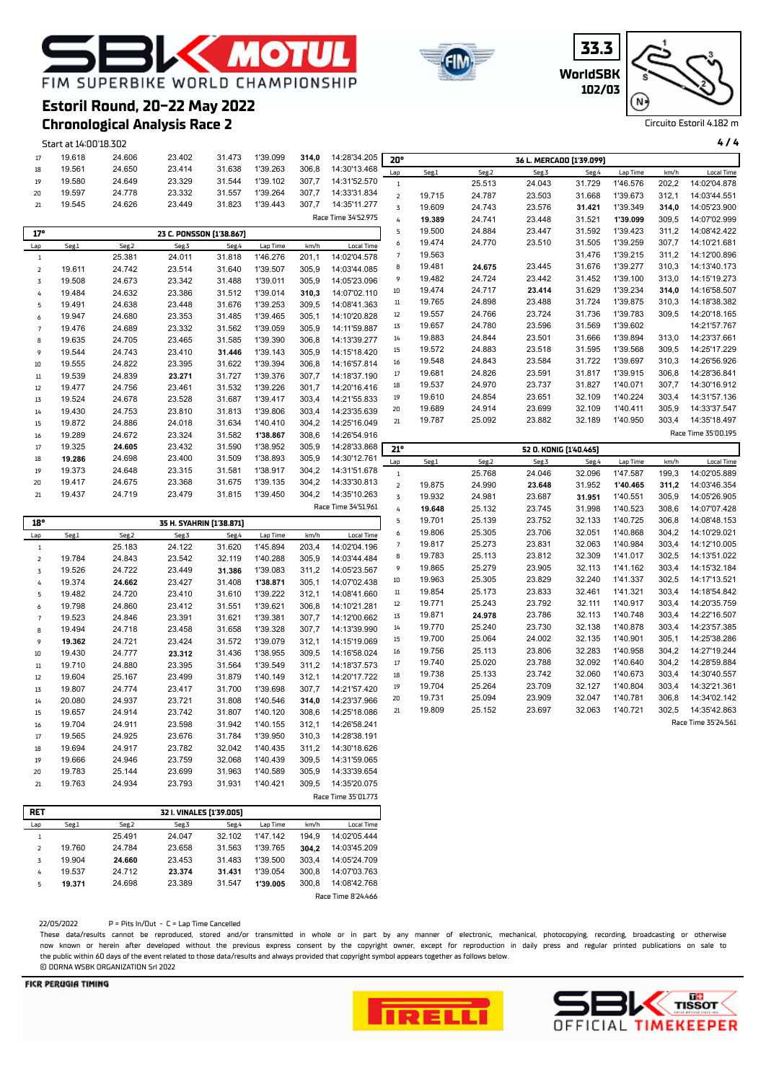## **K MOTU** FIM SUPERBIKE WORLD CHAMPIONSHIP



| ١G                   |                                          |        |          |       |                                                                                                                                                                                                                                                                                                                                                                                                                                 |  |  |  |  |
|----------------------|------------------------------------------|--------|----------|-------|---------------------------------------------------------------------------------------------------------------------------------------------------------------------------------------------------------------------------------------------------------------------------------------------------------------------------------------------------------------------------------------------------------------------------------|--|--|--|--|
| RGANIZATION Srl 2022 | P = Pits In/Out - C = Lap Time Cancelled |        |          |       | ts cannot be reproduced, stored and/or transmitted in whole or in part by any manner of electronic, mechanical, photocopying, recording, t<br>nerein after developed without the previous express consent by the copyright owner, except for reproduction in daily press and regular printed<br>. O days of the event related to those data/results and always provided that copyright symbol appears together as follows below |  |  |  |  |
|                      |                                          |        |          |       | Race Time 8'24.466                                                                                                                                                                                                                                                                                                                                                                                                              |  |  |  |  |
| 24.698               | 23.389                                   | 31.547 | 1'39.005 | 300,8 | 14:08'42.768                                                                                                                                                                                                                                                                                                                                                                                                                    |  |  |  |  |
| 24.712               | 23.374                                   | 31.431 | 1'39.054 | 300.8 | 14:07'03.763                                                                                                                                                                                                                                                                                                                                                                                                                    |  |  |  |  |
| 24.660               | 23.453                                   | 31.483 | 1'39.500 | 303.4 | 14:05'24.709                                                                                                                                                                                                                                                                                                                                                                                                                    |  |  |  |  |
| 24.784               | 23.658                                   | 31.563 | 139.765  | 304.2 | 14:03:45.209                                                                                                                                                                                                                                                                                                                                                                                                                    |  |  |  |  |

**FICR PERUGIA TIMII** 





| 1 39.143 | 305,9 | 14:15'18.420        | ᆈ              | 19.JIZ | 24.00J | 0 ا ن.ب                | ບ ບວບ  | າ ວອ.ວບບ | uuu,  | 14. <i>LJ 11. LLJ</i> |
|----------|-------|---------------------|----------------|--------|--------|------------------------|--------|----------|-------|-----------------------|
| 1'39.394 | 306,8 | 14:16'57.814        | 16             | 19.548 | 24.843 | 23.584                 | 31.722 | 1'39.697 | 310,3 | 14:26'56.926          |
| 1'39.376 | 307,7 | 14:18'37.190        | 17             | 19.681 | 24.826 | 23.591                 | 31.817 | 1'39.915 | 306,8 | 14:28'36.841          |
| 1'39.226 | 301,7 | 14:20'16.416        | 18             | 19.537 | 24.970 | 23.737                 | 31.827 | 1'40.071 | 307,7 | 14:30'16.912          |
| 1'39.417 | 303,4 | 14:21'55.833        | 19             | 19.610 | 24.854 | 23.651                 | 32.109 | 1'40.224 | 303,4 | 14:31'57.136          |
| 1'39.806 | 303,4 | 14:23'35.639        | 20             | 19.689 | 24.914 | 23.699                 | 32.109 | 1'40.411 | 305,9 | 14:33'37.547          |
| 1'40.410 | 304,2 | 14:25'16.049        | 21             | 19.787 | 25.092 | 23.882                 | 32.189 | 1'40.950 | 303,4 | 14:35'18.497          |
| 1'38.867 | 308,6 | 14:26'54.916        |                |        |        |                        |        |          |       | Race Time 35'00.195   |
| 1'38.952 | 305,9 | 14:28'33.868        | 21°            |        |        | 52 O. KONIG [1'40.465] |        |          |       |                       |
| 1'38.893 | 305,9 | 14:30'12.761        | Lap            | Seg.1  | Seg.2  | Seg.3                  | Seg.4  | Lap Time | km/h  | <b>Local Time</b>     |
| 1'38.917 | 304,2 | 14:31'51.678        | $\mathbf{1}$   |        | 25.768 | 24.046                 | 32.096 | 1'47.587 | 199.3 | 14:02'05.889          |
| 1'39.135 | 304,2 | 14:33'30.813        | $\overline{2}$ | 19.875 | 24.990 | 23.648                 | 31.952 | 1'40.465 | 311,2 | 14:03'46.354          |
| 1'39.450 | 304,2 | 14:35'10.263        | $\overline{5}$ | 19.932 | 24.981 | 23.687                 | 31.951 | 1'40.551 | 305,9 | 14:05'26.905          |
|          |       | Race Time 34'51.961 |                |        |        |                        | 31.998 | 1'40.523 |       |                       |
|          |       |                     | 4              | 19.648 | 25.132 | 23.745                 |        |          | 308,6 | 14:07'07.428          |
|          |       |                     | 5              | 19.701 | 25.139 | 23.752                 | 32.133 | 1'40.725 | 306,8 | 14:08'48.153          |
| Lap Time | km/h  | <b>Local Time</b>   | 6              | 19.806 | 25.305 | 23.706                 | 32.051 | 1'40.868 | 304,2 | 14:10'29.021          |
| 1'45.894 | 203,4 | 14:02'04.196        | 7              | 19.817 | 25.273 | 23.831                 | 32.063 | 1'40.984 | 303,4 | 14:12'10.005          |
| 1'40.288 | 305,9 | 14:03'44.484        | 8              | 19.783 | 25.113 | 23.812                 | 32.309 | 1'41.017 | 302,5 | 14:13'51.022          |
| 1'39.083 | 311,2 | 14:05'23.567        | 9              | 19.865 | 25.279 | 23.905                 | 32.113 | 1'41.162 | 303,4 | 14:15'32.184          |
| 1'38.871 | 305,1 | 14:07'02.438        | 10             | 19.963 | 25.305 | 23.829                 | 32.240 | 1'41.337 | 302,5 | 14:17'13.521          |
| 1'39.222 | 312,1 | 14:08'41.660        | 11             | 19.854 | 25.173 | 23.833                 | 32.461 | 1'41.321 | 303,4 | 14:18'54.842          |
| 1'39.621 | 306,8 | 14:10'21.281        | 12             | 19.771 | 25.243 | 23.792                 | 32.111 | 1'40.917 | 303,4 | 14:20'35.759          |
| 1'39.381 | 307,7 | 14:12'00.662        | 13             | 19.871 | 24.978 | 23.786                 | 32.113 | 1'40.748 | 303,4 | 14:22'16.507          |
| 1'39 328 | 307.7 | 14:13'39 990        | 14             | 19.770 | 25.240 | 23.730                 | 32.138 | 1'40.878 | 303.4 | 14:23'57.385          |

# **Chronological Analysis Race 2**

Start at 14:00'18.302 **4 / 4** 19.618 24.606 23.402 31.473 1'39.099 **314,0** 14:28'34.205 19.561 24.650 23.414 31.638 1'39.263 306,8 14:30'13.468 19.580 24.649 23.329 31.544 1'39.102 307,7 14:31'52.570 19.597 24.778 23.332 31.557 1'39.264 307,7 14:33'31.834 19.545 24.626 23.449 31.823 1'39.443 307,7 14:35'11.277 Race Time 34'52.975 **17° 23 C. PONSSON (1'38.867)** Lap Seg.1 Seg.2 Seg.3 Seg.4 Lap Time km/h Local Time 25.381 24.011 31.818 1'46.276 201,1 14:02'04.578 19.611 24.742 23.514 31.640 1'39.507 305,9 14:03'44.085 19.508 24.673 23.342 31.488 1'39.011 305,9 14:05'23.096 19.484 24.632 23.386 31.512 1'39.014 **310,3** 14:07'02.110 19.491 24.638 23.448 31.676 1'39.253 309,5 14:08'41.363 19.947 24.680 23.353 31.485 1'39.465 305,1 14:10'20.828 19.476 24.689 23.332 31.562 1'39.059 305,9 14:11'59.887 19.635 24.705 23.465 31.585 1'39.390 306,8 14:13'39.277 19.544 24.743 23.410 **31.446** 1'39.143 305,9 14:15'18.420 19.555 24.822 23.395 31.622 1'39.394 306,8 14:16'57.814 19.539 24.839 **23.271** 31.727 1'39.376 307,7 14:18'37.190 19.477 24.756 23.461 31.532 1'39.226 301,7 14:20'16.416 19.524 24.678 23.528 31.687 1'39.417 303,4 14:21'55.833 19.430 24.753 23.810 31.813 1'39.806 303,4 14:23'35.639 19.872 24.886 24.018 31.634 1'40.410 304,2 14:25'16.049 19.289 24.672 23.324 31.582 **1'38.867** 308,6 14:26'54.916 19.325 **24.605** 23.432 31.590 1'38.952 305,9 14:28'33.868  **19.286** 24.698 23.400 31.509 1'38.893 305,9 14:30'12.761 19.373 24.648 23.315 31.581 1'38.917 304,2 14:31'51.678 19.417 24.675 23.368 31.675 1'39.135 304,2 14:33'30.813 19.437 24.719 23.479 31.815 1'39.450 304,2 14:35'10.263 **20° 36 L. MERCADO (1'39.099)** Lap Seg.1 Seg.2 Seg.3 Seg.4 Lap Time km/h Local Time 25.513 24.043 31.729 1'46.576 202,2 14:02'04.878 19.715 24.787 23.503 31.668 1'39.673 312,1 14:03'44.551 19.609 24.743 23.576 **31.421** 1'39.349 **314,0** 14:05'23.900  **19.389** 24.741 23.448 31.521 **1'39.099** 309,5 14:07'02.999 19.500 24.884 23.447 31.592 1'39.423 311,2 14:08'42.422 19.474 24.770 23.510 31.505 1'39.259 307,7 14:10'21.681 19.563 31.476 1'39.215 311,2 14:12'00.896 19.481 **24.675** 23.445 31.676 1'39.277 310,3 14:13'40.173 19.482 24.724 23.442 31.452 1'39.100 313,0 14:15'19.273 19.474 24.717 **23.414** 31.629 1'39.234 **314,0** 14:16'58.507 19.765 24.898 23.488 31.724 1'39.875 310,3 14:18'38.382 19.557 24.766 23.724 31.736 1'39.783 309,5 14:20'18.165 19.657 24.780 23.596 31.569 1'39.602 14:21'57.767 19.883 24.844 23.501 31.666 1'39.894 313,0 14:23'37.661 19.572 24.883 23.518 31.595 1'39.568 309,5 14:25'17.229 1'39.697 310,3 14:26'56.926 19.681 24.826 23.591 31.817 1'39.915 306,8 14:28'36.841 1'40.071 307.7 14:30'16.912 19.610 24.854 23.651 32.109 1'40.224 303,4 14:31'57.136 1'40.411 305.9 14:33'37.547 19.787 25.092 23.882 32.189 1'40.950 303,4 14:35'18.497 Race Time 35'00.195 Lap Seg.1 Seg.2 Seg.3 Seg.4 Lap Time km/h Local Time 1'47.587 199,3 14:02'05.889 19.875 24.990 **23.648** 31.952 **1'40.465 311,2** 14:03'46.354 19.932 24.981 23.687 **31.951** 1'40.551 305,9 14:05'26.905  **19.648** 25.132 23.745 31.998 1'40.523 308,6 14:07'07.428 19.701 25.139 23.752 32.133 1'40.725 306,8 14:08'48.153 19.806 25.305 23.706 32.051 1'40.868 304,2 14:10'29.021 1'40.984 303,4 14:12'10.005 19.783 25.113 23.812 32.309 1'41.017 302,5 14:13'51.022

| 18°             |        |        | 35 H. SYAHRIN [1'38.871] |        |          |       |                   | 5      | 19.701 | 25.139 | 23.752 | 32.133 | 1'40.725 | 306,8 | 14:08'48.153        |
|-----------------|--------|--------|--------------------------|--------|----------|-------|-------------------|--------|--------|--------|--------|--------|----------|-------|---------------------|
| $_{\text{Lap}}$ | Seg.1  | Seg.2  | Seg.3                    | Seg.4  | Lap Time | km/h  | <b>Local Time</b> | 6      | 19.806 | 25.305 | 23.706 | 32.051 | 1'40.868 | 304,2 | 14:10'29.021        |
|                 |        | 25.183 | 24.122                   | 31.620 | 1'45.894 | 203,4 | 14:02'04.196      |        | 19.817 | 25.273 | 23.831 | 32.063 | 1'40.984 | 303,4 | 14:12'10.005        |
| 2               | 19.784 | 24.843 | 23.542                   | 32.119 | 1'40.288 | 305,9 | 14:03'44.484      | 8      | 19.783 | 25.113 | 23.812 | 32.309 | 1'41.017 | 302,5 | 14:13'51.022        |
| 3               | 19.526 | 24.722 | 23.449                   | 31.386 | 1'39.083 | 311,2 | 14:05'23.567      | 9      | 19.865 | 25.279 | 23.905 | 32.113 | 1'41.162 | 303,4 | 14:15'32.184        |
| 4               | 19.374 | 24.662 | 23.427                   | 31.408 | 1'38.871 | 305,1 | 14:07'02.438      | 10     | 19.963 | 25.305 | 23.829 | 32.240 | 1'41.337 | 302,5 | 14:17'13.521        |
| 5               | 19.482 | 24.720 | 23.410                   | 31.610 | 1'39.222 | 312,1 | 14:08'41.660      | $11\,$ | 19.854 | 25.173 | 23.833 | 32.461 | 1'41.321 | 303,4 | 14:18'54.842        |
| 6               | 19.798 | 24.860 | 23.412                   | 31.551 | 1'39.621 | 306,8 | 14:10'21.281      | 12     | 19.771 | 25.243 | 23.792 | 32.111 | 1'40.917 | 303,4 | 14:20'35.759        |
| $\overline{7}$  | 19.523 | 24.846 | 23.391                   | 31.621 | 1'39.381 | 307,7 | 14:12'00.662      | 13     | 19.871 | 24.978 | 23.786 | 32.113 | 1'40.748 | 303,4 | 14:22'16.507        |
| 8               | 19.494 | 24.718 | 23.458                   | 31.658 | 1'39.328 | 307,7 | 14:13'39.990      | 14     | 19.770 | 25.240 | 23.730 | 32.138 | 1'40.878 | 303,4 | 14:23'57.385        |
| 9               | 19.362 | 24.721 | 23.424                   | 31.572 | 1'39.079 | 312,1 | 14:15'19.069      | 15     | 19.700 | 25.064 | 24.002 | 32.135 | 1'40.901 | 305,1 | 14:25'38.286        |
| 10              | 19.430 | 24.777 | 23.312                   | 31.436 | 1'38.955 | 309,5 | 14:16'58.024      | 16     | 19.756 | 25.113 | 23.806 | 32.283 | 1'40.958 | 304,2 | 14:27'19.244        |
| $11\,$          | 19.710 | 24.880 | 23.395                   | 31.564 | 1'39.549 | 311,2 | 14:18'37.573      | 17     | 19.740 | 25.020 | 23.788 | 32.092 | 1'40.640 | 304,2 | 14:28'59.884        |
| 12              | 19.604 | 25.167 | 23.499                   | 31.879 | 1'40.149 | 312,1 | 14:20'17.722      | 18     | 19.738 | 25.133 | 23.742 | 32.060 | 1'40.673 | 303,4 | 14:30'40.557        |
| 13              | 19.807 | 24.774 | 23.417                   | 31.700 | 1'39.698 | 307,7 | 14:21'57.420      | 19     | 19.704 | 25.264 | 23.709 | 32.127 | 1'40.804 | 303,4 | 14:32'21.361        |
| 14              | 20.080 | 24.937 | 23.721                   | 31.808 | 1'40.546 | 314,0 | 14:23'37.966      | 20     | 19.731 | 25.094 | 23.909 | 32.047 | 1'40.781 | 306,8 | 14:34'02.142        |
| 15              | 19.657 | 24.914 | 23.742                   | 31.807 | 1'40.120 | 308,6 | 14:25'18.086      | 21     | 19.809 | 25.152 | 23.697 | 32.063 | 1'40.721 | 302,5 | 14:35'42.863        |
| 16              | 19.704 | 24.911 | 23.598                   | 31.942 | 1'40.155 | 312,1 | 14:26'58.241      |        |        |        |        |        |          |       | Race Time 35'24.561 |
| 17              | 19.565 | 24.925 | 23.676                   | 31.784 | 1'39.950 | 310,3 | 14:28'38.191      |        |        |        |        |        |          |       |                     |
| 18              | 19.694 | 24.917 | 23.782                   | 32.042 | 1'40.435 | 311,2 | 14:30'18.626      |        |        |        |        |        |          |       |                     |
| 19              | 19.666 | 24.946 | 23.759                   | 32.068 | 1'40.439 | 309,5 | 14:31'59.065      |        |        |        |        |        |          |       |                     |
| 20              | 19.783 | 25.144 | 23.699                   | 31.963 | 1'40.589 | 305,9 | 14:33'39.654      |        |        |        |        |        |          |       |                     |
| 21              | 19.763 | 24.934 | 23.793                   | 31.931 | 1'40.421 | 309,5 | 14:35'20.075      |        |        |        |        |        |          |       |                     |

| <b>RET</b>     |        |        | 32 I. VINALES [1'39.005] |        |          |       |                    |
|----------------|--------|--------|--------------------------|--------|----------|-------|--------------------|
| Lap            | Seg.1  | Seg.2  | Seg.3                    | Seg.4  | Lap Time | km/h  | Local Time         |
| 1              |        | 25.491 | 24.047                   | 32.102 | 1'47.142 | 194.9 | 14:02'05.444       |
| $\overline{z}$ | 19.760 | 24.784 | 23.658                   | 31.563 | 1'39.765 | 304.2 | 14:03'45.209       |
| 3              | 19.904 | 24.660 | 23.453                   | 31.483 | 1'39.500 | 303.4 | 14:05'24.709       |
| 4              | 19.537 | 24.712 | 23.374                   | 31.431 | 1'39.054 | 300.8 | 14:07'03.763       |
| 5              | 19.371 | 24.698 | 23.389                   | 31.547 | 1'39.005 | 300.8 | 14:08'42.768       |
|                |        |        |                          |        |          |       | Race Time 8'24.466 |

22/05/2022<br>These data/resul These data/results cannot be reproduced, stored and/or transmitted in whole or in part by any manner of electronic, mechanical, photocopying, recording, broadcasting or otherwise<br>now known or herein after developed without publications on sale to the public within 60 days of the event related to those data/results and always provided that copyright symbol appears together as follows below. **© DORNA WSBK 0** 

Race Time 35'01.773



Circuito Estoril 4.182 m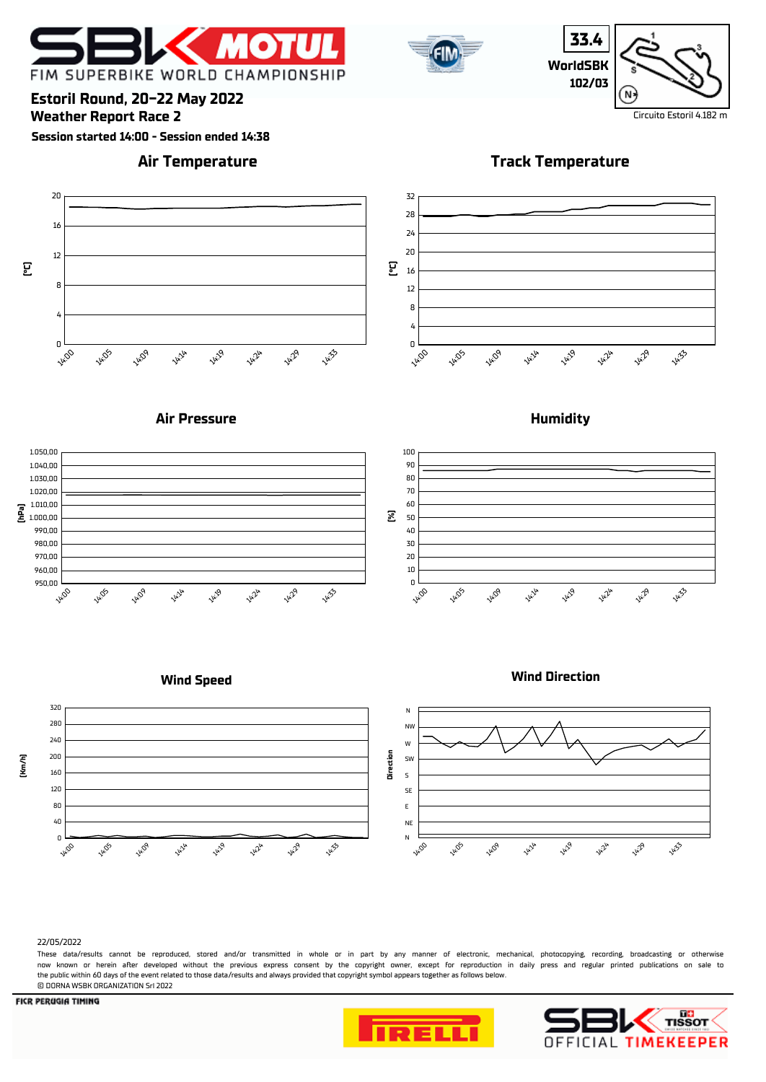



**33.4 WorldSBK 102/03**  $N$ 

### **Estoril Round, 20-22 May 2022**

**Weather Report Race 2** Circuito Estoril 4.182 m

**Session started 14:00 - Session ended 14:38**

### **Air Temperature**

**Track Temperature**











### **Wind Speed**





#### 22/05/2022

These data/results cannot be reproduced, stored and/or transmitted in whole or in part by any manner of electronic, mechanical, photocopying, recording, broadcasting or otherwise now known or herein afer developed without the previous express consent by the copyright owner, except for reproduction in daily press and regular printed publications on sale to the public within 60 days of the event related to those data/results and always provided that copyright symbol appears together as follows below. © DORNA WSBK ORGANIZATION Srl 2022



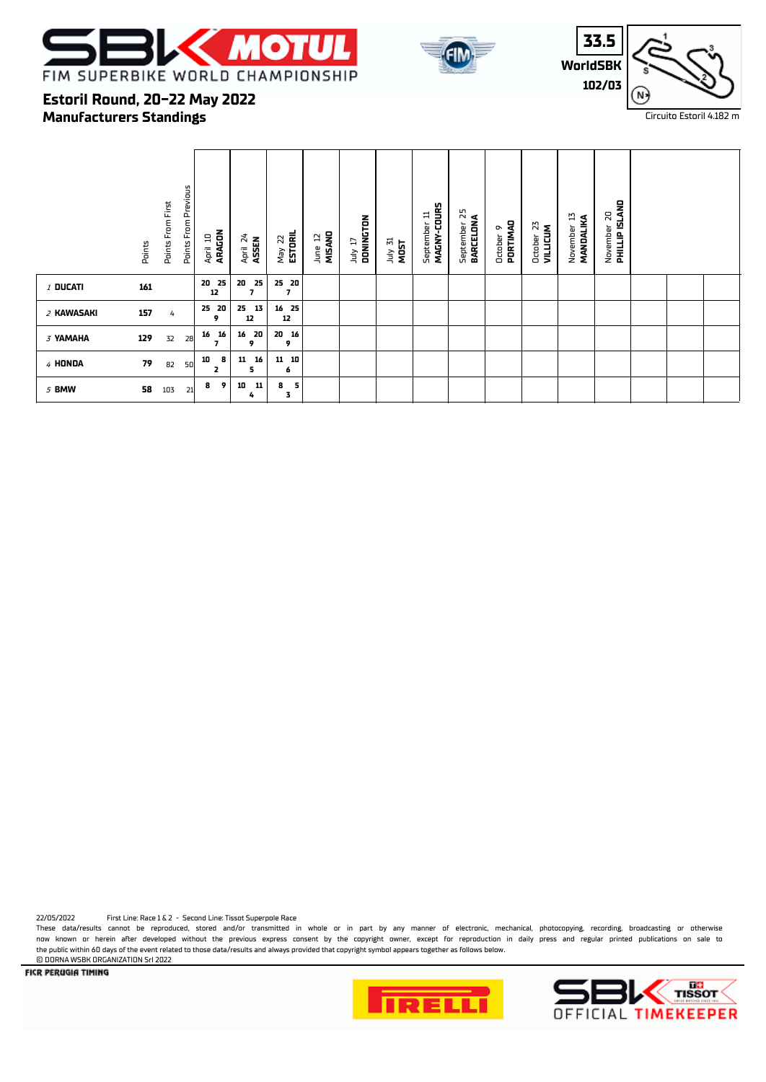





### **Manufacturers Standings Estoril Round, 20-22 May 2022**

|            | Points | Points From Previous<br>Points From First | ARAGON<br>April 10 | April 24<br>ASSEN                    | May 22<br><b>ESTORIL</b>          | MISANO<br>5<br>June | DONINGTON<br>LI VIPL | July 31<br>MOST | MAGNY-COURS<br>September 11 | 52<br>BARCELONA<br>September | PORTIMAD<br>ō<br>October | 23<br><b>VILLICUM</b><br>October | 13<br>MANDALIKA<br>November | <b>PHILLIP ISLAND</b><br>$\overline{\mathbf{z}}$<br>November |  |  |
|------------|--------|-------------------------------------------|--------------------|--------------------------------------|-----------------------------------|---------------------|----------------------|-----------------|-----------------------------|------------------------------|--------------------------|----------------------------------|-----------------------------|--------------------------------------------------------------|--|--|
| $I$ Ducati | 161    |                                           | 25<br>20<br>12     | 20<br>25<br>$\overline{\phantom{a}}$ | 25 20<br>$\overline{\phantom{a}}$ |                     |                      |                 |                             |                              |                          |                                  |                             |                                                              |  |  |
| 2 KAWASAKI | 157    | 4                                         | 20<br>25<br>9      | 25<br>13<br>12                       | 16 25<br>12                       |                     |                      |                 |                             |                              |                          |                                  |                             |                                                              |  |  |
| 3 YAMAHA   | 129    | 32<br>28                                  | 16<br>16<br>7      | 20<br>16<br>9                        | 20 16<br>9                        |                     |                      |                 |                             |                              |                          |                                  |                             |                                                              |  |  |
| 4 HONDA    | 79     | 82<br>50                                  | 8<br>10<br>2       | 16<br>11<br>5                        | $11 \quad 10$<br>6                |                     |                      |                 |                             |                              |                          |                                  |                             |                                                              |  |  |
| 5 BMW      | 58     | 103                                       | 9<br>8<br>21       | 10<br>11<br>4                        | -5<br>8<br>3                      |                     |                      |                 |                             |                              |                          |                                  |                             |                                                              |  |  |

22/05/2022 First Line: Race 1 & 2 - Second Line: Tissot Superpole Race

These data/results cannot be reproduced, stored and/or transmitted in whole or in part by any manner of electronic, mechanical, photocopying, recording, broadcasting or otherwise now known or herein after developed without the previous express consent by the copyright owner, except for reproduction in daily press and regular printed publications on sale to the public within 60 days of the event related to those data/results and always provided that copyright symbol appears together as follows below.

**E DORNA WSBK ORGANIZATION Srl 2022**<br>**FICR PERUGIA TIMING** 



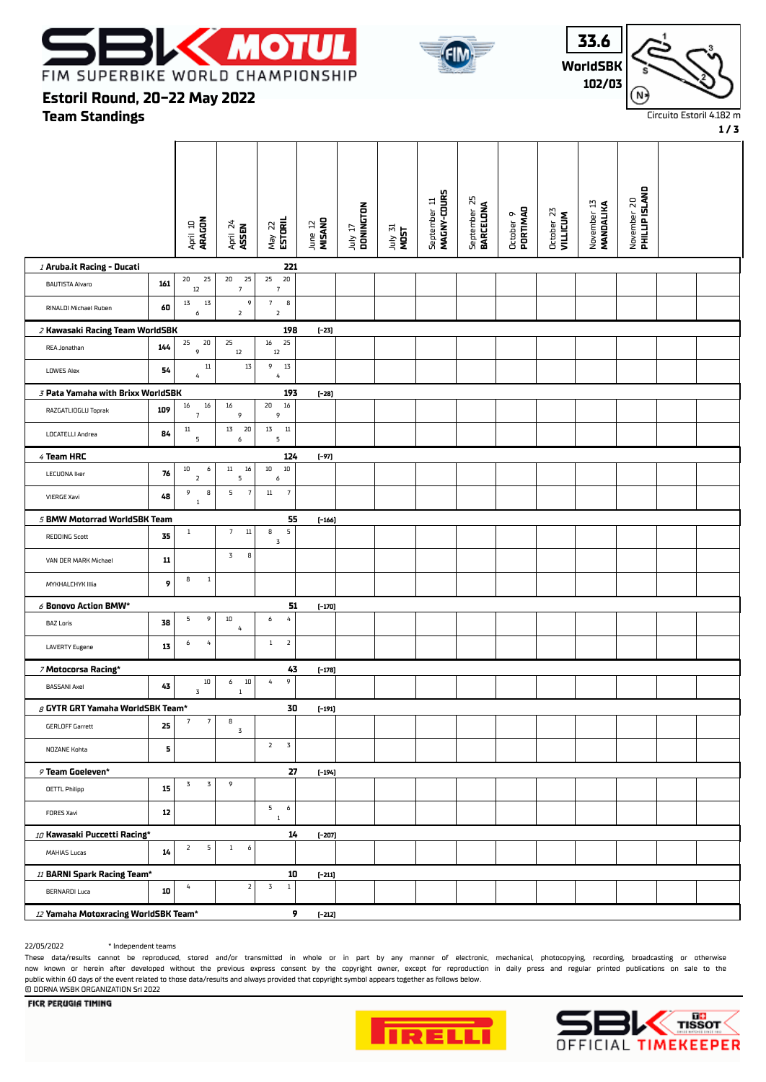





**1 / 3**

### **Team Standings Estoril Round, 20-22 May 2022**

|                                        |            | April 10<br><b>ARAGON</b>               | April 24<br><b>ASSEN</b>   | ESTORIL<br>May 22                    | MISAND<br>June 12 | July 17<br>DONINGTON | July 31<br>MOST | MAGNY-COURS<br>September 11 | September 25<br><b>BARCELONA</b> | PORTIMAD<br>October 9 | October 23<br>VILLICUM | November 13<br><b>MANDALIKA</b> | November 20<br><b>PHILLIP ISLAND</b> |  |
|----------------------------------------|------------|-----------------------------------------|----------------------------|--------------------------------------|-------------------|----------------------|-----------------|-----------------------------|----------------------------------|-----------------------|------------------------|---------------------------------|--------------------------------------|--|
| / Aruba.it Racing - Ducati             |            |                                         |                            | 221                                  |                   |                      |                 |                             |                                  |                       |                        |                                 |                                      |  |
| <b>BAUTISTA Alvaro</b>                 | 161        | 25<br>20<br>$12\,$                      | 25<br>20<br>$\overline{7}$ | 25<br>20<br>$\overline{\phantom{a}}$ |                   |                      |                 |                             |                                  |                       |                        |                                 |                                      |  |
| RINALDI Michael Ruben                  | 60         | $1\overline{3}$<br>$1\overline{3}$<br>6 | 9<br>$\overline{2}$        | 7<br>8<br>$\overline{2}$             |                   |                      |                 |                             |                                  |                       |                        |                                 |                                      |  |
| 2 Kawasaki Racing Team WorldSBK        |            |                                         |                            | 198                                  | $[-23]$           |                      |                 |                             |                                  |                       |                        |                                 |                                      |  |
| REA Jonathan                           | 144        | 20<br>25<br>9                           | 25<br>$12 \overline{ }$    | 16<br>25<br>$12\,$                   |                   |                      |                 |                             |                                  |                       |                        |                                 |                                      |  |
| <b>LOWES Alex</b>                      | 54         | $11\,$<br>$\overline{4}$                | $1\overline{3}$            | 9<br>$1\overline{3}$<br>4            |                   |                      |                 |                             |                                  |                       |                        |                                 |                                      |  |
| 3 Pata Yamaha with Brixx WorldSBK      |            |                                         |                            | 193                                  | $[-28]$           |                      |                 |                             |                                  |                       |                        |                                 |                                      |  |
| RAZGATLIOGLU Toprak                    | 109        | 16<br>16<br>$\overline{\phantom{a}}$    | 16<br>9                    | $20\,$<br>$16\,$<br>9                |                   |                      |                 |                             |                                  |                       |                        |                                 |                                      |  |
| LOCATELLI Andrea                       | 84         | $11\,$<br>5                             | 13<br>20<br>6              | 13<br>$11\,$<br>5                    |                   |                      |                 |                             |                                  |                       |                        |                                 |                                      |  |
| 4 Team HRC                             |            |                                         |                            | 124                                  | $[-97]$           |                      |                 |                             |                                  |                       |                        |                                 |                                      |  |
| <b>LECUONA Iker</b>                    | 76         | $10\,$<br>6<br>$\mathsf{2}$             | $11\,$<br>16<br>5          | $10\,$<br>$10\,$<br>6                |                   |                      |                 |                             |                                  |                       |                        |                                 |                                      |  |
| <b>VIERGE Xavi</b>                     | 48         | 9<br>8<br>$\,1\,$                       | 5<br>$\sqrt{7}$            | $11\,$<br>$\boldsymbol{7}$           |                   |                      |                 |                             |                                  |                       |                        |                                 |                                      |  |
| 5 BMW Motorrad WorldSBK Team           |            |                                         |                            | 55                                   | $[-166]$          |                      |                 |                             |                                  |                       |                        |                                 |                                      |  |
| <b>REDDING Scott</b>                   | 35         | $\mathbf{1}$                            | $11\,$<br>$\overline{7}$   | 5<br>8<br>$\mathbf 3$                |                   |                      |                 |                             |                                  |                       |                        |                                 |                                      |  |
| VAN DER MARK Michael                   | ${\bf 11}$ |                                         | 3<br>8                     |                                      |                   |                      |                 |                             |                                  |                       |                        |                                 |                                      |  |
| MYKHALCHYK IIIia                       | 9          | 8<br>$\mathbf 1$                        |                            |                                      |                   |                      |                 |                             |                                  |                       |                        |                                 |                                      |  |
| $\delta$ Bonovo Action BMW*            |            |                                         |                            | 51                                   | $[-170]$          |                      |                 |                             |                                  |                       |                        |                                 |                                      |  |
| <b>BAZ Loris</b>                       | 38         | 9<br>5                                  | 10<br>4                    | $\sqrt{4}$<br>6                      |                   |                      |                 |                             |                                  |                       |                        |                                 |                                      |  |
| <b>LAVERTY Eugene</b>                  | 13         | $\sqrt{4}$<br>6                         |                            | $\mathsf{2}$<br>$1\,$                |                   |                      |                 |                             |                                  |                       |                        |                                 |                                      |  |
| 7 Motocorsa Racing*                    |            |                                         |                            | 43                                   | $[-178]$          |                      |                 |                             |                                  |                       |                        |                                 |                                      |  |
| BASSANI Axel                           | 43         | $10$<br>3                               | 10<br>6<br>$\,1\,$         | 9<br>$\it 4$                         |                   |                      |                 |                             |                                  |                       |                        |                                 |                                      |  |
| $\beta$ GYTR GRT Yamaha WorldSBK Team* |            |                                         |                            | 30                                   | $[-191]$          |                      |                 |                             |                                  |                       |                        |                                 |                                      |  |
| <b>GERLOFF Garrett</b>                 | 25         | 7 <sup>7</sup><br>$7\overline{ }$       | 8<br>3                     |                                      |                   |                      |                 |                             |                                  |                       |                        |                                 |                                      |  |
| NOZANE Kohta                           | 5          |                                         |                            | $2^{\circ}$<br>$\overline{3}$        |                   |                      |                 |                             |                                  |                       |                        |                                 |                                      |  |
| 9 Team Goeleven*                       |            |                                         |                            | 27                                   | $[-194]$          |                      |                 |                             |                                  |                       |                        |                                 |                                      |  |
| <b>OETTL Philipp</b>                   | 15         | $\overline{3}$<br>3                     | 9                          |                                      |                   |                      |                 |                             |                                  |                       |                        |                                 |                                      |  |
| FORES Xavi                             | 12         |                                         |                            | 5<br>6<br>$\mathbf{1}$               |                   |                      |                 |                             |                                  |                       |                        |                                 |                                      |  |
| 10 Kawasaki Puccetti Racing*           |            |                                         |                            | 14                                   | $[-207]$          |                      |                 |                             |                                  |                       |                        |                                 |                                      |  |
| MAHIAS Lucas                           | 14         | $\overline{5}$<br>$\overline{z}$        | 6<br>$\mathbf{1}$          |                                      |                   |                      |                 |                             |                                  |                       |                        |                                 |                                      |  |
| 11 BARNI Spark Racing Team*            |            |                                         |                            | 10                                   | $[-211]$          |                      |                 |                             |                                  |                       |                        |                                 |                                      |  |
| <b>BERNARDI Luca</b>                   | 10         | 4                                       | $\mathsf{Z}$               | $\overline{3}$<br>$\,1\,$            |                   |                      |                 |                             |                                  |                       |                        |                                 |                                      |  |
| 12 Yamaha Motoxracing WorldSBK Team*   |            |                                         |                            | 9                                    | $[-212]$          |                      |                 |                             |                                  |                       |                        |                                 |                                      |  |

#### 22/05/2022 \* Independent teams

These data/results cannot be reproduced, stored and/or transmitted in whole or in part by any manner of electronic, mechanical, photocopying, recording, broadcasting or otherwise now known or herein after developed without the previous express consent by the copyright owner, except for reproduction in daily press and regular printed publications on sale to the public within 60 days of the event related to those data/results and always provided that copyright symbol appears together as follows below. © DORNA WSBK ORGANIZATION Srl 2022





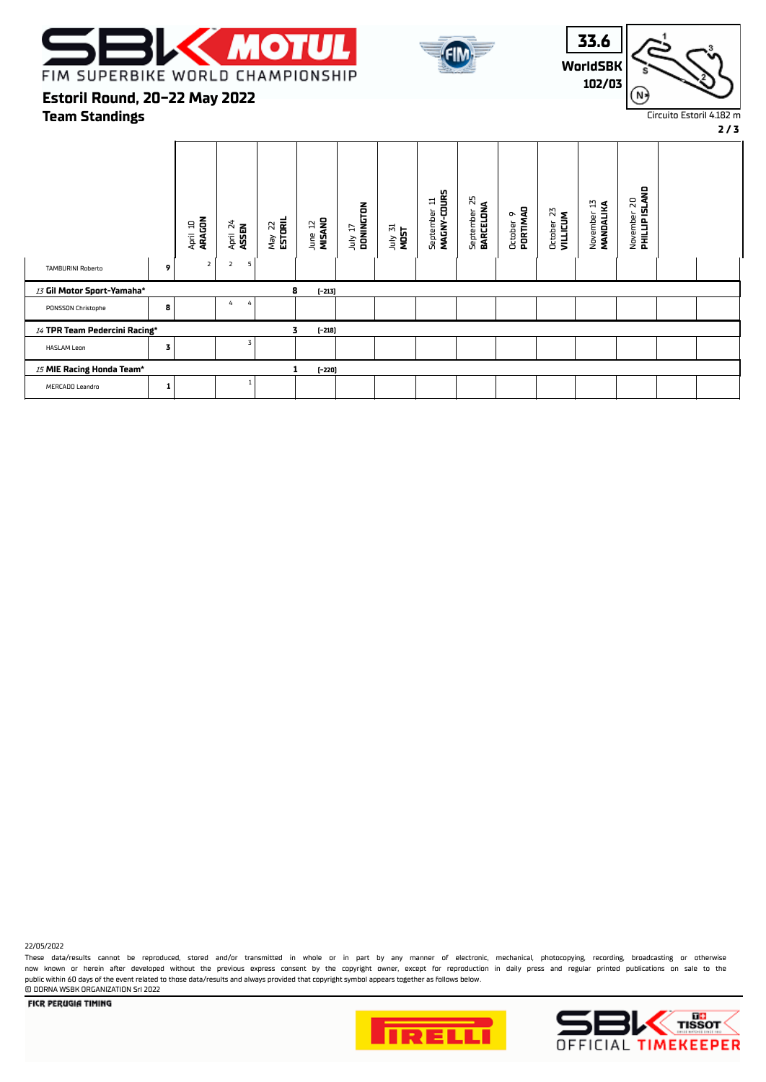





**Team Standings Estoril Round, 20-22 May 2022**

**2 / 3** November 20<br>**PHILLIP ISLAND** September 11<br>MAGNY-COURS  **PHILLIP ISLAND MAGNY-COURS BARCELONA** September 25 September 11 November 13  **MANDALIKA** July 17  **DONINGTON** October 9  **PORTIMAO** October 23  **VILLICUM** April 10  **ARAGON** May 22  **ESTORIL** June 12  **MISANO** April 24  **ASSEN** July 31 **MOST** TAMBURINI Roberto  $\begin{vmatrix} 1 & 2 \end{vmatrix}$  2 5 <sup>13</sup> **Gil Motor Sport-Yamaha\* 8 (-213)** PONSSON Christophe **8** 4 4 <sup>14</sup> **TPR Team Pedercini Racing\* 3 (-218)** HASLAM Leon **3**<sup>3</sup> <sup>15</sup> **MIE Racing Honda Team\* 1 (-220)** MERCADO Leandro **1**<sup>1</sup>

22/05/2022

These data/results cannot be reproduced, stored and/or transmitted in whole or in part by any manner of electronic, mechanical, photocopying, recording, broadcasting or otherwise now known or herein afer developed without the previous express consent by the copyright owner, except for reproduction in daily press and regular printed publications on sale to the public within 60 days of the event related to those data/results and always provided that copyright symbol appears together as follows below. © DORNA WSBK ORGANIZATION Srl 2022





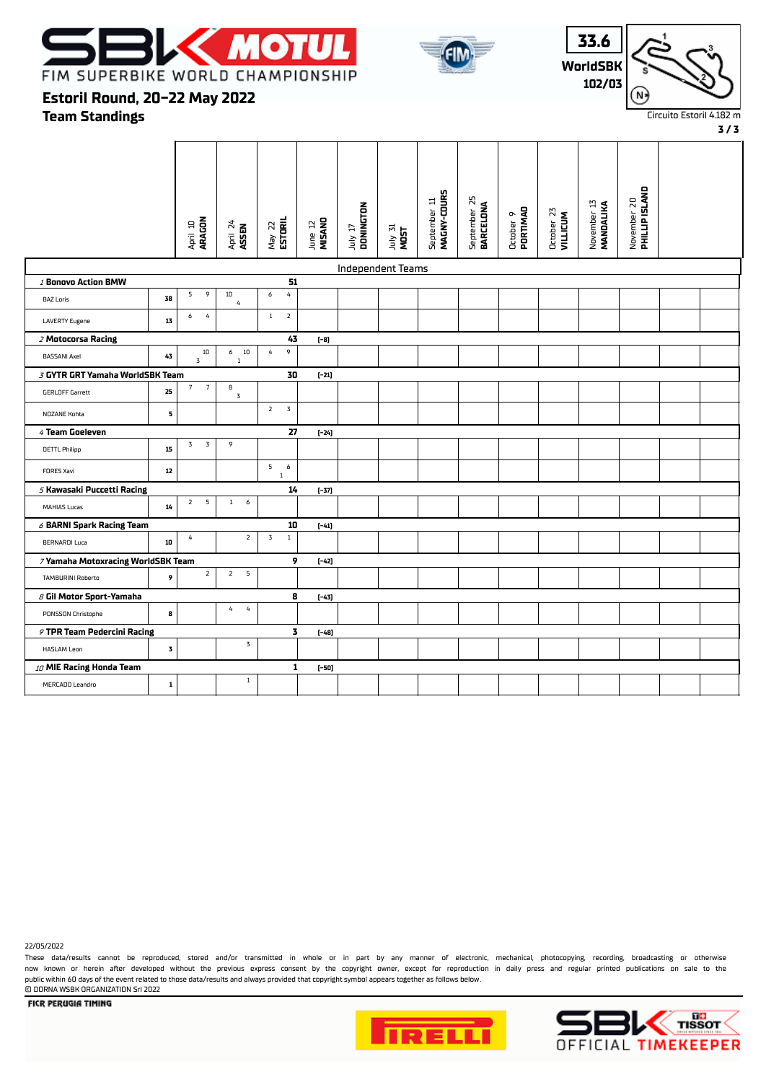





#### **3 / 3**

**Estoril Round, 20-22 May 2022**

**Team Standings**

|                                    |             | April 10<br><b>ARAGON</b>         | April 24<br>ASSEN                | $May$ 22<br><b>ESTORIL</b>     | June 12<br>MISANO | DONINGTON<br>TI VIII     | July 31<br>MOST | MAGNY-COURS<br>September 11 | September 25<br><b>BARCELONA</b> | October 9<br><b>PORTIMAO</b> | October 23<br>VILLICUM | November 13<br>MANDALIKA | November 20<br><b>PHILLIP ISLAND</b> |  |
|------------------------------------|-------------|-----------------------------------|----------------------------------|--------------------------------|-------------------|--------------------------|-----------------|-----------------------------|----------------------------------|------------------------------|------------------------|--------------------------|--------------------------------------|--|
|                                    |             |                                   |                                  |                                |                   | <b>Independent Teams</b> |                 |                             |                                  |                              |                        |                          |                                      |  |
| 1 Bonovo Action BMW                |             |                                   |                                  | 51                             |                   |                          |                 |                             |                                  |                              |                        |                          |                                      |  |
| <b>BAZ Loris</b>                   | 38          | 9<br>5                            | $10\,$<br>$\pmb{4}$              | 6<br>$\overline{4}$            |                   |                          |                 |                             |                                  |                              |                        |                          |                                      |  |
| <b>LAVERTY Eugene</b>              | 13          | $\overline{4}$<br>6               |                                  | $\overline{2}$<br>$\mathbf{1}$ |                   |                          |                 |                             |                                  |                              |                        |                          |                                      |  |
| 2 Motocorsa Racing                 |             |                                   |                                  | 43                             | $[-8]$            |                          |                 |                             |                                  |                              |                        |                          |                                      |  |
| <b>BASSANI Axel</b>                | 43          | $10\,$<br>3                       | 10<br>6<br>$\mathbf{1}$          | 9<br>4                         |                   |                          |                 |                             |                                  |                              |                        |                          |                                      |  |
| 3 GYTR GRT Yamaha WorldSBK Team    |             |                                   |                                  | 30                             | $[-21]$           |                          |                 |                             |                                  |                              |                        |                          |                                      |  |
| <b>GERLOFF Garrett</b>             | 25          | $\overline{7}$<br>$7\overline{ }$ | 8<br>$\mathbf 3$                 |                                |                   |                          |                 |                             |                                  |                              |                        |                          |                                      |  |
| NOZANE Kohta                       | 5           |                                   |                                  | $\overline{2}$<br>$\mathbf 3$  |                   |                          |                 |                             |                                  |                              |                        |                          |                                      |  |
| 4 Team Goeleven                    |             |                                   |                                  | 27                             | $[-24]$           |                          |                 |                             |                                  |                              |                        |                          |                                      |  |
| <b>OETTL Philipp</b>               | 15          | 3<br>$\overline{3}$               | 9                                |                                |                   |                          |                 |                             |                                  |                              |                        |                          |                                      |  |
| FORES Xavi                         | $12\,$      |                                   |                                  | 5<br>6<br>$\mathbf{1}$         |                   |                          |                 |                             |                                  |                              |                        |                          |                                      |  |
| 5 Kawasaki Puccetti Racing         |             |                                   |                                  | 14                             | $[-37]$           |                          |                 |                             |                                  |                              |                        |                          |                                      |  |
| MAHIAS Lucas                       | $14\,$      | 5<br>$\overline{2}$               | $\mathbf{1}$<br>6                |                                |                   |                          |                 |                             |                                  |                              |                        |                          |                                      |  |
| $6$ BARNI Spark Racing Team        |             |                                   |                                  | 10                             | $[-41]$           |                          |                 |                             |                                  |                              |                        |                          |                                      |  |
| <b>BERNARDI Luca</b>               | 10          | 4                                 | $\mathbf{2}$                     | 3<br>$\,1\,$                   |                   |                          |                 |                             |                                  |                              |                        |                          |                                      |  |
| 7 Yamaha Motoxracing WorldSBK Team |             |                                   |                                  | 9                              | $[-42]$           |                          |                 |                             |                                  |                              |                        |                          |                                      |  |
| <b>TAMBURINI Roberto</b>           | 9           | $\overline{2}$                    | $\overline{2}$<br>$\overline{5}$ |                                |                   |                          |                 |                             |                                  |                              |                        |                          |                                      |  |
| 8 Gil Motor Sport-Yamaha           |             |                                   |                                  | 8                              | $[-43]$           |                          |                 |                             |                                  |                              |                        |                          |                                      |  |
| PONSSON Christophe                 | 8           |                                   | $\pmb{4}$<br>$\overline{4}$      |                                |                   |                          |                 |                             |                                  |                              |                        |                          |                                      |  |
| 9 TPR Team Pedercini Racing        |             |                                   |                                  | 3                              | $[-48]$           |                          |                 |                             |                                  |                              |                        |                          |                                      |  |
| <b>HASLAM Leon</b>                 | 3           |                                   | 3                                |                                |                   |                          |                 |                             |                                  |                              |                        |                          |                                      |  |
| 10 MIE Racing Honda Team           |             |                                   |                                  | 1                              | (-50)             |                          |                 |                             |                                  |                              |                        |                          |                                      |  |
| MERCADO Leandro                    | $\mathbf 1$ |                                   | $\mathbf{1}$                     |                                |                   |                          |                 |                             |                                  |                              |                        |                          |                                      |  |

22/05/2022

These data/results cannot be reproduced, stored and/or transmitted in whole or in part by any manner of electronic, mechanical, photocopying, recording, broadcasting or otherwise now known or herein after developed without the previous express consent by the copyright owner, except for reproduction in daily press and regular printed publications on sale to the public within 60 days of the event related to those data/results and always provided that copyright symbol appears together as follows below. © DORNA WSBK ORGANIZATION Srl 2022



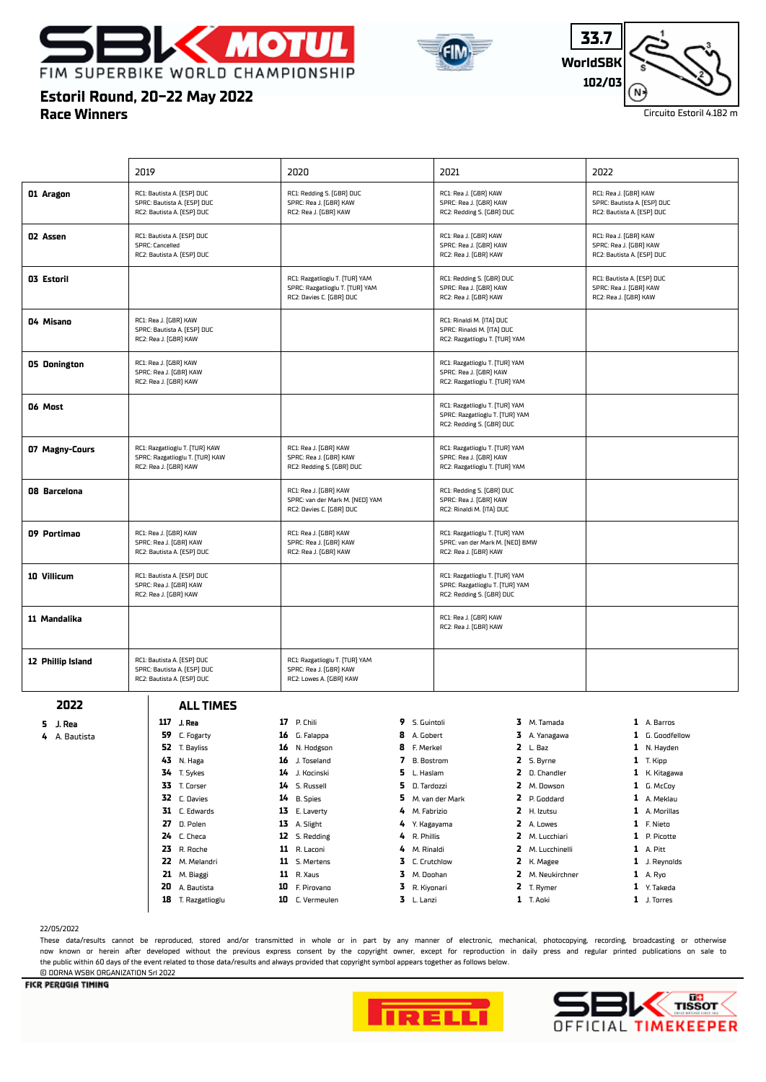





## **Estoril Round, 20-22 May 2022**

**Race Winners**

| RC1: Bautista A. (ESP) DUC<br>RC1: Redding S. (GBR) DUC<br>RC1: Rea J. [GBR] KAW<br>RC1: Rea J. (GBR) KAW<br>SPRC: Bautista A. (ESP) DUC<br>SPRC: Rea J. (GBR) KAW<br>SPRC: Rea J. (GBR) KAW<br>SPRC: Bautista A. (ESP) DUC<br>RC2: Bautista A. (ESP) DUC<br>RC2: Rea J. (GBR) KAW<br>RC2: Redding S. (GBR) DUC<br>RC2: Bautista A. (ESP) DUC<br>RC1: Rea J. (GBR) KAW<br>RC1: Bautista A. (ESP) DUC<br>RC1: Rea J. (GBR) KAW<br>SPRC: Cancelled<br>SPRC: Rea J. (GBR) KAW<br>SPRC: Rea J. (GBR) KAW<br>RC2: Bautista A. (ESP) DUC<br>RC2: Rea J. (GBR) KAW<br>RC2: Bautista A. (ESP) DUC<br>RC1: Bautista A. (ESP) DUC<br>RC1: Razgatlioglu T. (TUR) YAM<br>RC1: Redding S. (GBR) DUC<br>SPRC: Razgatlioglu T. [TUR] YAM<br>SPRC: Rea J. (GBR) KAW<br>SPRC: Rea J. (GBR) KAW<br>RC2: Davies C. (GBR) DUC<br>RC2: Rea J. (GBR) KAW<br>RC2: Rea J. (GBR) KAW<br>RC1: Rea J. [GBR] KAW<br>RC1: Rinaldi M. (ITA) DUC<br>SPRC: Bautista A. (ESP) DUC<br>SPRC: Rinaldi M. (ITA) DUC<br>RC2: Rea J. (GBR) KAW<br>RC2: Razgatlioglu T. [TUR] YAM<br>RC1: Rea J. (GBR) KAW<br>RC1: Razgatlioglu T. (TUR) YAM<br>SPRC: Rea J. (GBR) KAW<br>SPRC: Rea J. (GBR) KAW<br>RC2: Rea J. (GBR) KAW<br>RC2: Razgatlioglu T. [TUR] YAM<br>RC1: Razgatlioglu T. [TUR] YAM<br>SPRC: Razgatlioglu T. [TUR] YAM<br>RC2: Redding S. (GBR) DUC<br>RC1: Rea J. (GBR) KAW<br>RC1: Razgatlioglu T. (TUR) KAW<br>RC1: Razgatlioglu T. (TUR) YAM<br>SPRC: Razgatlioglu T. [TUR] KAW<br>SPRC: Rea J. (GBR) KAW<br>SPRC: Rea J. (GBR) KAW<br>RC2: Rea J. (GBR) KAW<br>RC2: Redding S. (GBR) DUC<br>RC2: Razgatlioglu T. [TUR] YAM<br>RC1: Rea J. [GBR] KAW<br>RC1: Redding S. (GBR) DUC<br>SPRC: van der Mark M. [NED] YAM<br>SPRC: Rea J. (GBR) KAW<br>RC2: Davies C. (GBR) DUC<br>RC2: Rinaldi M. (ITA) DUC<br>RC1: Rea J. [GBR] KAW<br>RC1: Rea J. (GBR) KAW<br>RC1: Razgatlioglu T. (TUR) YAM<br>SPRC: Rea J. (GBR) KAW<br>SPRC: Rea J. (GBR) KAW<br>SPRC: van der Mark M. [NED] BMW<br>RC2: Bautista A. (ESP) DUC<br>RC2: Rea J. (GBR) KAW<br>RC2: Rea J. (GBR) KAW<br>RC1: Bautista A. (ESP) DUC<br>RC1: Razgatlioglu T. (TUR) YAM<br>SPRC: Rea J. (GBR) KAW<br>SPRC: Razgatlioglu T. [TUR] YAM<br>RC2: Rea J. (GBR) KAW<br>RC2: Redding S. (GBR) DUC<br>RC1: Rea J. [GBR] KAW<br>RC2: Rea J. (GBR) KAW<br>RC1: Bautista A. (ESP) DUC<br>RC1: Razgatlioglu T. (TUR) YAM<br>SPRC: Bautista A. (ESP) DUC<br>SPRC: Rea J. (GBR) KAW<br>RC2: Bautista A. (ESP) DUC<br>RC2: Lowes A. (GBR) KAW<br>2022<br><b>ALL TIMES</b><br>117 J. Rea<br>17 P. Chili<br>9 S. Guintoli<br>3 M. Tamada<br>1 A. Barros<br>5 J. Rea<br>59<br>8<br>3 A. Yanagawa<br>C. Fogarty<br>16 G. Falappa<br>A. Gobert<br>1 G. Goodfellow<br>4 A. Bautista<br>8<br>$2 L.$ Baz<br>52 T. Bayliss<br>N. Hodgson<br>F. Merkel<br>16<br>1 N. Hayden<br>7<br>2 S. Byrne<br>43<br>N. Haga<br>16<br>J. Toseland<br><b>B.</b> Bostrom<br>$1$ T. Kipp<br>5.<br>34<br>2 D. Chandler<br>T. Sykes<br>14<br>J. Kocinski<br>L. Haslam<br>1 K. Kitagawa<br>33 T. Corser<br>5<br>2 M. Dowson<br>14 S. Russell<br>D. Tardozzi<br>1 G. McCoy<br>32<br>5<br>2<br>1 A. Meklau<br>C. Davies<br>14<br><b>B.</b> Spies<br>M. van der Mark<br>P. Goddard<br>31 C. Edwards<br>13<br>E. Laverty<br>4<br>M. Fabrizio<br>2 H. Izutsu<br>1 A. Morillas<br>D. Polen<br>2 A. Lowes<br>27<br>13 A. Slight<br>4<br>Y. Kagayama<br>1 F. Nieto<br>12 S. Redding<br>4<br>R. Phillis<br>2 M. Lucchiari<br>1 P. Picotte<br>24<br>C. Checa<br>23 R. Roche<br>11 R. Laconi<br>4<br>M. Rinaldi<br>2 M. Lucchinelli<br>1 A. Pitt<br>22 M. Melandri<br>11 S. Mertens<br>3<br>2 K. Magee<br>C. Crutchlow<br>1 J. Reynolds<br>21<br>M. Biaggi<br><b>11</b> R. Xaus<br>3<br>2 M. Neukirchner<br>M. Doohan<br>1 A. Ryo<br>3<br>20<br>A. Bautista<br>10 F. Pirovano<br>R. Kiyonari<br>2 T. Rymer<br>1 Y. Takeda<br>3 L. Lanzi<br>18 T. Razgatlioglu<br>10 C. Vermeulen<br>1 T. Aoki<br>1 J. Torres |                   |      |      |      |      |
|----------------------------------------------------------------------------------------------------------------------------------------------------------------------------------------------------------------------------------------------------------------------------------------------------------------------------------------------------------------------------------------------------------------------------------------------------------------------------------------------------------------------------------------------------------------------------------------------------------------------------------------------------------------------------------------------------------------------------------------------------------------------------------------------------------------------------------------------------------------------------------------------------------------------------------------------------------------------------------------------------------------------------------------------------------------------------------------------------------------------------------------------------------------------------------------------------------------------------------------------------------------------------------------------------------------------------------------------------------------------------------------------------------------------------------------------------------------------------------------------------------------------------------------------------------------------------------------------------------------------------------------------------------------------------------------------------------------------------------------------------------------------------------------------------------------------------------------------------------------------------------------------------------------------------------------------------------------------------------------------------------------------------------------------------------------------------------------------------------------------------------------------------------------------------------------------------------------------------------------------------------------------------------------------------------------------------------------------------------------------------------------------------------------------------------------------------------------------------------------------------------------------------------------------------------------------------------------------------------------------------------------------------------------------------------------------------------------------------------------------------------------------------------------------------------------------------------------------------------------------------------------------------------------------------------------------------------------------------------------------------------------------------------------------------------------------------------------------------------------------------------------------------------------------------------------------------------------------------------------------------------------------------------------------------------------------------------------------------------------------------------------------------------------------------------------------------------------------------------------------------------------------------------------------------------------------------------------------------------------------------------------------------------------------------------------------------------------------------------------------------------------------------------------------------------------------------------------------------------------------------------------|-------------------|------|------|------|------|
|                                                                                                                                                                                                                                                                                                                                                                                                                                                                                                                                                                                                                                                                                                                                                                                                                                                                                                                                                                                                                                                                                                                                                                                                                                                                                                                                                                                                                                                                                                                                                                                                                                                                                                                                                                                                                                                                                                                                                                                                                                                                                                                                                                                                                                                                                                                                                                                                                                                                                                                                                                                                                                                                                                                                                                                                                                                                                                                                                                                                                                                                                                                                                                                                                                                                                                                                                                                                                                                                                                                                                                                                                                                                                                                                                                                                                                                                                        |                   | 2019 | 2020 | 2021 | 2022 |
|                                                                                                                                                                                                                                                                                                                                                                                                                                                                                                                                                                                                                                                                                                                                                                                                                                                                                                                                                                                                                                                                                                                                                                                                                                                                                                                                                                                                                                                                                                                                                                                                                                                                                                                                                                                                                                                                                                                                                                                                                                                                                                                                                                                                                                                                                                                                                                                                                                                                                                                                                                                                                                                                                                                                                                                                                                                                                                                                                                                                                                                                                                                                                                                                                                                                                                                                                                                                                                                                                                                                                                                                                                                                                                                                                                                                                                                                                        | 01 Aragon         |      |      |      |      |
|                                                                                                                                                                                                                                                                                                                                                                                                                                                                                                                                                                                                                                                                                                                                                                                                                                                                                                                                                                                                                                                                                                                                                                                                                                                                                                                                                                                                                                                                                                                                                                                                                                                                                                                                                                                                                                                                                                                                                                                                                                                                                                                                                                                                                                                                                                                                                                                                                                                                                                                                                                                                                                                                                                                                                                                                                                                                                                                                                                                                                                                                                                                                                                                                                                                                                                                                                                                                                                                                                                                                                                                                                                                                                                                                                                                                                                                                                        | 02 Assen          |      |      |      |      |
|                                                                                                                                                                                                                                                                                                                                                                                                                                                                                                                                                                                                                                                                                                                                                                                                                                                                                                                                                                                                                                                                                                                                                                                                                                                                                                                                                                                                                                                                                                                                                                                                                                                                                                                                                                                                                                                                                                                                                                                                                                                                                                                                                                                                                                                                                                                                                                                                                                                                                                                                                                                                                                                                                                                                                                                                                                                                                                                                                                                                                                                                                                                                                                                                                                                                                                                                                                                                                                                                                                                                                                                                                                                                                                                                                                                                                                                                                        | 03 Estoril        |      |      |      |      |
|                                                                                                                                                                                                                                                                                                                                                                                                                                                                                                                                                                                                                                                                                                                                                                                                                                                                                                                                                                                                                                                                                                                                                                                                                                                                                                                                                                                                                                                                                                                                                                                                                                                                                                                                                                                                                                                                                                                                                                                                                                                                                                                                                                                                                                                                                                                                                                                                                                                                                                                                                                                                                                                                                                                                                                                                                                                                                                                                                                                                                                                                                                                                                                                                                                                                                                                                                                                                                                                                                                                                                                                                                                                                                                                                                                                                                                                                                        | 04 Misano         |      |      |      |      |
|                                                                                                                                                                                                                                                                                                                                                                                                                                                                                                                                                                                                                                                                                                                                                                                                                                                                                                                                                                                                                                                                                                                                                                                                                                                                                                                                                                                                                                                                                                                                                                                                                                                                                                                                                                                                                                                                                                                                                                                                                                                                                                                                                                                                                                                                                                                                                                                                                                                                                                                                                                                                                                                                                                                                                                                                                                                                                                                                                                                                                                                                                                                                                                                                                                                                                                                                                                                                                                                                                                                                                                                                                                                                                                                                                                                                                                                                                        | 05 Donington      |      |      |      |      |
|                                                                                                                                                                                                                                                                                                                                                                                                                                                                                                                                                                                                                                                                                                                                                                                                                                                                                                                                                                                                                                                                                                                                                                                                                                                                                                                                                                                                                                                                                                                                                                                                                                                                                                                                                                                                                                                                                                                                                                                                                                                                                                                                                                                                                                                                                                                                                                                                                                                                                                                                                                                                                                                                                                                                                                                                                                                                                                                                                                                                                                                                                                                                                                                                                                                                                                                                                                                                                                                                                                                                                                                                                                                                                                                                                                                                                                                                                        | 06 Most           |      |      |      |      |
|                                                                                                                                                                                                                                                                                                                                                                                                                                                                                                                                                                                                                                                                                                                                                                                                                                                                                                                                                                                                                                                                                                                                                                                                                                                                                                                                                                                                                                                                                                                                                                                                                                                                                                                                                                                                                                                                                                                                                                                                                                                                                                                                                                                                                                                                                                                                                                                                                                                                                                                                                                                                                                                                                                                                                                                                                                                                                                                                                                                                                                                                                                                                                                                                                                                                                                                                                                                                                                                                                                                                                                                                                                                                                                                                                                                                                                                                                        | 07 Magny-Cours    |      |      |      |      |
|                                                                                                                                                                                                                                                                                                                                                                                                                                                                                                                                                                                                                                                                                                                                                                                                                                                                                                                                                                                                                                                                                                                                                                                                                                                                                                                                                                                                                                                                                                                                                                                                                                                                                                                                                                                                                                                                                                                                                                                                                                                                                                                                                                                                                                                                                                                                                                                                                                                                                                                                                                                                                                                                                                                                                                                                                                                                                                                                                                                                                                                                                                                                                                                                                                                                                                                                                                                                                                                                                                                                                                                                                                                                                                                                                                                                                                                                                        | 08 Barcelona      |      |      |      |      |
|                                                                                                                                                                                                                                                                                                                                                                                                                                                                                                                                                                                                                                                                                                                                                                                                                                                                                                                                                                                                                                                                                                                                                                                                                                                                                                                                                                                                                                                                                                                                                                                                                                                                                                                                                                                                                                                                                                                                                                                                                                                                                                                                                                                                                                                                                                                                                                                                                                                                                                                                                                                                                                                                                                                                                                                                                                                                                                                                                                                                                                                                                                                                                                                                                                                                                                                                                                                                                                                                                                                                                                                                                                                                                                                                                                                                                                                                                        | 09 Portimao       |      |      |      |      |
|                                                                                                                                                                                                                                                                                                                                                                                                                                                                                                                                                                                                                                                                                                                                                                                                                                                                                                                                                                                                                                                                                                                                                                                                                                                                                                                                                                                                                                                                                                                                                                                                                                                                                                                                                                                                                                                                                                                                                                                                                                                                                                                                                                                                                                                                                                                                                                                                                                                                                                                                                                                                                                                                                                                                                                                                                                                                                                                                                                                                                                                                                                                                                                                                                                                                                                                                                                                                                                                                                                                                                                                                                                                                                                                                                                                                                                                                                        | 10 Villicum       |      |      |      |      |
|                                                                                                                                                                                                                                                                                                                                                                                                                                                                                                                                                                                                                                                                                                                                                                                                                                                                                                                                                                                                                                                                                                                                                                                                                                                                                                                                                                                                                                                                                                                                                                                                                                                                                                                                                                                                                                                                                                                                                                                                                                                                                                                                                                                                                                                                                                                                                                                                                                                                                                                                                                                                                                                                                                                                                                                                                                                                                                                                                                                                                                                                                                                                                                                                                                                                                                                                                                                                                                                                                                                                                                                                                                                                                                                                                                                                                                                                                        | 11 Mandalika      |      |      |      |      |
|                                                                                                                                                                                                                                                                                                                                                                                                                                                                                                                                                                                                                                                                                                                                                                                                                                                                                                                                                                                                                                                                                                                                                                                                                                                                                                                                                                                                                                                                                                                                                                                                                                                                                                                                                                                                                                                                                                                                                                                                                                                                                                                                                                                                                                                                                                                                                                                                                                                                                                                                                                                                                                                                                                                                                                                                                                                                                                                                                                                                                                                                                                                                                                                                                                                                                                                                                                                                                                                                                                                                                                                                                                                                                                                                                                                                                                                                                        | 12 Phillip Island |      |      |      |      |
|                                                                                                                                                                                                                                                                                                                                                                                                                                                                                                                                                                                                                                                                                                                                                                                                                                                                                                                                                                                                                                                                                                                                                                                                                                                                                                                                                                                                                                                                                                                                                                                                                                                                                                                                                                                                                                                                                                                                                                                                                                                                                                                                                                                                                                                                                                                                                                                                                                                                                                                                                                                                                                                                                                                                                                                                                                                                                                                                                                                                                                                                                                                                                                                                                                                                                                                                                                                                                                                                                                                                                                                                                                                                                                                                                                                                                                                                                        |                   |      |      |      |      |
|                                                                                                                                                                                                                                                                                                                                                                                                                                                                                                                                                                                                                                                                                                                                                                                                                                                                                                                                                                                                                                                                                                                                                                                                                                                                                                                                                                                                                                                                                                                                                                                                                                                                                                                                                                                                                                                                                                                                                                                                                                                                                                                                                                                                                                                                                                                                                                                                                                                                                                                                                                                                                                                                                                                                                                                                                                                                                                                                                                                                                                                                                                                                                                                                                                                                                                                                                                                                                                                                                                                                                                                                                                                                                                                                                                                                                                                                                        |                   |      |      |      |      |
|                                                                                                                                                                                                                                                                                                                                                                                                                                                                                                                                                                                                                                                                                                                                                                                                                                                                                                                                                                                                                                                                                                                                                                                                                                                                                                                                                                                                                                                                                                                                                                                                                                                                                                                                                                                                                                                                                                                                                                                                                                                                                                                                                                                                                                                                                                                                                                                                                                                                                                                                                                                                                                                                                                                                                                                                                                                                                                                                                                                                                                                                                                                                                                                                                                                                                                                                                                                                                                                                                                                                                                                                                                                                                                                                                                                                                                                                                        |                   |      |      |      |      |
|                                                                                                                                                                                                                                                                                                                                                                                                                                                                                                                                                                                                                                                                                                                                                                                                                                                                                                                                                                                                                                                                                                                                                                                                                                                                                                                                                                                                                                                                                                                                                                                                                                                                                                                                                                                                                                                                                                                                                                                                                                                                                                                                                                                                                                                                                                                                                                                                                                                                                                                                                                                                                                                                                                                                                                                                                                                                                                                                                                                                                                                                                                                                                                                                                                                                                                                                                                                                                                                                                                                                                                                                                                                                                                                                                                                                                                                                                        |                   |      |      |      |      |
|                                                                                                                                                                                                                                                                                                                                                                                                                                                                                                                                                                                                                                                                                                                                                                                                                                                                                                                                                                                                                                                                                                                                                                                                                                                                                                                                                                                                                                                                                                                                                                                                                                                                                                                                                                                                                                                                                                                                                                                                                                                                                                                                                                                                                                                                                                                                                                                                                                                                                                                                                                                                                                                                                                                                                                                                                                                                                                                                                                                                                                                                                                                                                                                                                                                                                                                                                                                                                                                                                                                                                                                                                                                                                                                                                                                                                                                                                        |                   |      |      |      |      |
|                                                                                                                                                                                                                                                                                                                                                                                                                                                                                                                                                                                                                                                                                                                                                                                                                                                                                                                                                                                                                                                                                                                                                                                                                                                                                                                                                                                                                                                                                                                                                                                                                                                                                                                                                                                                                                                                                                                                                                                                                                                                                                                                                                                                                                                                                                                                                                                                                                                                                                                                                                                                                                                                                                                                                                                                                                                                                                                                                                                                                                                                                                                                                                                                                                                                                                                                                                                                                                                                                                                                                                                                                                                                                                                                                                                                                                                                                        |                   |      |      |      |      |
|                                                                                                                                                                                                                                                                                                                                                                                                                                                                                                                                                                                                                                                                                                                                                                                                                                                                                                                                                                                                                                                                                                                                                                                                                                                                                                                                                                                                                                                                                                                                                                                                                                                                                                                                                                                                                                                                                                                                                                                                                                                                                                                                                                                                                                                                                                                                                                                                                                                                                                                                                                                                                                                                                                                                                                                                                                                                                                                                                                                                                                                                                                                                                                                                                                                                                                                                                                                                                                                                                                                                                                                                                                                                                                                                                                                                                                                                                        |                   |      |      |      |      |
|                                                                                                                                                                                                                                                                                                                                                                                                                                                                                                                                                                                                                                                                                                                                                                                                                                                                                                                                                                                                                                                                                                                                                                                                                                                                                                                                                                                                                                                                                                                                                                                                                                                                                                                                                                                                                                                                                                                                                                                                                                                                                                                                                                                                                                                                                                                                                                                                                                                                                                                                                                                                                                                                                                                                                                                                                                                                                                                                                                                                                                                                                                                                                                                                                                                                                                                                                                                                                                                                                                                                                                                                                                                                                                                                                                                                                                                                                        |                   |      |      |      |      |
|                                                                                                                                                                                                                                                                                                                                                                                                                                                                                                                                                                                                                                                                                                                                                                                                                                                                                                                                                                                                                                                                                                                                                                                                                                                                                                                                                                                                                                                                                                                                                                                                                                                                                                                                                                                                                                                                                                                                                                                                                                                                                                                                                                                                                                                                                                                                                                                                                                                                                                                                                                                                                                                                                                                                                                                                                                                                                                                                                                                                                                                                                                                                                                                                                                                                                                                                                                                                                                                                                                                                                                                                                                                                                                                                                                                                                                                                                        |                   |      |      |      |      |
|                                                                                                                                                                                                                                                                                                                                                                                                                                                                                                                                                                                                                                                                                                                                                                                                                                                                                                                                                                                                                                                                                                                                                                                                                                                                                                                                                                                                                                                                                                                                                                                                                                                                                                                                                                                                                                                                                                                                                                                                                                                                                                                                                                                                                                                                                                                                                                                                                                                                                                                                                                                                                                                                                                                                                                                                                                                                                                                                                                                                                                                                                                                                                                                                                                                                                                                                                                                                                                                                                                                                                                                                                                                                                                                                                                                                                                                                                        |                   |      |      |      |      |
|                                                                                                                                                                                                                                                                                                                                                                                                                                                                                                                                                                                                                                                                                                                                                                                                                                                                                                                                                                                                                                                                                                                                                                                                                                                                                                                                                                                                                                                                                                                                                                                                                                                                                                                                                                                                                                                                                                                                                                                                                                                                                                                                                                                                                                                                                                                                                                                                                                                                                                                                                                                                                                                                                                                                                                                                                                                                                                                                                                                                                                                                                                                                                                                                                                                                                                                                                                                                                                                                                                                                                                                                                                                                                                                                                                                                                                                                                        |                   |      |      |      |      |
|                                                                                                                                                                                                                                                                                                                                                                                                                                                                                                                                                                                                                                                                                                                                                                                                                                                                                                                                                                                                                                                                                                                                                                                                                                                                                                                                                                                                                                                                                                                                                                                                                                                                                                                                                                                                                                                                                                                                                                                                                                                                                                                                                                                                                                                                                                                                                                                                                                                                                                                                                                                                                                                                                                                                                                                                                                                                                                                                                                                                                                                                                                                                                                                                                                                                                                                                                                                                                                                                                                                                                                                                                                                                                                                                                                                                                                                                                        |                   |      |      |      |      |
|                                                                                                                                                                                                                                                                                                                                                                                                                                                                                                                                                                                                                                                                                                                                                                                                                                                                                                                                                                                                                                                                                                                                                                                                                                                                                                                                                                                                                                                                                                                                                                                                                                                                                                                                                                                                                                                                                                                                                                                                                                                                                                                                                                                                                                                                                                                                                                                                                                                                                                                                                                                                                                                                                                                                                                                                                                                                                                                                                                                                                                                                                                                                                                                                                                                                                                                                                                                                                                                                                                                                                                                                                                                                                                                                                                                                                                                                                        |                   |      |      |      |      |
|                                                                                                                                                                                                                                                                                                                                                                                                                                                                                                                                                                                                                                                                                                                                                                                                                                                                                                                                                                                                                                                                                                                                                                                                                                                                                                                                                                                                                                                                                                                                                                                                                                                                                                                                                                                                                                                                                                                                                                                                                                                                                                                                                                                                                                                                                                                                                                                                                                                                                                                                                                                                                                                                                                                                                                                                                                                                                                                                                                                                                                                                                                                                                                                                                                                                                                                                                                                                                                                                                                                                                                                                                                                                                                                                                                                                                                                                                        |                   |      |      |      |      |
|                                                                                                                                                                                                                                                                                                                                                                                                                                                                                                                                                                                                                                                                                                                                                                                                                                                                                                                                                                                                                                                                                                                                                                                                                                                                                                                                                                                                                                                                                                                                                                                                                                                                                                                                                                                                                                                                                                                                                                                                                                                                                                                                                                                                                                                                                                                                                                                                                                                                                                                                                                                                                                                                                                                                                                                                                                                                                                                                                                                                                                                                                                                                                                                                                                                                                                                                                                                                                                                                                                                                                                                                                                                                                                                                                                                                                                                                                        |                   |      |      |      |      |

#### 22/05/2022

These data/results cannot be reproduced, stored and/or transmitted in whole or in part by any manner of electronic, mechanical, photocopying, recording, broadcasting or otherwise now known or herein afer developed without the previous express consent by the copyright owner, except for reproduction in daily press and regular printed publications on sale to the public within 60 days of the event related to those data/results and always provided that copyright symbol appears together as follows below.

#### © DORNA WSBK ORGANIZATION Srl 2022**FICR PERUGIA TIMING**



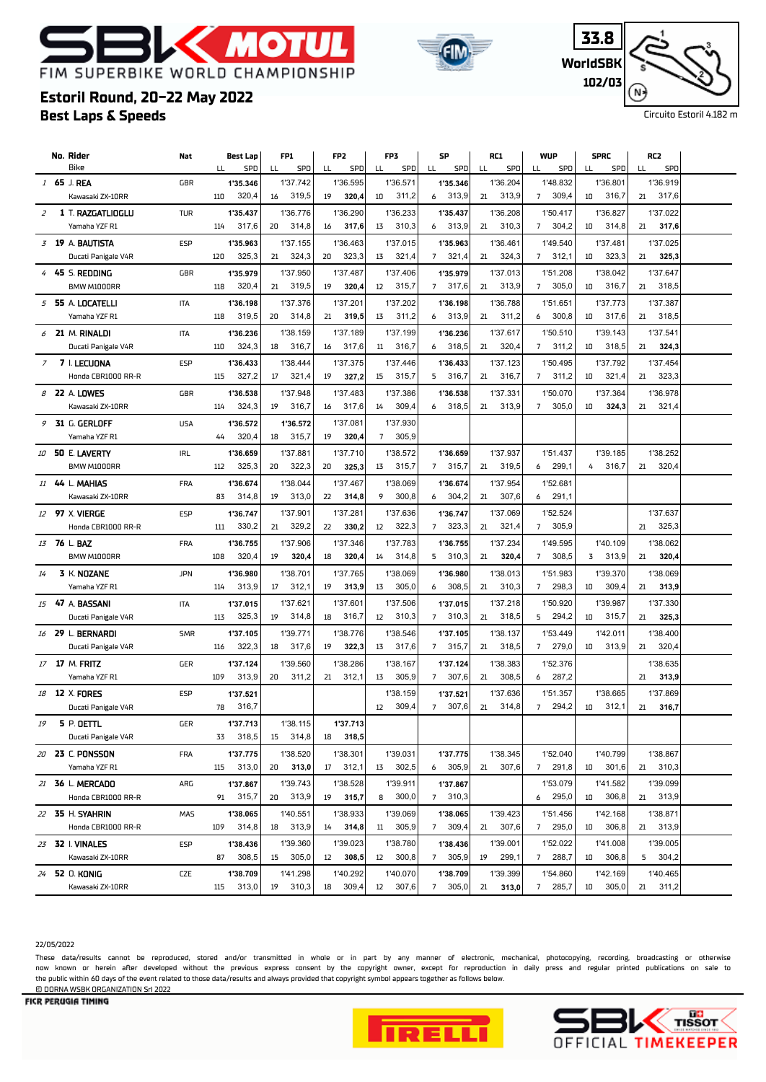# **K MOT** FIM SUPERBIKE WORLD CHAMPIONSHIP



| 33.8     |  |
|----------|--|
| WorldSBK |  |
| 102/03   |  |
|          |  |

Circuito Estoril 4.182 m

### **Best Laps & Speeds Estoril Round, 20-22 May 2022**

|                | No. Rider              | Nat        |     | Best Lap | FP1         | FP <sub>2</sub> | FP3                        | SP                      | RC1         | <b>WUP</b>              | <b>SPRC</b>    | RC2         |  |
|----------------|------------------------|------------|-----|----------|-------------|-----------------|----------------------------|-------------------------|-------------|-------------------------|----------------|-------------|--|
|                | Bike                   |            | LL  | SPD      | LL<br>SPD   | SPD<br>LL       | SPD<br>LL                  | LL<br>SPD               | SPD<br>LL   | SPD<br>LL               | SPD<br>LL      | SPD<br>LL   |  |
|                | 1 65 J. REA            | GBR        |     | 1'35.346 | 1'37.742    | 1'36.595        | 1'36.571                   | 1'35.346                | 1'36.204    | 1'48.832                | 1'36.801       | 1'36.919    |  |
|                | Kawasaki ZX-10RR       |            | 110 | 320,4    | 319,5<br>16 | 19<br>320,4     | 311,2<br>10                | 313,9<br>6              | 313,9<br>21 | 309,4<br>$7^{\circ}$    | 316,7<br>10    | 317,6<br>21 |  |
| $\overline{z}$ | 1 T. RAZGATLIOGLU      | <b>TUR</b> |     | 1'35.437 | 1'36.776    | 1'36.290        | 1'36.233                   | 1'35.437                | 1'36.208    | 1'50.417                | 1'36.827       | 1'37.022    |  |
|                | Yamaha YZF R1          |            | 114 | 317,6    | 314,8<br>20 | 317,6<br>16     | 13<br>310,3                | 6 313,9                 | 21 310,3    | 304,2<br>$7^{\circ}$    | 314,8<br>10    | 21<br>317,6 |  |
|                | 3 19 A. BAUTISTA       | <b>ESP</b> |     | 1'35.963 | 1'37.155    | 1'36.463        | 1'37.015                   | 1'35.963                | 1'36.461    | 1'49.540                | 1'37.481       | 1'37.025    |  |
|                | Ducati Panigale V4R    |            | 120 | 325,3    | 324,3<br>21 | 323,3<br>20     | 321,4<br>13                | 321,4<br>$7^{\circ}$    | 21<br>324,3 | 7<br>312,1              | 323,3<br>10    | 21<br>325,3 |  |
|                | 4 45 S. REDDING        | GBR        |     | 1'35.979 | 1'37.950    | 1'37.487        | 1'37.406                   | 1'35.979                | 1'37.013    | 1'51.208                | 1'38.042       | 1'37.647    |  |
|                | BMW M1000RR            |            | 118 | 320,4    | 319,5<br>21 | 320,4<br>19     | 315,7<br>$12 \overline{ }$ | 317,6<br>7              | 313,9<br>21 | 305,0<br>$7^{\circ}$    | 316,7<br>10    | 318,5<br>21 |  |
|                |                        |            |     |          |             |                 |                            |                         |             |                         |                |             |  |
|                | $5$ 55 A. LOCATELLI    | <b>ITA</b> | 118 | 1'36.198 | 1'37.376    | 1'37.201        | 1'37.202                   | 1'36.198                | 1'36.788    | 1'51.651                | 1'37.773<br>10 | 1'37.387    |  |
|                | Yamaha YZF R1          |            |     | 319,5    | 314,8<br>20 | 319,5<br>21     | 13<br>311,2                | 313,9<br>6              | 311,2<br>21 | 300,8<br>6              | 317,6          | 318,5<br>21 |  |
|                | $6$ 21 M. RINALDI      | ITA        |     | 1'36.236 | 1'38.159    | 1'37.189        | 1'37.199                   | 1'36.236                | 1'37.617    | 1'50.510                | 1'39.143       | 1'37.541    |  |
|                | Ducati Panigale V4R    |            | 110 | 324,3    | 18<br>316,7 | 317,6<br>16     | 11<br>316,7                | 318,5<br>6              | 320,4<br>21 | 311,2<br>$\overline{7}$ | 10<br>318,5    | 21<br>324,3 |  |
| $\overline{7}$ | 7 I. LECUONA           | <b>ESP</b> |     | 1'36.433 | 1'38.444    | 1'37.375        | 1'37.446                   | 1'36.433                | 1'37.123    | 1'50.495                | 1'37.792       | 1'37.454    |  |
|                | Honda CBR1000 RR-R     |            | 115 | 327,2    | 321,4<br>17 | 19<br>327,2     | 315,7<br>15                | 316,7<br>5              | 316,7<br>21 | 311,2<br>$\overline{7}$ | 321,4<br>10    | 323,3<br>21 |  |
|                | 8 22 A. LOWES          | GBR        |     | 1'36.538 | 1'37.948    | 1'37.483        | 1'37.386                   | 1'36.538                | 1'37.331    | 1'50.070                | 1'37.364       | 1'36.978    |  |
|                | Kawasaki ZX-10RR       |            | 114 | 324,3    | 316,7<br>19 | 317,6<br>16     | 309,4<br>14                | 318,5<br>6              | 313,9<br>21 | 305,0<br>$\overline{7}$ | 324,3<br>10    | 321,4<br>21 |  |
|                | 9 31 G. GERLOFF        | <b>USA</b> |     | 1'36.572 | 1'36.572    | 1'37.081        | 1'37.930                   |                         |             |                         |                |             |  |
|                | Yamaha YZF R1          |            | 44  | 320,4    | 315,7<br>18 | 19<br>320,4     | $\overline{7}$<br>305,9    |                         |             |                         |                |             |  |
|                | 10 50 E. LAVERTY       | <b>IRL</b> |     | 1'36.659 | 1'37.881    | 1'37.710        | 1'38.572                   | 1'36.659                | 1'37.937    | 1'51.437                | 1'39.185       | 1'38.252    |  |
|                | BMW M1000RR            |            | 112 | 325,3    | 322,3<br>20 | 20<br>325,3     | 315,7<br>13                | 7<br>315,7              | 21<br>319,5 | 299,1<br>6              | 316,7<br>4     | 320,4<br>21 |  |
|                | 11 44 L. MAHIAS        | FRA        |     | 1'36.674 | 1'38.044    | 1'37.467        | 1'38.069                   | 1'36.674                | 1'37.954    | 1'52.681                |                |             |  |
|                | Kawasaki ZX-10RR       |            | 83  | 314,8    | 313,0<br>19 | 22<br>314,8     | 300,8<br>9                 | 304,2<br>6              | 307,6<br>21 | 291,1<br>6              |                |             |  |
|                | 12 <b>97</b> X. VIERGE | <b>ESP</b> |     | 1'36.747 | 1'37.901    | 1'37.281        | 1'37.636                   | 1'36.747                | 1'37.069    | 1'52.524                |                | 1'37.637    |  |
|                | Honda CBR1000 RR-R     |            | 111 | 330,2    | 329,2<br>21 | 330,2<br>22     | 322,3<br>$12 \overline{ }$ | 323,3<br>$7^{\circ}$    | 321,4<br>21 | 305,9<br>$\overline{7}$ |                | 325,3<br>21 |  |
|                |                        |            |     |          |             |                 |                            |                         |             |                         |                |             |  |
|                | 13 76 L. BAZ           | <b>FRA</b> |     | 1'36.755 | 1'37.906    | 1'37.346        | 1'37.783                   | 1'36.755                | 1'37.234    | 1'49.595                | 1'40.109       | 1'38.062    |  |
|                | BMW M1000RR            |            | 108 | 320,4    | 320,4<br>19 | 320,4<br>18     | 314,8<br>14                | 310,3<br>5              | 320,4<br>21 | 308,5<br>$\overline{7}$ | 313,9<br>3     | 320,4<br>21 |  |
| 14             | 3 K. NOZANE            | <b>JPN</b> |     | 1'36.980 | 1'38.701    | 1'37.765        | 1'38.069                   | 1'36.980                | 1'38.013    | 1'51.983                | 1'39.370       | 1'38.069    |  |
|                | Yamaha YZF R1          |            | 114 | 313,9    | 312,1<br>17 | 19<br>313,9     | 305,0<br>13                | 308,5<br>6              | 310,3<br>21 | 298,3<br>7              | 10<br>309,4    | 21<br>313,9 |  |
|                | 15 47 A. BASSANI       | <b>ITA</b> |     | 1'37.015 | 1'37.621    | 1'37.601        | 1'37.506                   | 1'37.015                | 1'37.218    | 1'50.920                | 1'39.987       | 1'37.330    |  |
|                | Ducati Panigale V4R    |            | 113 | 325,3    | 314,8<br>19 | 316,7<br>18     | 310,3<br>12                | 310,3<br>$7^{\circ}$    | 318,5<br>21 | 294,2<br>5              | 315,7<br>10    | 325,3<br>21 |  |
|                | 16 29 L. BERNARDI      | <b>SMR</b> |     | 1'37.105 | 1'39.771    | 1'38.776        | 1'38.546                   | 1'37.105                | 1'38.137    | 1'53.449                | 1'42.011       | 1'38.400    |  |
|                | Ducati Panigale V4R    |            | 116 | 322,3    | 18<br>317,6 | 19<br>322,3     | 13<br>317,6                | $\overline{7}$<br>315,7 | 318,5<br>21 | 279,0<br>$\overline{7}$ | 10<br>313,9    | 320,4<br>21 |  |
|                | 17 17 M. FRITZ         | <b>GER</b> |     | 1'37.124 | 1'39.560    | 1'38.286        | 1'38.167                   | 1'37.124                | 1'38.383    | 1'52.376                |                | 1'38.635    |  |
|                | Yamaha YZF R1          |            | 109 | 313,9    | 311,2<br>20 | 312,1<br>21     | 13<br>305,9                | $\overline{7}$<br>307,6 | 308,5<br>21 | 287,2<br>6              |                | 313,9<br>21 |  |
|                | 18 12 X FORES          | <b>ESP</b> |     | 1'37.521 |             |                 | 1'38.159                   | 1'37.521                | 1'37.636    | 1'51.357                | 1'38.665       | 1'37.869    |  |
|                | Ducati Panigale V4R    |            | 78  | 316,7    |             |                 | 309,4<br>12                | 307,6<br>$\overline{7}$ | 314,8<br>21 | 294,2<br>$\overline{7}$ | 312,1<br>10    | 316,7<br>21 |  |
| 19             | 5 P. OETTL             | <b>GER</b> |     | 1'37.713 | 1'38.115    | 1'37.713        |                            |                         |             |                         |                |             |  |
|                | Ducati Panigale V4R    |            | 33  | 318,5    | 314,8<br>15 | 318,5<br>18     |                            |                         |             |                         |                |             |  |
|                | 20 23 C. PONSSON       | FRA        |     | 1'37.775 | 1'38.520    | 1'38.301        | 1'39.031                   | 1'37.775                | 1'38.345    | 1'52.040                | 1'40.799       | 1'38.867    |  |
|                | Yamaha YZF R1          |            | 115 | 313,0    | 313,0<br>20 | 312,1<br>17     | 302,5<br>13                | 6 305,9                 | 307,6<br>21 | 7 291,8                 | 301,6<br>10    | 310,3<br>21 |  |
|                | 21 36 L. MERCADO       | ARG        |     | 1'37.867 | 1'39.743    | 1'38.528        | 1'39.911                   | 1'37.867                |             | 1'53.079                | 1'41.582       | 1'39.099    |  |
|                | Honda CBR1000 RR-R     |            | 91  | 315,7    | 313,9<br>20 | 19<br>315,7     | 300,0<br>8                 | 7 310,3                 |             | 6 295,0                 | 306,8<br>10    | 313,9<br>21 |  |
|                |                        |            |     |          |             |                 |                            |                         |             |                         |                |             |  |
|                | 22 35 H. SYAHRIN       | MAS        |     | 1'38.065 | 1'40.551    | 1'38.933        | 1'39.069                   | 1'38.065                | 1'39.423    | 1'51.456                | 1'42.168       | 1'38.871    |  |
|                | Honda CBR1000 RR-R     |            | 109 | 314,8    | 313,9<br>18 | 314,8<br>14     | 305,9<br>11                | 309,4<br>7              | 307,6<br>21 | 295,0<br>7              | 306,8<br>10    | 313,9<br>21 |  |
|                | 23 32   VINALES        | <b>ESP</b> |     | 1'38.436 | 1'39.360    | 1'39.023        | 1'38.780                   | 1'38.436                | 1'39.001    | 1'52.022                | 1'41.008       | 1'39.005    |  |
|                | Kawasaki ZX-10RR       |            | 87  | 308,5    | 305,0<br>15 | 12<br>308,5     | 300,8<br>12                | 305,9<br>7              | 299,1<br>19 | 7 288,7                 | 306,8<br>10    | 304,2<br>5  |  |
|                | 24 52 0. KONIG         | <b>CZE</b> |     | 1'38.709 | 1'41.298    | 1'40.292        | 1'40.070                   | 1'38.709                | 1'39.399    | 1'54.860                | 1'42.169       | 1'40.465    |  |
|                | Kawasaki ZX-10RR       |            | 115 | 313,0    | 310,3<br>19 | 309,4<br>18     | 307,6<br>12                | 305,0<br>7              | 21<br>313,0 | 285,7<br>7              | 305,0<br>10    | 311,2<br>21 |  |

#### 22/05/2022

These data/results cannot be reproduced, stored and/or transmitted in whole or in part by any manner of electronic, mechanical, photocopying, recording, broadcasting or otherwise now known or herein afer developed without the previous express consent by the copyright owner, except for reproduction in daily press and regular printed publications on sale to the public within 60 days of the event related to those data/results and always provided that copyright symbol appears together as follows below. © DORNA WSBK ORGANIZATION Srl 2022



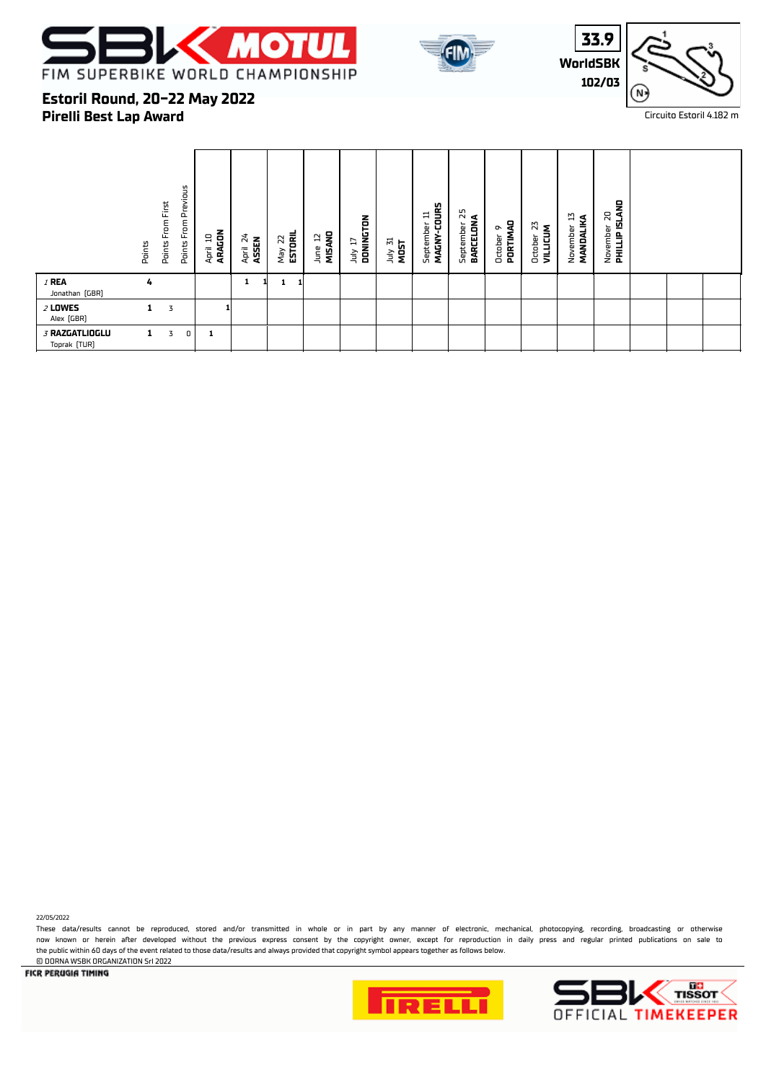





### **Estoril Round, 20-22 May 2022**

**Pirelli Best Lap Award**

|                                | Points       | Points From First | Previous<br>$\mathsf{From}$<br>Points | ARAGON<br>믑<br>April | 24<br>April 24<br>ASSEN | May 22<br><b>ESTORIL</b><br>25 | MISAND<br>F<br>June | DONINGTON<br>F<br>λη | July 31<br>MOST | MAGNY-COURS<br>≔<br>September | 55<br>BARCELONA<br>September | PORTIMAD<br>∾<br>October | N<br><b>VILLICUM</b><br>October | 13<br>MANDALIKA<br>November | November 20<br><b>PHILLIP ISLAND</b><br>$\overline{\mathbf{z}}$ |  |  |
|--------------------------------|--------------|-------------------|---------------------------------------|----------------------|-------------------------|--------------------------------|---------------------|----------------------|-----------------|-------------------------------|------------------------------|--------------------------|---------------------------------|-----------------------------|-----------------------------------------------------------------|--|--|
| $I$ REA<br>Jonathan (GBR)      | 4            |                   |                                       |                      |                         | ш                              |                     |                      |                 |                               |                              |                          |                                 |                             |                                                                 |  |  |
| $2$ LOWES<br>Alex [GBR]        | $\mathbf{1}$ | 3                 |                                       |                      |                         |                                |                     |                      |                 |                               |                              |                          |                                 |                             |                                                                 |  |  |
| 3 RAZGATLIOGLU<br>Toprak (TUR) | 1            | 3                 | $\mathbf 0$                           | 1                    |                         |                                |                     |                      |                 |                               |                              |                          |                                 |                             |                                                                 |  |  |

22/05/2022

These data/results cannot be reproduced, stored and/or transmitted in whole or in part by any manner of electronic, mechanical, photocopying, recording, broadcasting or otherwise now known or herein afer developed without the previous express consent by the copyright owner, except for reproduction in daily press and regular printed publications on sale to the public within 60 days of the event related to those data/results and always provided that copyright symbol appears together as follows below. © DORNA WSBK ORGANIZATION Srl 2022



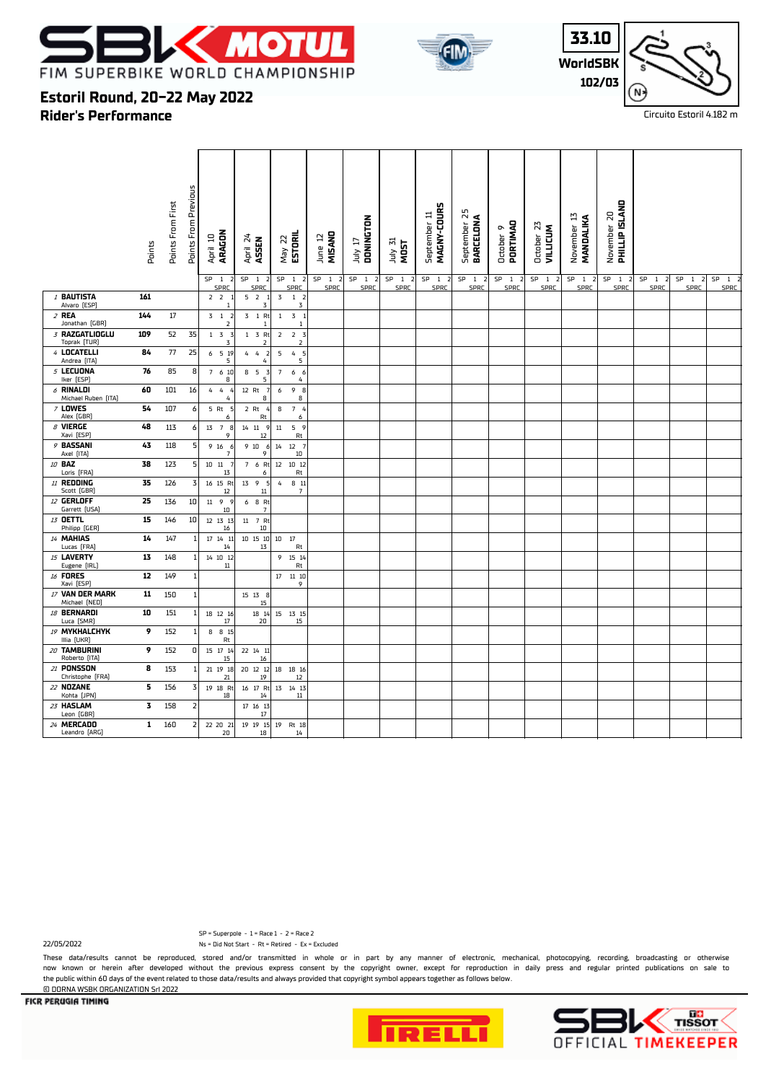





### **Estoril Round, 20-22 May 2022**

**Rider's Performance**

|                                    | Points | Points From First | Points From Previous | ARAGON<br>April 10               | April 24<br>ASSEN                      | ESTORIL<br>May 22                                  | MISAND<br>June 12                            | DONINGTON<br>TI VIII                      | July 31<br>MOST                                     | u<br>MAGNY-COUR<br>$\equiv$<br>September | September 25<br>BARCELONA    | PORTIMAD<br>o<br>October            | October 23<br><b>VILLICUM</b> | November 13<br>MANDALIKA                  | <b>PHILLIP ISLAND</b><br>November 20         |                                           |                           |                         |
|------------------------------------|--------|-------------------|----------------------|----------------------------------|----------------------------------------|----------------------------------------------------|----------------------------------------------|-------------------------------------------|-----------------------------------------------------|------------------------------------------|------------------------------|-------------------------------------|-------------------------------|-------------------------------------------|----------------------------------------------|-------------------------------------------|---------------------------|-------------------------|
|                                    |        |                   |                      | SP<br>$\overline{1}$<br>SPRC     | SP<br>$\overline{1}$<br>SPRC           | SP <sub>1</sub><br>- 7<br>SPRC                     | SP<br>$\mathbf{1}$<br>$\overline{z}$<br>SPRC | SP <sub>1</sub><br>$\overline{2}$<br>SPRC | SP <sub>1</sub><br>$\overline{\phantom{a}}$<br>SPRC | SP<br>$\mathbf{1}$<br>SPRC               | SP<br>$\overline{1}$<br>SPRC | SP<br>$\overline{1}$<br><b>SPRC</b> | SP<br>1 <sub>2</sub><br>SPRC  | SP <sub>1</sub><br>$\overline{z}$<br>SPRC | SP<br>$\mathbf{1}$<br>$\overline{2}$<br>SPRC | SP <sub>1</sub><br>$\overline{2}$<br>SPRC | SP<br>$1 \quad 2$<br>SPRC | SP <sub>1</sub><br>SPRC |
| 1 BAUTISTA<br>Alvaro (ESP)         | 161    |                   |                      | 2 <sub>2</sub><br>$\overline{1}$ | 5 <sub>2</sub><br>3                    | 3<br>1 <sub>2</sub><br>$\overline{3}$              |                                              |                                           |                                                     |                                          |                              |                                     |                               |                                           |                                              |                                           |                           |                         |
| $2$ REA<br>Jonathan (GBR)          | 144    | 17                |                      | $3 \t1 \t2$<br>$\overline{2}$    | 3 1 Rt<br>$\overline{1}$               | 3 <sub>1</sub><br>$\mathbf{1}$<br>$\overline{1}$   |                                              |                                           |                                                     |                                          |                              |                                     |                               |                                           |                                              |                                           |                           |                         |
| 3 RAZGATLIOGLU<br>Toprak [TUR]     | 109    | 52                | 35                   | $1 \quad 3 \quad 3$<br>3         | $1 \quad 3 \quad Rt$<br>$\overline{2}$ | $\overline{2}$<br>2 <sub>3</sub><br>$\overline{2}$ |                                              |                                           |                                                     |                                          |                              |                                     |                               |                                           |                                              |                                           |                           |                         |
| 4 LOCATELLI<br>Andrea [ITA]        | 84     | 77                | 25                   | 6 5 19<br>5                      | 4<br>4<br>$\overline{z}$<br>4          | $\mathsf S$<br>4 <sub>5</sub><br>5                 |                                              |                                           |                                                     |                                          |                              |                                     |                               |                                           |                                              |                                           |                           |                         |
| 5 LECUONA<br>Iker [ESP]            | 76     | 85                | 8                    | 7 6 10<br>8                      | 8 5<br>3<br>5                          | $\overline{7}$<br>6 6<br>$\overline{4}$            |                                              |                                           |                                                     |                                          |                              |                                     |                               |                                           |                                              |                                           |                           |                         |
| $6$ RINALDI<br>Michael Ruben [ITA] | 60     | 101               | 16                   | 44<br>$\overline{a}$<br>4        | 12 Rt<br>- 7<br>8                      | 9B<br>6<br>8                                       |                                              |                                           |                                                     |                                          |                              |                                     |                               |                                           |                                              |                                           |                           |                         |
| <b>7 LOWES</b><br>Alex [GBR]       | 54     | 107               | 6                    | 5 Rt 5<br>6                      | 2 Rt 4<br>Rt                           | 7 <sub>4</sub><br>8<br>6                           |                                              |                                           |                                                     |                                          |                              |                                     |                               |                                           |                                              |                                           |                           |                         |
| $\beta$ VIERGE<br>Xavi [ESP]       | 48     | 113               | 6                    | 13 7 8<br>9                      | 14 11 9<br>$12\,$                      | 5 <sub>9</sub><br>$11\,$<br>Rt                     |                                              |                                           |                                                     |                                          |                              |                                     |                               |                                           |                                              |                                           |                           |                         |
| 9 BASSANI<br>Axel [ITA]            | 43     | 118               | 5                    | 9 16<br>-6<br>$\overline{7}$     | 9 10<br>- 6<br>9                       | $12 \t 7$<br>14<br>$10\,$                          |                                              |                                           |                                                     |                                          |                              |                                     |                               |                                           |                                              |                                           |                           |                         |
| 10 <b>BAZ</b><br>Loris [FRA]       | 38     | 123               | 5                    | $10\quad 11$<br>13               | 7 6 Rt<br>6                            | 12 10 12<br>Rt                                     |                                              |                                           |                                                     |                                          |                              |                                     |                               |                                           |                                              |                                           |                           |                         |
| $11$ Redding<br>Scott [GBR]        | 35     | 126               | 3                    | 16 15 Rt<br>12                   | 13 9<br>- 5<br>11                      | 4<br>8 11<br>$\overline{7}$                        |                                              |                                           |                                                     |                                          |                              |                                     |                               |                                           |                                              |                                           |                           |                         |
| 12 GERLOFF<br>Garrett [USA]        | 25     | 136               | 10                   | 11 9 9<br>$10\,$                 | 6 8 Rt<br>$\overline{7}$               |                                                    |                                              |                                           |                                                     |                                          |                              |                                     |                               |                                           |                                              |                                           |                           |                         |
| 13 OETTL<br>Philipp (GER)          | 15     | 146               | 10                   | 12 13 13<br>16                   | 11 7 Rt<br>$10\,$                      |                                                    |                                              |                                           |                                                     |                                          |                              |                                     |                               |                                           |                                              |                                           |                           |                         |
| 14 MAHIAS<br>Lucas [FRA]           | 14     | 147               | 1                    | 17  14  11<br>14                 | 10 15 10<br>13                         | 17<br>10<br>Rt                                     |                                              |                                           |                                                     |                                          |                              |                                     |                               |                                           |                                              |                                           |                           |                         |
| 15 LAVERTY<br>Eugene [IRL]         | 13     | 148               | 1                    | 14 10 12<br>$11\,$               |                                        | 9<br>15 14<br>Rt                                   |                                              |                                           |                                                     |                                          |                              |                                     |                               |                                           |                                              |                                           |                           |                         |
| 16 FORES<br>Xavi [ESP]             | 12     | 149               | $\mathbf 1$          |                                  |                                        | 17   11   10<br>9                                  |                                              |                                           |                                                     |                                          |                              |                                     |                               |                                           |                                              |                                           |                           |                         |
| 17 VAN DER MARK<br>Michael [NED]   | 11     | 150               | $1\,$                |                                  | 15 13 8<br>15                          |                                                    |                                              |                                           |                                                     |                                          |                              |                                     |                               |                                           |                                              |                                           |                           |                         |
| 18 BERNARDI<br>Luca [SMR]          | 10     | 151               | 1                    | 18 12 16<br>17                   | 18 14<br>20                            | 15 13 15<br>15                                     |                                              |                                           |                                                     |                                          |                              |                                     |                               |                                           |                                              |                                           |                           |                         |
| 19 MYKHALCHYK<br>Illia [UKR]       | 9      | 152               | $1\,$                | 8 8 15<br>Rt                     |                                        |                                                    |                                              |                                           |                                                     |                                          |                              |                                     |                               |                                           |                                              |                                           |                           |                         |
| 20 TAMBURINI<br>Roberto [ITA]      | 9      | 152               | 0                    | 15 17 14<br>15                   | 22 14 11<br>16                         |                                                    |                                              |                                           |                                                     |                                          |                              |                                     |                               |                                           |                                              |                                           |                           |                         |
| 21 PONSSON<br>Christophe [FRA]     | 8      | 153               | -1                   | 21 19 18<br>21                   | 20 12 12<br>$19\,$                     | 18  18  16<br>12                                   |                                              |                                           |                                                     |                                          |                              |                                     |                               |                                           |                                              |                                           |                           |                         |
| 22 NOZANE<br>Kohta [JPN]           | 5      | 156               | 3                    | 19 18 Rt<br>18                   | 16 17 Rt<br>14                         | 13  14  13<br>$11\,$                               |                                              |                                           |                                                     |                                          |                              |                                     |                               |                                           |                                              |                                           |                           |                         |
| 23 HASLAM<br>Leon (GBR)            | 3      | 158               | $\overline{2}$       |                                  | 17 16 13<br>$17\,$                     |                                                    |                                              |                                           |                                                     |                                          |                              |                                     |                               |                                           |                                              |                                           |                           |                         |
| 24 MERCADO<br>Leandro [ARG]        | 1      | 160               | 2                    | 22 20 21<br>20                   | 19  19  15<br>18                       | 19 Rt 18<br>14                                     |                                              |                                           |                                                     |                                          |                              |                                     |                               |                                           |                                              |                                           |                           |                         |

22/05/2022 Ns = Did Not Start - Rt = Retired - Ex = Excluded SP = Superpole - 1 = Race 1 - 2 = Race 2

These data/results cannot be reproduced, stored and/or transmitted in whole or in part by any manner of electronic, mechanical, photocopying, recording, broadcasting or otherwise now known or herein afer developed without the previous express consent by the copyright owner, except for reproduction in daily press and regular printed publications on sale to the public within 60 days of the event related to those data/results and always provided that copyright symbol appears together as follows below. © DORNA WSBK ORGANIZATION Srl 2022



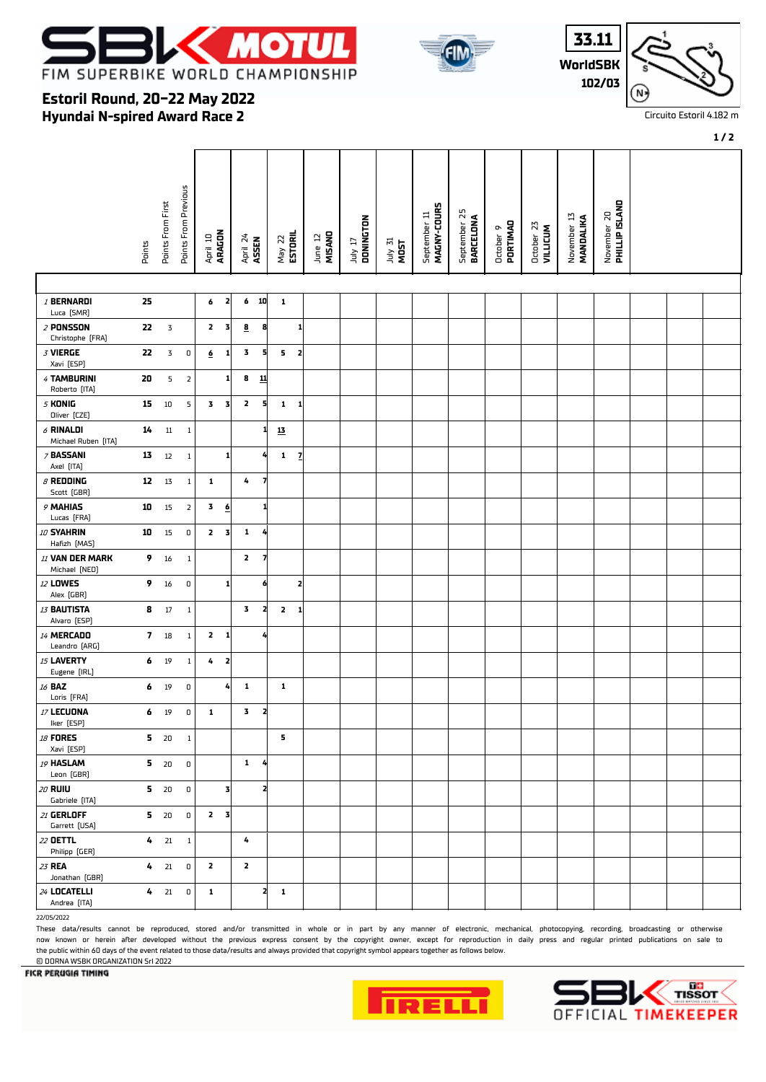



**WorldSBK 33.11 102/03**

October 23  **VILLICUM**

November 13  **MANDALIKA**

November 20<br>**PHILLIP ISLAND PHILLIP ISLAND**



Circuito Estoril 4.182 m

#### **Estoril Round, 20-22 May 2022 Hyundai N-spired Award Race 2** Points From Previous Points From Previous September 11<br>MAGNY-COURS Points From First Points From First  **BARCELONA MAGNY-COURS** September 25 September 11 July 17  **DONINGTON** October 9  **PORTIMAO** April 10  **ARAGON** May 22  **ESTORIL** June 12  **MISANO** Points April 24  **ASSEN** July 31 **MOST** <sup>1</sup> **BERNARDI 25 6 2 6 10 1** Luca (SMR) <sup>2</sup> **PONSSON 22** 3 **2 3 8 8 1** Christophe (FRA) <sup>3</sup> **VIERGE 22** 3 0 **6 1 3 5 5 2** Xavi (ESP) <sup>4</sup> **TAMBURINI 20** 5 2 **1 8 11** Roberto (ITA) <sup>5</sup> **KONIG 15** 10 5 **3 3 2 5 1 1** Oliver (CZE) <sup>6</sup> **RINALDI 14** 11 1 **1 13** Michael Ruben (ITA) <sup>7</sup> **BASSANI 13** 12 1 **1 4 1 7**

| 3 VIERGE<br>Xavi [ESP]             | 22           | $\overline{3}$ | $\mathsf D$             |                | $6$ 1          | 3                       | 5  | 5.                        | $\overline{2}$ |  |  |  |  |  |  |
|------------------------------------|--------------|----------------|-------------------------|----------------|----------------|-------------------------|----|---------------------------|----------------|--|--|--|--|--|--|
| 4 TAMBURINI<br>Roberto [ITA]       | 20           | $\sf 5$        | $\overline{\mathbf{2}}$ |                | 1              | 8                       | 11 |                           |                |  |  |  |  |  |  |
| $5$ KONIG<br>Oliver [CZE]          | 15           | 10             | $\sqrt{5}$              | 3 <sub>3</sub> |                | $\mathbf{z}$            | 5  | $1 \quad 1$               |                |  |  |  |  |  |  |
| $6$ RINALDI<br>Michael Ruben [ITA] | 14           | $11\,$         | $\overline{1}$          |                |                |                         |    | $\underline{\mathbf{13}}$ |                |  |  |  |  |  |  |
| 7 BASSANI<br>Axel [ITA]            | 13           | 12             | $\mathbf{1}$            |                | 1              |                         |    | $1 \quad 7$               |                |  |  |  |  |  |  |
| $\beta$ REDDING<br>Scott (GBR)     | 12           | 13             | $\,1\,$                 | $\mathbf{1}$   |                | 4                       |    |                           |                |  |  |  |  |  |  |
| 9 MAHIAS<br>Lucas [FRA]            | 10           | 15             | $\overline{2}$          | $3 \quad 6$    |                |                         |    |                           |                |  |  |  |  |  |  |
| 10 SYAHRIN<br>Hafizh [MAS]         | 10           | 15             | $\mathbf 0$             |                | 2 <sub>3</sub> | 1                       |    |                           |                |  |  |  |  |  |  |
| 11 VAN DER MARK<br>Michael [NED]   | 9            | 16             | $\mathbf{1}$            |                |                | $\mathbf{z}$            |    |                           |                |  |  |  |  |  |  |
| 12 <b>LOWES</b><br>Alex [GBR]      | 9            | 16             | $\mathbf 0$             |                | $\mathbf{1}$   |                         |    |                           | 2              |  |  |  |  |  |  |
| 13 BAUTISTA<br>Alvaro [ESP]        | 8            | 17             | $\mathbf{1}$            |                |                | 3                       | 2  | $2 \quad 1$               |                |  |  |  |  |  |  |
| 14 MERCADO<br>Leandro [ARG]        | $\mathbf{7}$ | 18             | $\mathbf{1}$            |                | $2 \quad 1$    |                         |    |                           |                |  |  |  |  |  |  |
| 15 LAVERTY<br>Eugene [IRL]         | 6            | 19             | $\mathbf{1}$            |                | 4 <sub>2</sub> |                         |    |                           |                |  |  |  |  |  |  |
| 16 BAZ<br>Loris [FRA]              | 6            | 19             | $\mathbf 0$             |                | 4              | 1                       |    | $\mathbf{1}$              |                |  |  |  |  |  |  |
| 17 LECUONA<br>Iker [ESP]           | 6            | 19             | $\mathbf 0$             | $\mathbf 1$    |                | $\overline{\mathbf{3}}$ | 2  |                           |                |  |  |  |  |  |  |
| 18 FORES<br>Xavi [ESP]             |              | 520            | $\mathbf{1}$            |                |                |                         |    | 5                         |                |  |  |  |  |  |  |
| 19 HASLAM<br>Leon (GBR)            |              | 520            | $\mathbf 0$             |                |                | $\mathbf{1}$            | 4  |                           |                |  |  |  |  |  |  |
| 20 RUIU<br>Gabriele [ITA]          |              | $5 - 20$       | $\mathbf 0$             |                | 3              |                         |    |                           |                |  |  |  |  |  |  |
| 21 GERLOFF<br>Garrett [USA]        |              | $5 - 20$       | $\mathbf 0$             |                | 2 <sub>3</sub> |                         |    |                           |                |  |  |  |  |  |  |
| 22 OETTL<br>Philipp (GER)          | 4            | 21             | $\overline{1}$          |                |                | 4                       |    |                           |                |  |  |  |  |  |  |
| 23 REA<br>Jonathan [GBR]           | 4            | 21             | $\mathbf 0$             | $\mathbf{z}$   |                | $\mathbf{z}$            |    |                           |                |  |  |  |  |  |  |
| 24 LOCATELLI<br>Andrea (ITA)       | 4            | 21             | $\mathbf 0$             | 1              |                |                         | 2  | 1                         |                |  |  |  |  |  |  |
| 22/05/2022                         |              |                |                         |                |                |                         |    |                           |                |  |  |  |  |  |  |

These data/results cannot be reproduced, stored and/or transmitted in whole or in part by any manner of electronic, mechanical, photocopying, recording, broadcasting or otherwise now known or herein afer developed without the previous express consent by the copyright owner, except for reproduction in daily press and regular printed publications on sale to the public within 60 days of the event related to those data/results and always provided that copyright symbol appears together as follows below. © DORNA WSBK ORGANIZATION Srl 2022



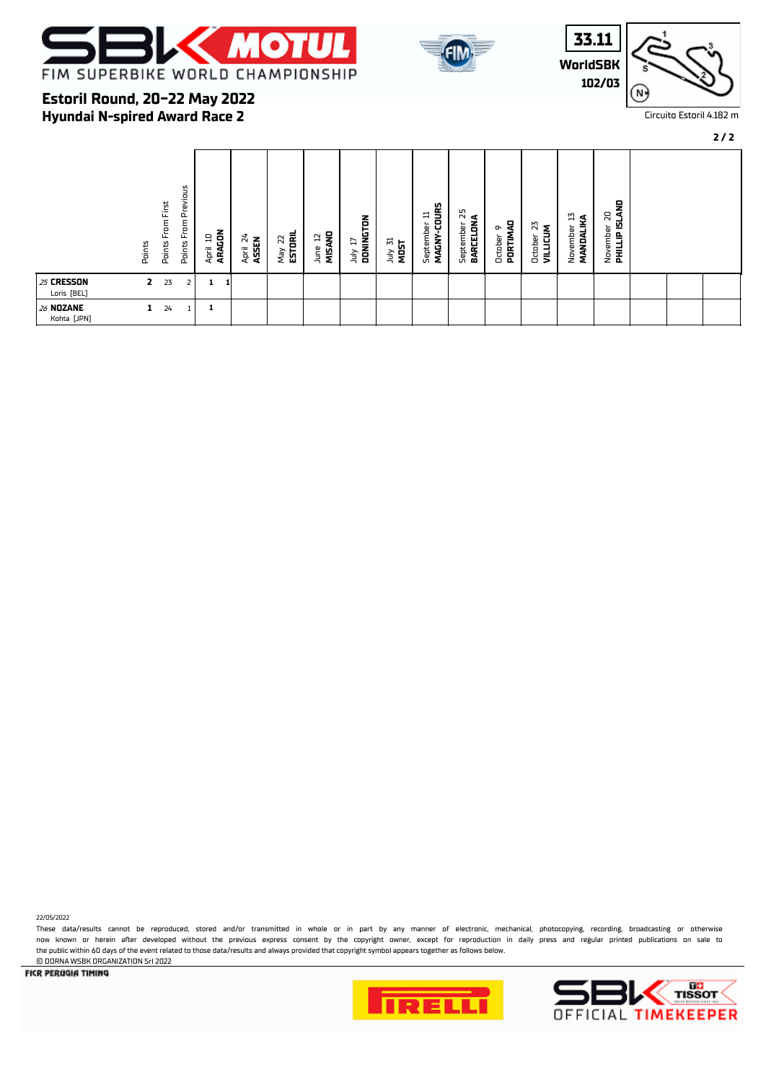



**WorldSBK 33.11 102/03**



Circuito Estoril 4.182 m

### **2 / 2**

### **Hyundai N-spired Award Race 2 Estoril Round, 20-22 May 2022**

| Previous<br>From First<br>From<br><b>Points</b><br>Points<br>Points | ARAGON<br>24<br>묘<br><b>April 24</b><br>ASSEN<br>April | May 22<br><b>ESTORIL</b><br>MISAND<br>E,<br>June | DONINGTON<br>July 31<br>MOST<br>F<br>Š | MAGNY-COURS<br>September 25<br>BARCELONA<br>를<br>September<br>September | 뭉<br>N<br><b>VILLICUM</b><br>$\sim$<br>PORTIMA<br>October<br>October | <b>ISLAND</b><br>20<br>E1<br>MANDALIKA<br>November<br>November<br>PHILLIP |  |
|---------------------------------------------------------------------|--------------------------------------------------------|--------------------------------------------------|----------------------------------------|-------------------------------------------------------------------------|----------------------------------------------------------------------|---------------------------------------------------------------------------|--|
| 25 CRESSON<br>2<br>23<br>Loris [BEL]                                |                                                        |                                                  |                                        |                                                                         |                                                                      |                                                                           |  |
| 26 NOZANE<br>24<br>1<br>Kohta [JPN]                                 | 1                                                      |                                                  |                                        |                                                                         |                                                                      |                                                                           |  |

22/05/2022

These data/results cannot be reproduced, stored and/or transmitted in whole or in part by any manner of electronic, mechanical, photocopying, recording, broadcasting or otherwise now known or herein afer developed without the previous express consent by the copyright owner, except for reproduction in daily press and regular printed publications on sale to the public within 60 days of the event related to those data/results and always provided that copyright symbol appears together as follows below. © DORNA WSBK ORGANIZATION Srl 2022



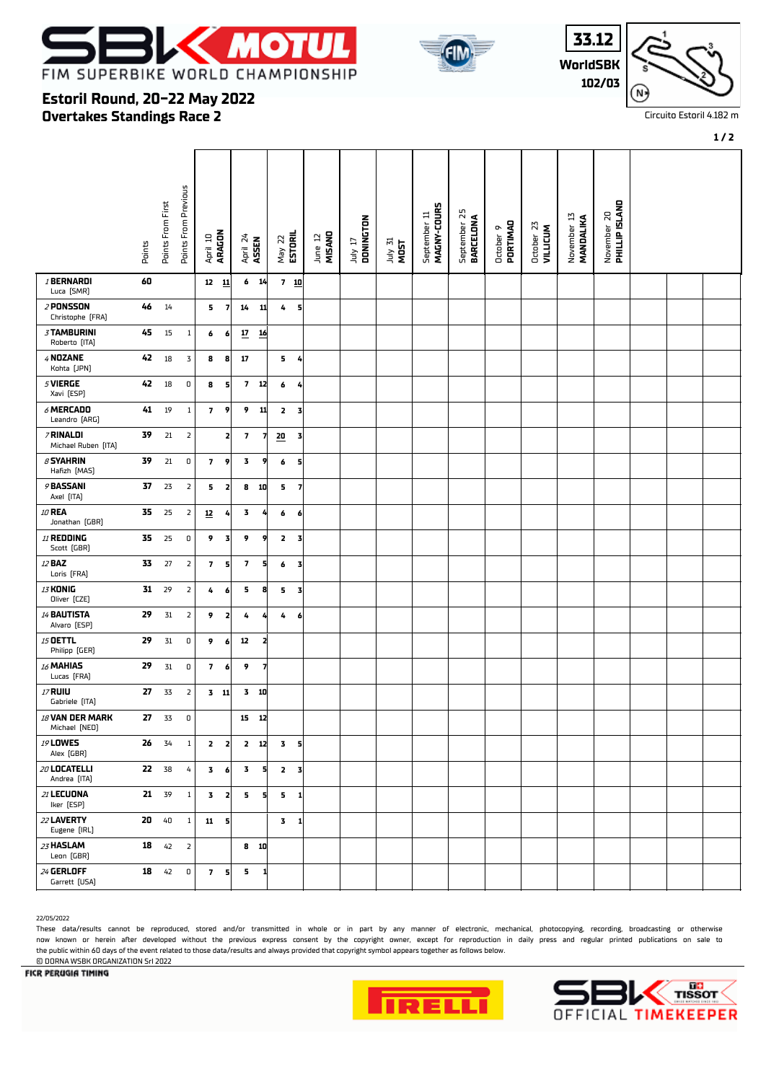



**WorldSBK 33.12 102/03**



Circuito Estoril 4.182 m

### **Overtakes Standings Race 2 Estoril Round, 20-22 May 2022**

|                                     | Points | Points From First | Points From Previous    | April 10<br><b>ARAGON</b> |                         | April 24<br><b>ASSEN</b> |    | May 22<br><b>ESTORIL</b> | June 12<br>MISANO | DONINGTON<br>TI VIII | July 31<br>MOST | MAGNY-COURS<br>September 11 | September 25<br>BARCELONA | October 9<br>PORTIMAO | October 23<br>VILLICUM | $\overline{1}$<br>November 13<br><b>MANDALIKA</b> | November 20<br>PHILLIP ISLAND |  |  |
|-------------------------------------|--------|-------------------|-------------------------|---------------------------|-------------------------|--------------------------|----|--------------------------|-------------------|----------------------|-----------------|-----------------------------|---------------------------|-----------------------|------------------------|---------------------------------------------------|-------------------------------|--|--|
| /BERNARDI<br>Luca [SMR]             | 60     |                   |                         | $12 \quad 11$             |                         | 6 <sub>14</sub>          |    | $7 \underline{10}$       |                   |                      |                 |                             |                           |                       |                        |                                                   |                               |  |  |
| 2 PONSSON<br>Christophe [FRA]       | 46     | 14                |                         | 5                         | $\overline{\mathbf{z}}$ | 14                       | 11 | 4<br>5                   |                   |                      |                 |                             |                           |                       |                        |                                                   |                               |  |  |
| <b>3 TAMBURINI</b><br>Roberto [ITA] | 45     | 15                | $\mathbf{1}$            | 6                         | 6                       | $\overline{\mathbf{z}}$  | 16 |                          |                   |                      |                 |                             |                           |                       |                        |                                                   |                               |  |  |
| 4 NOZANE<br>Kohta [JPN]             | 42     | $18\,$            | 3                       | 8                         | 8                       | 17                       |    | 5 <sub>4</sub>           |                   |                      |                 |                             |                           |                       |                        |                                                   |                               |  |  |
| $5$ VIERGE<br>Xavi [ESP]            | 42     | $18\,$            | $\mathsf D$             | 8                         | 5                       | 7 <sup>7</sup>           | 12 | 6<br>4                   |                   |                      |                 |                             |                           |                       |                        |                                                   |                               |  |  |
| $6$ MERCADO<br>Leandro (ARG)        | 41     | $19\,$            | $\mathbf{1}$            | $\overline{\mathbf{z}}$   | 9                       | 9                        | 11 | 2<br>3                   |                   |                      |                 |                             |                           |                       |                        |                                                   |                               |  |  |
| 7 RINALDI<br>Michael Ruben [ITA]    | 39     | 21                | $\overline{\mathbf{2}}$ |                           | $\mathbf{z}$            | $\overline{\phantom{a}}$ | 7  | 20<br>3                  |                   |                      |                 |                             |                           |                       |                        |                                                   |                               |  |  |
| $\beta$ SYAHRIN<br>Hafizh [MAS]     | 39     | 21                | $\mathsf D$             | $\overline{\mathbf{z}}$   | 9                       | 3                        | 9  | 6<br>5                   |                   |                      |                 |                             |                           |                       |                        |                                                   |                               |  |  |
| 9 BASSANI<br>Axel [ITA]             | 37     | 23                | $\mathsf{Z}$            | 5                         | 2                       | 8                        | 10 | 5.<br>7                  |                   |                      |                 |                             |                           |                       |                        |                                                   |                               |  |  |
| 10 REA<br>Jonathan (GBR)            | 35     | 25                | $\overline{2}$          | $\underline{\mathbf{12}}$ | 4                       | 3                        |    | 6<br>6                   |                   |                      |                 |                             |                           |                       |                        |                                                   |                               |  |  |
| 11 REDDING<br>Scott (GBR)           | 35     | 25                | $\pmb{0}$               | 9                         | $\overline{\mathbf{3}}$ | 9                        | 9  | $\mathbf{z}$<br>3        |                   |                      |                 |                             |                           |                       |                        |                                                   |                               |  |  |
| 12 <b>BAZ</b><br>Loris [FRA]        | 33     | $27$              | $\mathsf{2}$            | $\overline{\phantom{a}}$  | 5                       | $\pmb{7}$                | 5  | 6<br>3                   |                   |                      |                 |                             |                           |                       |                        |                                                   |                               |  |  |
| 13 KONIG<br>Oliver (CZE)            | 31     | 29                | $\overline{2}$          | 4                         | 6                       | 5                        | 8  | 5<br>3                   |                   |                      |                 |                             |                           |                       |                        |                                                   |                               |  |  |
| 14 BAUTISTA<br>Alvaro (ESP)         | 29     | $31\,$            | $\mathsf{Z}$            | 9                         | 2                       | 4                        |    | 4<br>6                   |                   |                      |                 |                             |                           |                       |                        |                                                   |                               |  |  |
| 15 OETTL<br>Philipp (GER)           | 29     | $31\,$            | $\mathbf 0$             | 9                         | 6                       | 12                       | 2  |                          |                   |                      |                 |                             |                           |                       |                        |                                                   |                               |  |  |
| 16 MAHIAS<br>Lucas [FRA]            | 29     | 31                | 0                       | $\overline{\mathbf{z}}$   | 6                       | 9                        |    |                          |                   |                      |                 |                             |                           |                       |                        |                                                   |                               |  |  |
| 17 RUIU<br>Gabriele [ITA]           | 27     | 33                | $\overline{\mathbf{2}}$ |                           | $3$ 11                  | $3$ 10                   |    |                          |                   |                      |                 |                             |                           |                       |                        |                                                   |                               |  |  |
| 18 VAN DER MARK<br>Michael [NED]    | 27     | 33                | 0                       |                           |                         | 15 12                    |    |                          |                   |                      |                 |                             |                           |                       |                        |                                                   |                               |  |  |
| 19 <b>LOWES</b><br>Alex (GBR)       | 26     | 34                | $\mathbf{1}$            | $\mathbf{z}$              | 2                       | 2 12                     |    | 3<br>5                   |                   |                      |                 |                             |                           |                       |                        |                                                   |                               |  |  |
| $20$ LOCATELLI<br>Andrea [ITA]      | 22 38  |                   | 4                       | $\mathbf{3}$              | 6                       | 3                        | 5  | 2 <sub>3</sub>           |                   |                      |                 |                             |                           |                       |                        |                                                   |                               |  |  |
| 21 LECUONA<br>Iker [ESP]            |        | 21 39             | $\mathbf{1}$            |                           | $3 \quad 2$             | 5                        | 5  | 5<br>1                   |                   |                      |                 |                             |                           |                       |                        |                                                   |                               |  |  |
| 22 LAVERTY<br>Eugene [IRL]          | 20     | 40                | $\mathbf{1}$            | $11 \quad 5$              |                         |                          |    | 3<br>-1                  |                   |                      |                 |                             |                           |                       |                        |                                                   |                               |  |  |
| 23 HASLAM<br>Leon (GBR)             | 18     | 42                | $\overline{2}$          |                           |                         | $8$ 10                   |    |                          |                   |                      |                 |                             |                           |                       |                        |                                                   |                               |  |  |
| 24 GERLOFF<br>Garrett [USA]         | 18     | 42                | $\mathbf 0$             |                           | 7 <sub>5</sub>          | 5                        |    |                          |                   |                      |                 |                             |                           |                       |                        |                                                   |                               |  |  |

#### 22/05/2022

These data/results cannot be reproduced, stored and/or transmitted in whole or in part by any manner of electronic, mechanical, photocopying, recording, broadcasting or otherwise now known or herein afer developed without the previous express consent by the copyright owner, except for reproduction in daily press and regular printed publications on sale to the public within 60 days of the event related to those data/results and always provided that copyright symbol appears together as follows below.







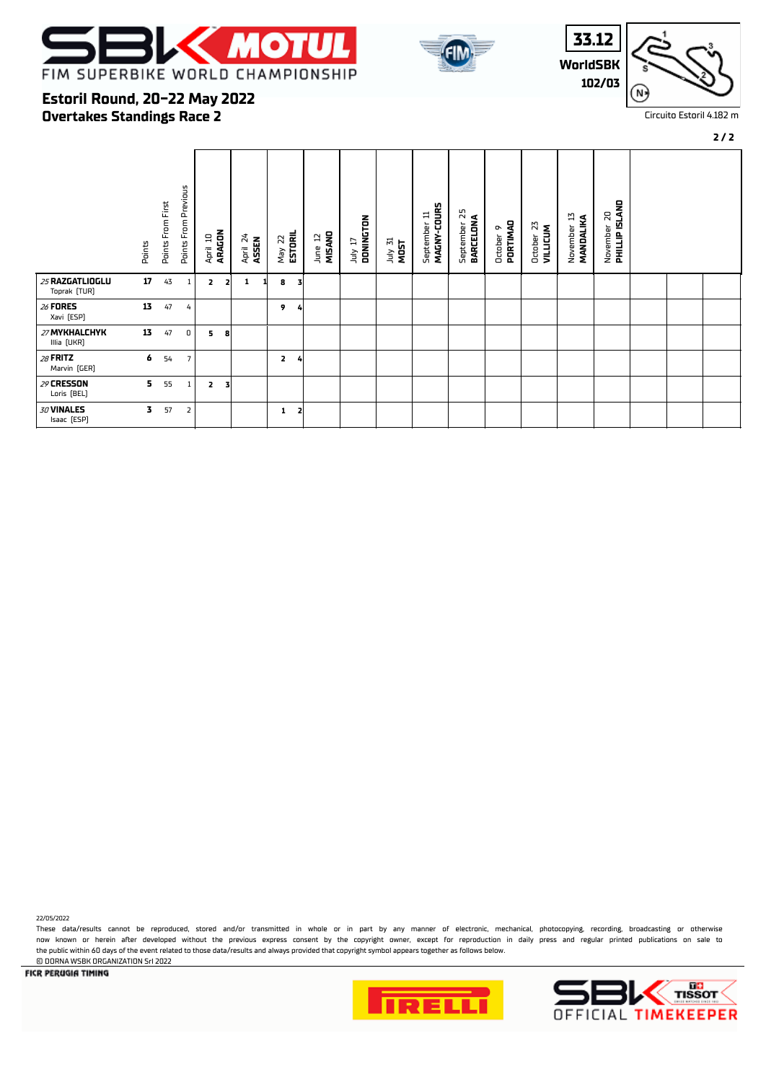



**WorldSBK 33.12 102/03**



Circuito Estoril 4.182 m

#### **2 / 2**

### **Overtakes Standings Race 2 Estoril Round, 20-22 May 2022**

|                                 | Points | Points From First | Points From Previous | April 10 | ARAGON         | April 24<br>ASSEN | May 22<br><b>ESTORIL</b>     | MISAND<br>$\mathbf{a}$<br>June | DONINGTON<br>1uly 17 | July 31<br>MOST | MAGNY-COURS<br>Ħ<br>September | September 25<br><b>BARCELONA</b> | PORTIMAD<br>๛<br>October | 23<br><b>VILLICUM</b><br>October | IJ<br>MANDALIKA<br>November | <b>CINTILE ISTVAD</b><br>20<br>November |  |  |
|---------------------------------|--------|-------------------|----------------------|----------|----------------|-------------------|------------------------------|--------------------------------|----------------------|-----------------|-------------------------------|----------------------------------|--------------------------|----------------------------------|-----------------------------|-----------------------------------------|--|--|
| 25 RAZGATLIOGLU<br>Toprak (TUR) | 17     | 43                | $\mathbf{1}$ .       | 2        | $\overline{2}$ | 1                 | 8<br>3                       |                                |                      |                 |                               |                                  |                          |                                  |                             |                                         |  |  |
| 26 FORES<br>Xavi [ESP]          | 13     | 47                | 4                    |          |                |                   | 9<br>4                       |                                |                      |                 |                               |                                  |                          |                                  |                             |                                         |  |  |
| 27 MYKHALCHYK<br>Illia [UKR]    | 13     | 47                | 0                    | 5        | 8              |                   |                              |                                |                      |                 |                               |                                  |                          |                                  |                             |                                         |  |  |
| 28 FRITZ<br>Marvin [GER]        | 6      | 54                | $\overline{7}$       |          |                |                   | $\overline{2}$<br>4          |                                |                      |                 |                               |                                  |                          |                                  |                             |                                         |  |  |
| 29 CRESSON<br>Loris [BEL]       | 5.     | 55                | $\mathbf{1}$         | 2        | 3              |                   |                              |                                |                      |                 |                               |                                  |                          |                                  |                             |                                         |  |  |
| 30 VINALES<br>Isaac [ESP]       | 3.     | 57                | $\overline{2}$       |          |                |                   | $\overline{\mathbf{z}}$<br>1 |                                |                      |                 |                               |                                  |                          |                                  |                             |                                         |  |  |

© DORNA WSBK ORGANIZATION Srl 2022

22/05/2022

**FICR PERUGIA TIMING** 



These data/results cannot be reproduced, stored and/or transmitted in whole or in part by any manner of electronic, mechanical, photocopying, recording, broadcasting or otherwise now known or herein afer developed without the previous express consent by the copyright owner, except for reproduction in daily press and regular printed publications on sale to

the public within 60 days of the event related to those data/results and always provided that copyright symbol appears together as follows below.